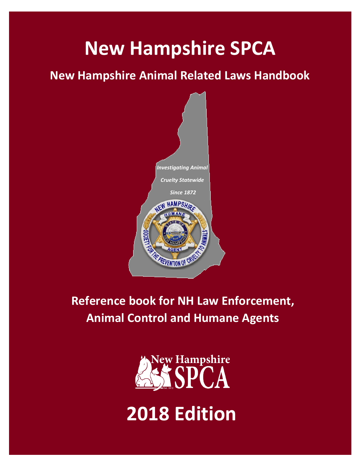# **New Hampshire SPCA**

## **New Hampshire Animal Related Laws Handbook**



**Reference book for NH Law Enforcement, Animal Control and Humane Agents**

> **New Hampshire** SPCA

**2018 Edition**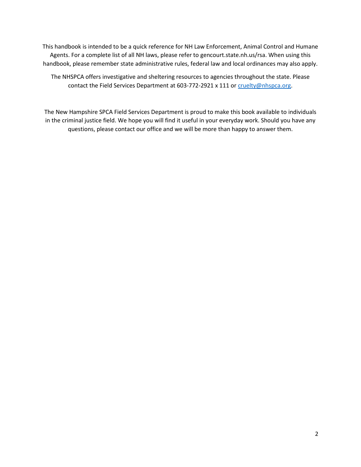This handbook is intended to be a quick reference for NH Law Enforcement, Animal Control and Humane Agents. For a complete list of all NH laws, please refer to gencourt.state.nh.us/rsa. When using this handbook, please remember state administrative rules, federal law and local ordinances may also apply.

The NHSPCA offers investigative and sheltering resources to agencies throughout the state. Please contact the Field Services Department at 603-772-2921 x 111 o[r cruelty@nhspca.org.](mailto:cruelty@nhspca.org)

The New Hampshire SPCA Field Services Department is proud to make this book available to individuals in the criminal justice field. We hope you will find it useful in your everyday work. Should you have any questions, please contact our office and we will be more than happy to answer them.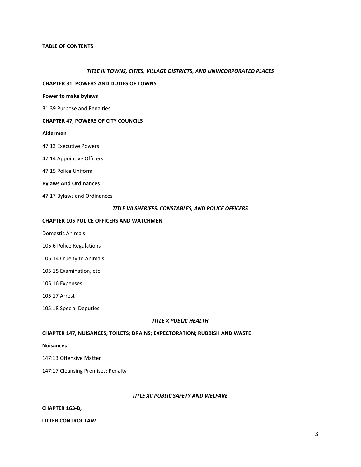#### **TABLE OF CONTENTS**

#### *TITLE III TOWNS, CITIES, VILLAGE DISTRICTS, AND UNINCORPORATED PLACES*

#### **CHAPTER 31, POWERS AND DUTIES OF TOWNS**

#### **Power to make bylaws**

31:39 Purpose and Penalties

#### **CHAPTER 47, POWERS OF CITY COUNCILS**

#### **Aldermen**

47:13 Executive Powers

47:14 Appointive Officers

47:15 Police Uniform

#### **Bylaws And Ordinances**

47:17 Bylaws and Ordinances

#### *TITLE VII SHERIFFS, CONSTABLES, AND POLICE OFFICERS*

#### **CHAPTER 105 POLICE OFFICERS AND WATCHMEN**

Domestic Animals

105:6 Police Regulations

105:14 Cruelty to Animals

105:15 Examination, etc

105:16 Expenses

105:17 Arrest

105:18 Special Deputies

#### *TITLE X PUBLIC HEALTH*

#### **CHAPTER 147, NUISANCES; TOILETS; DRAINS; EXPECTORATION; RUBBISH AND WASTE**

#### **Nuisances**

147:13 Offensive Matter

147:17 Cleansing Premises; Penalty

#### *TITLE XII PUBLIC SAFETY AND WELFARE*

#### **CHAPTER 163-B,**

**LITTER CONTROL LAW**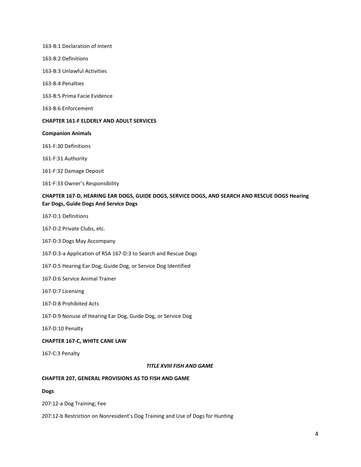163-B:1 Declaration of Intent

- 163-B:2 Definitions
- 163-B:3 Unlawful Activities
- 163-B:4 Penalties
- 163-B:5 Prima Facie Evidence
- 163-B:6 Enforcement

#### **CHAPTER 161-F ELDERLY AND ADULT SERVICES**

#### **Companion Animals**

161-F:30 Definitions

161-F:31 Authority

- 161-F:32 Damage Deposit
- 161-F:33 Owner's Responsibility

#### **CHAPTER 167-D, HEARING EAR DOGS, GUIDE DOGS, SERVICE DOGS, AND SEARCH AND RESCUE DOGS Hearing Ear Dogs, Guide Dogs And Service Dogs**

- 167-D:1 Definitions
- 167-D:2 Private Clubs, etc.
- 167-D:3 Dogs May Accompany
- 167-D:3-a Application of RSA 167-D:3 to Search and Rescue Dogs
- 167-D:5 Hearing Ear Dog, Guide Dog, or Service Dog Identified
- 167-D:6 Service Animal Trainer
- 167-D:7 Licensing
- 167-D:8 Prohibited Acts
- 167-D:9 Nonuse of Hearing Ear Dog, Guide Dog, or Service Dog
- 167-D:10 Penalty

#### **CHAPTER 167-C, WHITE CANE LAW**

167-C:3 Penalty

#### *TITLE XVIII FISH AND GAME*

#### **CHAPTER 207, GENERAL PROVISIONS AS TO FISH AND GAME**

**Dogs** 

207:12-a Dog Training; Fee

207:12-b Restriction on Nonresident's Dog Training and Use of Dogs for Hunting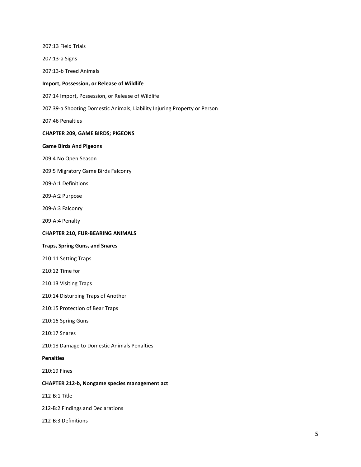207:13 Field Trials 207:13-a Signs 207:13-b Treed Animals **Import, Possession, or Release of Wildlife**  207:14 Import, Possession, or Release of Wildlife 207:39-a Shooting Domestic Animals; Liability Injuring Property or Person 207:46 Penalties **CHAPTER 209, GAME BIRDS; PIGEONS Game Birds And Pigeons** 209:4 No Open Season 209:5 Migratory Game Birds Falconry 209-A:1 Definitions 209-A:2 Purpose 209-A:3 Falconry 209-A:4 Penalty **CHAPTER 210, FUR-BEARING ANIMALS Traps, Spring Guns, and Snares**  210:11 Setting Traps 210:12 Time for 210:13 Visiting Traps 210:14 Disturbing Traps of Another 210:15 Protection of Bear Traps 210:16 Spring Guns 210:17 Snares 210:18 Damage to Domestic Animals Penalties **Penalties**  210:19 Fines **CHAPTER 212-b, Nongame species management act**  212-B:1 Title 212-B:2 Findings and Declarations 212-B:3 Definitions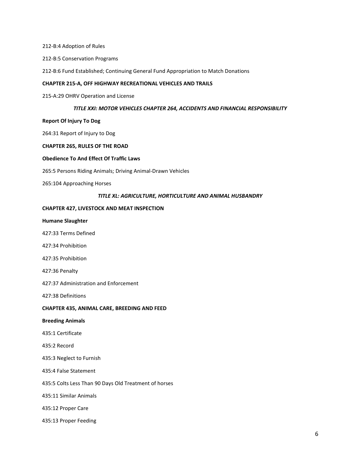212-B:4 Adoption of Rules

212-B:5 Conservation Programs

212-B:6 Fund Established; Continuing General Fund Appropriation to Match Donations

#### **CHAPTER 215-A, OFF HIGHWAY RECREATIONAL VEHICLES AND TRAILS**

215-A:29 OHRV Operation and License

#### *TITLE XXI: MOTOR VEHICLES CHAPTER 264, ACCIDENTS AND FINANCIAL RESPONSIBILITY*

#### **Report Of Injury To Dog**

264:31 Report of Injury to Dog

#### **CHAPTER 265, RULES OF THE ROAD**

#### **Obedience To And Effect Of Traffic Laws**

265:5 Persons Riding Animals; Driving Animal-Drawn Vehicles

265:104 Approaching Horses

#### *TITLE XL: AGRICULTURE, HORTICULTURE AND ANIMAL HUSBANDRY*

#### **CHAPTER 427, LIVESTOCK AND MEAT INSPECTION**

#### **Humane Slaughter**

427:33 Terms Defined

- 427:34 Prohibition
- 427:35 Prohibition
- 427:36 Penalty

427:37 Administration and Enforcement

427:38 Definitions

#### **CHAPTER 435, ANIMAL CARE, BREEDING AND FEED**

#### **Breeding Animals**

- 435:1 Certificate
- 435:2 Record
- 435:3 Neglect to Furnish

435:4 False Statement

435:5 Colts Less Than 90 Days Old Treatment of horses

435:11 Similar Animals

435:12 Proper Care

435:13 Proper Feeding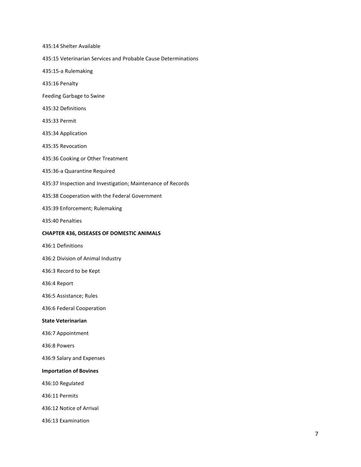435:14 Shelter Available

435:15 Veterinarian Services and Probable Cause Determinations

435:15-a Rulemaking

435:16 Penalty

Feeding Garbage to Swine

435:32 Definitions

435:33 Permit

435:34 Application

435:35 Revocation

435:36 Cooking or Other Treatment

435:36-a Quarantine Required

435:37 Inspection and Investigation; Maintenance of Records

435:38 Cooperation with the Federal Government

435:39 Enforcement; Rulemaking

435:40 Penalties

#### **CHAPTER 436, DISEASES OF DOMESTIC ANIMALS**

436:1 Definitions

436:2 Division of Animal Industry

436:3 Record to be Kept

436:4 Report

436:5 Assistance; Rules

436:6 Federal Cooperation

#### **State Veterinarian**

436:7 Appointment

436:8 Powers

436:9 Salary and Expenses

#### **Importation of Bovines**

436:10 Regulated

436:11 Permits

436:12 Notice of Arrival

436:13 Examination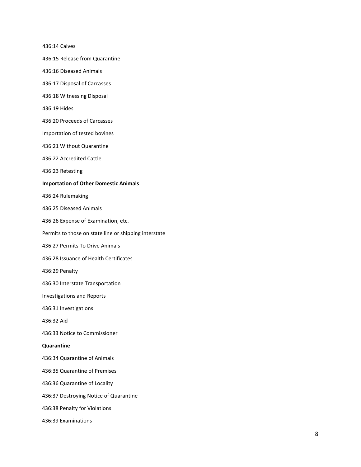436:14 Calves

436:15 Release from Quarantine

436:16 Diseased Animals

436:17 Disposal of Carcasses

436:18 Witnessing Disposal

436:19 Hides

436:20 Proceeds of Carcasses

Importation of tested bovines

436:21 Without Quarantine

436:22 Accredited Cattle

436:23 Retesting

#### **Importation of Other Domestic Animals**

436:24 Rulemaking

436:25 Diseased Animals

436:26 Expense of Examination, etc.

Permits to those on state line or shipping interstate

436:27 Permits To Drive Animals

436:28 Issuance of Health Certificates

436:29 Penalty

436:30 Interstate Transportation

Investigations and Reports

436:31 Investigations

436:32 Aid

436:33 Notice to Commissioner

#### **Quarantine**

436:34 Quarantine of Animals

436:35 Quarantine of Premises

436:36 Quarantine of Locality

436:37 Destroying Notice of Quarantine

436:38 Penalty for Violations

436:39 Examinations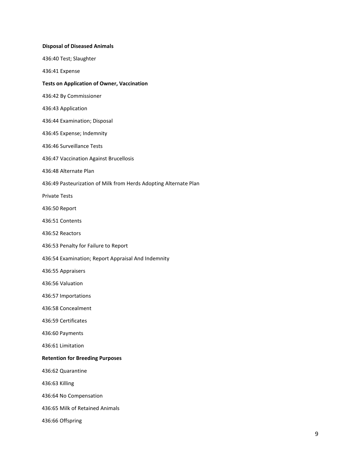| <b>Disposal of Diseased Animals</b>                              |
|------------------------------------------------------------------|
| 436:40 Test; Slaughter                                           |
| 436:41 Expense                                                   |
| <b>Tests on Application of Owner, Vaccination</b>                |
| 436:42 By Commissioner                                           |
| 436:43 Application                                               |
| 436:44 Examination; Disposal                                     |
| 436:45 Expense; Indemnity                                        |
| 436:46 Surveillance Tests                                        |
| 436:47 Vaccination Against Brucellosis                           |
| 436:48 Alternate Plan                                            |
| 436:49 Pasteurization of Milk from Herds Adopting Alternate Plan |
| <b>Private Tests</b>                                             |
| 436:50 Report                                                    |
| 436:51 Contents                                                  |
| 436:52 Reactors                                                  |
| 436:53 Penalty for Failure to Report                             |
| 436:54 Examination; Report Appraisal And Indemnity               |
| 436:55 Appraisers                                                |
| 436:56 Valuation                                                 |
| 436:57 Importations                                              |
| 436:58 Concealment                                               |
| 436:59 Certificates                                              |
| 436:60 Payments                                                  |
| 436:61 Limitation                                                |
| <b>Retention for Breeding Purposes</b>                           |
| 436:62 Quarantine                                                |
| 436:63 Killing                                                   |
| 436:64 No Compensation                                           |
| 436:65 Milk of Retained Animals                                  |
| 436:66 Offspring                                                 |
|                                                                  |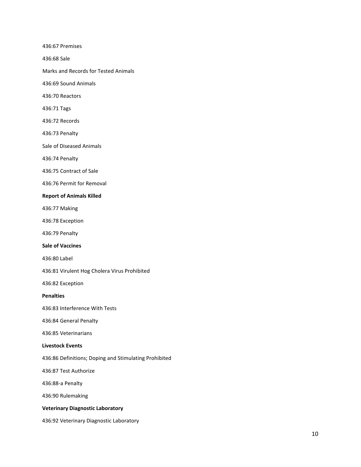436:67 Premises

436:68 Sale

Marks and Records for Tested Animals

436:69 Sound Animals

436:70 Reactors

436:71 Tags

436:72 Records

436:73 Penalty

Sale of Diseased Animals

436:74 Penalty

436:75 Contract of Sale

436:76 Permit for Removal

#### **Report of Animals Killed**

436:77 Making

436:78 Exception

436:79 Penalty

**Sale of Vaccines** 

436:80 Label

436:81 Virulent Hog Cholera Virus Prohibited

436:82 Exception

**Penalties** 

436:83 Interference With Tests

436:84 General Penalty

436:85 Veterinarians

#### **Livestock Events**

436:86 Definitions; Doping and Stimulating Prohibited

436:87 Test Authorize

436:88-a Penalty

436:90 Rulemaking

#### **Veterinary Diagnostic Laboratory**

436:92 Veterinary Diagnostic Laboratory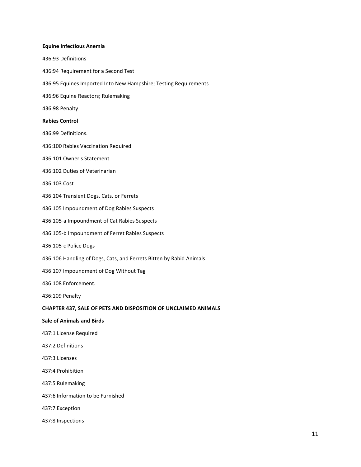#### **Equine Infectious Anemia**

- 436:93 Definitions 436:94 Requirement for a Second Test 436:95 Equines Imported Into New Hampshire; Testing Requirements 436:96 Equine Reactors; Rulemaking 436:98 Penalty **Rabies Control**  436:99 Definitions. 436:100 Rabies Vaccination Required 436:101 Owner's Statement 436:102 Duties of Veterinarian 436:103 Cost 436:104 Transient Dogs, Cats, or Ferrets 436:105 Impoundment of Dog Rabies Suspects 436:105-a Impoundment of Cat Rabies Suspects 436:105-b Impoundment of Ferret Rabies Suspects 436:105-c Police Dogs 436:106 Handling of Dogs, Cats, and Ferrets Bitten by Rabid Animals 436:107 Impoundment of Dog Without Tag 436:108 Enforcement. 436:109 Penalty **CHAPTER 437, SALE OF PETS AND DISPOSITION OF UNCLAIMED ANIMALS Sale of Animals and Birds**  437:1 License Required 437:2 Definitions 437:3 Licenses 437:4 Prohibition 437:5 Rulemaking 437:6 Information to be Furnished
- 437:7 Exception
- 437:8 Inspections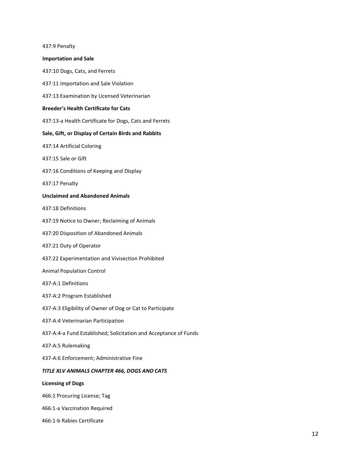| 437:9 Penalty                                                    |
|------------------------------------------------------------------|
| <b>Importation and Sale</b>                                      |
| 437:10 Dogs, Cats, and Ferrets                                   |
| 437:11 Importation and Sale Violation                            |
| 437:13 Examination by Licensed Veterinarian                      |
| <b>Breeder's Health Certificate for Cats</b>                     |
| 437:13-a Health Certificate for Dogs, Cats and Ferrets           |
| Sale, Gift, or Display of Certain Birds and Rabbits              |
| 437:14 Artificial Coloring                                       |
| 437:15 Sale or Gift                                              |
| 437:16 Conditions of Keeping and Display                         |
| 437:17 Penalty                                                   |
| <b>Unclaimed and Abandoned Animals</b>                           |
| 437:18 Definitions                                               |
| 437:19 Notice to Owner; Reclaiming of Animals                    |
| 437:20 Disposition of Abandoned Animals                          |
| 437:21 Duty of Operator                                          |
| 437:22 Experimentation and Vivisection Prohibited                |
| <b>Animal Population Control</b>                                 |
| 437-A:1 Definitions                                              |
| 437-A:2 Program Established                                      |
| 437-A:3 Eligibility of Owner of Dog or Cat to Participate        |
| 437-A:4 Veterinarian Participation                               |
| 437-A:4-a Fund Established; Solicitation and Acceptance of Funds |
| 437-A:5 Rulemaking                                               |
| 437-A:6 Enforcement; Administrative Fine                         |
| TITLE XLV ANIMALS CHAPTER 466, DOGS AND CATS                     |
| <b>Licensing of Dogs</b>                                         |
| 466:1 Procuring License; Tag                                     |
| 466:1-a Vaccination Required                                     |

466:1-b Rabies Certificate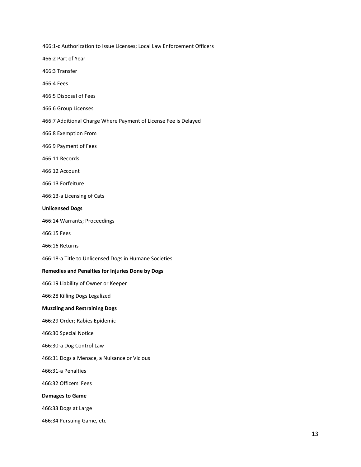466:1-c Authorization to Issue Licenses; Local Law Enforcement Officers

466:2 Part of Year

466:3 Transfer

466:4 Fees

466:5 Disposal of Fees

466:6 Group Licenses

466:7 Additional Charge Where Payment of License Fee is Delayed

466:8 Exemption From

466:9 Payment of Fees

466:11 Records

466:12 Account

466:13 Forfeiture

466:13-a Licensing of Cats

#### **Unlicensed Dogs**

466:14 Warrants; Proceedings

466:15 Fees

466:16 Returns

466:18-a Title to Unlicensed Dogs in Humane Societies

#### **Remedies and Penalties for Injuries Done by Dogs**

466:19 Liability of Owner or Keeper

466:28 Killing Dogs Legalized

#### **Muzzling and Restraining Dogs**

466:29 Order; Rabies Epidemic

466:30 Special Notice

466:30-a Dog Control Law

466:31 Dogs a Menace, a Nuisance or Vicious

466:31-a Penalties

466:32 Officers' Fees

#### **Damages to Game**

466:33 Dogs at Large

466:34 Pursuing Game, etc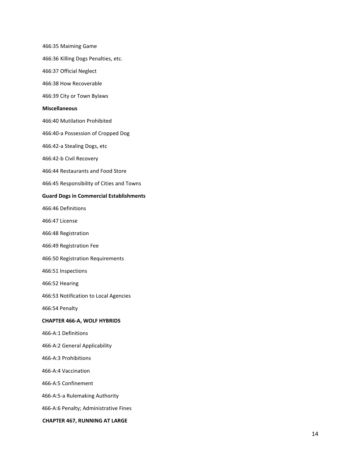466:35 Maiming Game

466:36 Killing Dogs Penalties, etc.

466:37 Official Neglect

466:38 How Recoverable

466:39 City or Town Bylaws

#### **Miscellaneous**

466:40 Mutilation Prohibited

466:40-a Possession of Cropped Dog

466:42-a Stealing Dogs, etc

466:42-b Civil Recovery

466:44 Restaurants and Food Store

466:45 Responsibility of Cities and Towns

#### **Guard Dogs in Commercial Establishments**

466:46 Definitions

466:47 License

466:48 Registration

466:49 Registration Fee

466:50 Registration Requirements

466:51 Inspections

466:52 Hearing

466:53 Notification to Local Agencies

466:54 Penalty

#### **CHAPTER 466-A, WOLF HYBRIDS**

466-A:1 Definitions

466-A:2 General Applicability

466-A:3 Prohibitions

466-A:4 Vaccination

466-A:5 Confinement

466-A:5-a Rulemaking Authority

466-A:6 Penalty; Administrative Fines

**CHAPTER 467, RUNNING AT LARGE**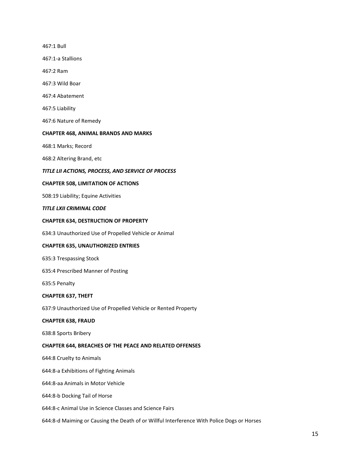467:1 Bull 467:1-a Stallions 467:2 Ram 467:3 Wild Boar 467:4 Abatement 467:5 Liability 467:6 Nature of Remedy **CHAPTER 468, ANIMAL BRANDS AND MARKS**  468:1 Marks; Record 468:2 Altering Brand, etc *TITLE LII ACTIONS, PROCESS, AND SERVICE OF PROCESS* **CHAPTER 508, LIMITATION OF ACTIONS**  508:19 Liability; Equine Activities *TITLE LXII CRIMINAL CODE* **CHAPTER 634, DESTRUCTION OF PROPERTY**  634:3 Unauthorized Use of Propelled Vehicle or Animal **CHAPTER 635, UNAUTHORIZED ENTRIES**  635:3 Trespassing Stock 635:4 Prescribed Manner of Posting 635:5 Penalty **CHAPTER 637, THEFT**  637:9 Unauthorized Use of Propelled Vehicle or Rented Property **CHAPTER 638, FRAUD**  638:8 Sports Bribery **CHAPTER 644, BREACHES OF THE PEACE AND RELATED OFFENSES**  644:8 Cruelty to Animals 644:8-a Exhibitions of Fighting Animals 644:8-aa Animals in Motor Vehicle 644:8-b Docking Tail of Horse 644:8-c Animal Use in Science Classes and Science Fairs

644:8-d Maiming or Causing the Death of or Willful Interference With Police Dogs or Horses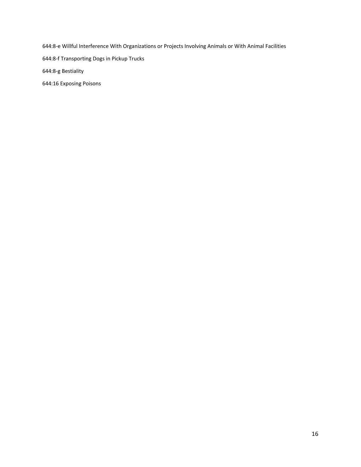644:8-e Willful Interference With Organizations or Projects Involving Animals or With Animal Facilities

644:8-f Transporting Dogs in Pickup Trucks

644:8-g Bestiality

644:16 Exposing Poisons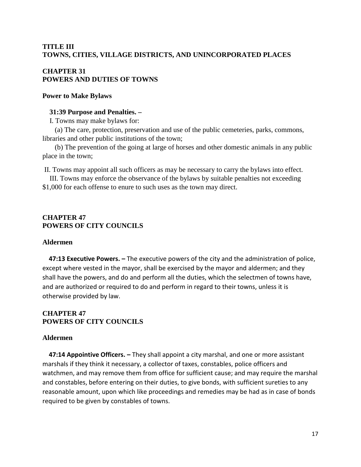## **TITLE III TOWNS, CITIES, VILLAGE DISTRICTS, AND UNINCORPORATED PLACES**

## **CHAPTER 31 POWERS AND DUTIES OF TOWNS**

## **Power to Make Bylaws**

## **31:39 Purpose and Penalties. –**

I. Towns may make bylaws for:

 (a) The care, protection, preservation and use of the public cemeteries, parks, commons, libraries and other public institutions of the town;

 (b) The prevention of the going at large of horses and other domestic animals in any public place in the town;

II. Towns may appoint all such officers as may be necessary to carry the bylaws into effect.

 III. Towns may enforce the observance of the bylaws by suitable penalties not exceeding \$1,000 for each offense to enure to such uses as the town may direct.

## **CHAPTER 47 POWERS OF CITY COUNCILS**

## **Aldermen**

 **47:13 Executive Powers. –** The executive powers of the city and the administration of police, except where vested in the mayor, shall be exercised by the mayor and aldermen; and they shall have the powers, and do and perform all the duties, which the selectmen of towns have, and are authorized or required to do and perform in regard to their towns, unless it is otherwise provided by law.

## **CHAPTER 47 POWERS OF CITY COUNCILS**

## **Aldermen**

 **47:14 Appointive Officers. –** They shall appoint a city marshal, and one or more assistant marshals if they think it necessary, a collector of taxes, constables, police officers and watchmen, and may remove them from office for sufficient cause; and may require the marshal and constables, before entering on their duties, to give bonds, with sufficient sureties to any reasonable amount, upon which like proceedings and remedies may be had as in case of bonds required to be given by constables of towns.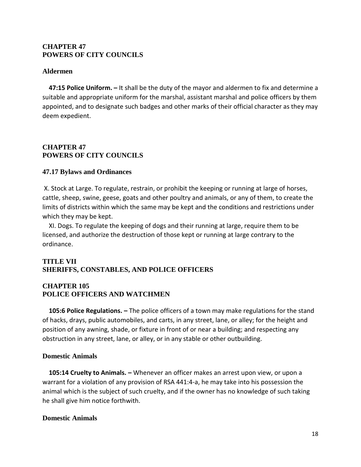## **CHAPTER 47 POWERS OF CITY COUNCILS**

## **Aldermen**

 **47:15 Police Uniform. –** It shall be the duty of the mayor and aldermen to fix and determine a suitable and appropriate uniform for the marshal, assistant marshal and police officers by them appointed, and to designate such badges and other marks of their official character as they may deem expedient.

## **CHAPTER 47 POWERS OF CITY COUNCILS**

### **47.17 Bylaws and Ordinances**

X. Stock at Large. To regulate, restrain, or prohibit the keeping or running at large of horses, cattle, sheep, swine, geese, goats and other poultry and animals, or any of them, to create the limits of districts within which the same may be kept and the conditions and restrictions under which they may be kept.

 XI. Dogs. To regulate the keeping of dogs and their running at large, require them to be licensed, and authorize the destruction of those kept or running at large contrary to the ordinance.

## **TITLE VII SHERIFFS, CONSTABLES, AND POLICE OFFICERS**

## **CHAPTER 105 POLICE OFFICERS AND WATCHMEN**

 **105:6 Police Regulations. –** The police officers of a town may make regulations for the stand of hacks, drays, public automobiles, and carts, in any street, lane, or alley; for the height and position of any awning, shade, or fixture in front of or near a building; and respecting any obstruction in any street, lane, or alley, or in any stable or other outbuilding.

## **Domestic Animals**

 **105:14 Cruelty to Animals. –** Whenever an officer makes an arrest upon view, or upon a warrant for a violation of any provision of RSA 441:4-a, he may take into his possession the animal which is the subject of such cruelty, and if the owner has no knowledge of such taking he shall give him notice forthwith.

## **Domestic Animals**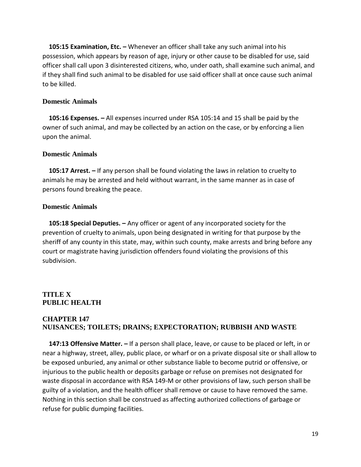**105:15 Examination, Etc. –** Whenever an officer shall take any such animal into his possession, which appears by reason of age, injury or other cause to be disabled for use, said officer shall call upon 3 disinterested citizens, who, under oath, shall examine such animal, and if they shall find such animal to be disabled for use said officer shall at once cause such animal to be killed.

## **Domestic Animals**

 **105:16 Expenses. –** All expenses incurred under RSA 105:14 and 15 shall be paid by the owner of such animal, and may be collected by an action on the case, or by enforcing a lien upon the animal.

### **Domestic Animals**

 **105:17 Arrest. –** If any person shall be found violating the laws in relation to cruelty to animals he may be arrested and held without warrant, in the same manner as in case of persons found breaking the peace.

### **Domestic Animals**

 **105:18 Special Deputies. –** Any officer or agent of any incorporated society for the prevention of cruelty to animals, upon being designated in writing for that purpose by the sheriff of any county in this state, may, within such county, make arrests and bring before any court or magistrate having jurisdiction offenders found violating the provisions of this subdivision.

## **TITLE X PUBLIC HEALTH**

## **CHAPTER 147 NUISANCES; TOILETS; DRAINS; EXPECTORATION; RUBBISH AND WASTE**

 **147:13 Offensive Matter. –** If a person shall place, leave, or cause to be placed or left, in or near a highway, street, alley, public place, or wharf or on a private disposal site or shall allow to be exposed unburied, any animal or other substance liable to become putrid or offensive, or injurious to the public health or deposits garbage or refuse on premises not designated for waste disposal in accordance with RSA 149-M or other provisions of law, such person shall be guilty of a violation, and the health officer shall remove or cause to have removed the same. Nothing in this section shall be construed as affecting authorized collections of garbage or refuse for public dumping facilities.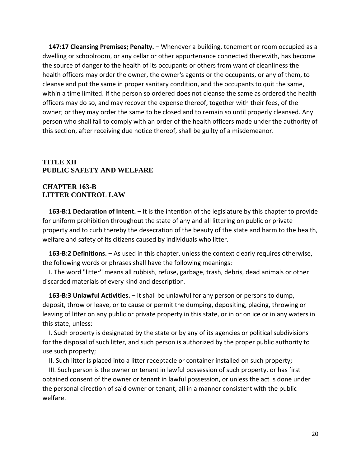**147:17 Cleansing Premises; Penalty. –** Whenever a building, tenement or room occupied as a dwelling or schoolroom, or any cellar or other appurtenance connected therewith, has become the source of danger to the health of its occupants or others from want of cleanliness the health officers may order the owner, the owner's agents or the occupants, or any of them, to cleanse and put the same in proper sanitary condition, and the occupants to quit the same, within a time limited. If the person so ordered does not cleanse the same as ordered the health officers may do so, and may recover the expense thereof, together with their fees, of the owner; or they may order the same to be closed and to remain so until properly cleansed. Any person who shall fail to comply with an order of the health officers made under the authority of this section, after receiving due notice thereof, shall be guilty of a misdemeanor.

## **TITLE XII PUBLIC SAFETY AND WELFARE**

## **CHAPTER 163-B LITTER CONTROL LAW**

 **163-B:1 Declaration of Intent. –** It is the intention of the legislature by this chapter to provide for uniform prohibition throughout the state of any and all littering on public or private property and to curb thereby the desecration of the beauty of the state and harm to the health, welfare and safety of its citizens caused by individuals who litter.

 **163-B:2 Definitions. –** As used in this chapter, unless the context clearly requires otherwise, the following words or phrases shall have the following meanings:

 I. The word "litter'' means all rubbish, refuse, garbage, trash, debris, dead animals or other discarded materials of every kind and description.

 **163-B:3 Unlawful Activities. –** It shall be unlawful for any person or persons to dump, deposit, throw or leave, or to cause or permit the dumping, depositing, placing, throwing or leaving of litter on any public or private property in this state, or in or on ice or in any waters in this state, unless:

 I. Such property is designated by the state or by any of its agencies or political subdivisions for the disposal of such litter, and such person is authorized by the proper public authority to use such property;

II. Such litter is placed into a litter receptacle or container installed on such property;

 III. Such person is the owner or tenant in lawful possession of such property, or has first obtained consent of the owner or tenant in lawful possession, or unless the act is done under the personal direction of said owner or tenant, all in a manner consistent with the public welfare.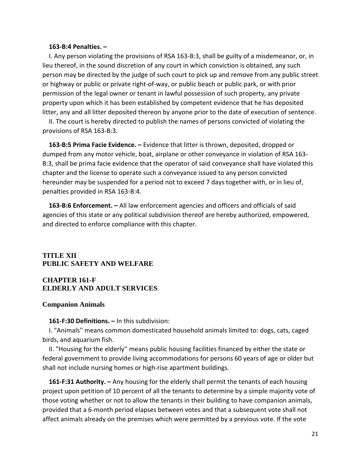#### **163-B:4 Penalties. –**

 I. Any person violating the provisions of RSA 163-B:3, shall be guilty of a misdemeanor, or, in lieu thereof, in the sound discretion of any court in which conviction is obtained, any such person may be directed by the judge of such court to pick up and remove from any public street or highway or public or private right-of-way, or public beach or public park, or with prior permission of the legal owner or tenant in lawful possession of such property, any private property upon which it has been established by competent evidence that he has deposited litter, any and all litter deposited thereon by anyone prior to the date of execution of sentence.

 II. The court is hereby directed to publish the names of persons convicted of violating the provisions of RSA 163-B:3.

 **163-B:5 Prima Facie Evidence. –** Evidence that litter is thrown, deposited, dropped or dumped from any motor vehicle, boat, airplane or other conveyance in violation of RSA 163- B:3, shall be prima facie evidence that the operator of said conveyance shall have violated this chapter and the license to operate such a conveyance issued to any person convicted hereunder may be suspended for a period not to exceed 7 days together with, or in lieu of, penalties provided in RSA 163-B:4.

 **163-B:6 Enforcement. –** All law enforcement agencies and officers and officials of said agencies of this state or any political subdivision thereof are hereby authorized, empowered, and directed to enforce compliance with this chapter.

## **TITLE XII PUBLIC SAFETY AND WELFARE**

## **CHAPTER 161-F ELDERLY AND ADULT SERVICES**

#### **Companion Animals**

#### **161-F:30 Definitions. –** In this subdivision:

 I. "Animals'' means common domesticated household animals limited to: dogs, cats, caged birds, and aquarium fish.

 II. "Housing for the elderly'' means public housing facilities financed by either the state or federal government to provide living accommodations for persons 60 years of age or older but shall not include nursing homes or high-rise apartment buildings.

 **161-F:31 Authority. –** Any housing for the elderly shall permit the tenants of each housing project upon petition of 10 percent of all the tenants to determine by a simple majority vote of those voting whether or not to allow the tenants in their building to have companion animals, provided that a 6-month period elapses between votes and that a subsequent vote shall not affect animals already on the premises which were permitted by a previous vote. If the vote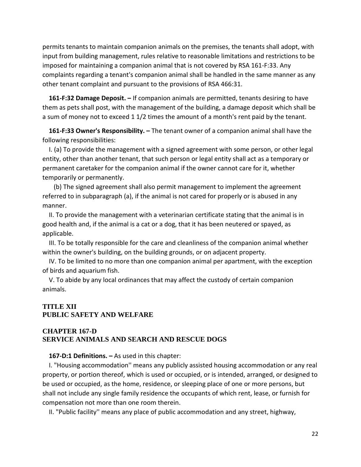permits tenants to maintain companion animals on the premises, the tenants shall adopt, with input from building management, rules relative to reasonable limitations and restrictions to be imposed for maintaining a companion animal that is not covered by RSA 161-F:33. Any complaints regarding a tenant's companion animal shall be handled in the same manner as any other tenant complaint and pursuant to the provisions of RSA 466:31.

 **161-F:32 Damage Deposit. –** If companion animals are permitted, tenants desiring to have them as pets shall post, with the management of the building, a damage deposit which shall be a sum of money not to exceed 1 1/2 times the amount of a month's rent paid by the tenant.

 **161-F:33 Owner's Responsibility. –** The tenant owner of a companion animal shall have the following responsibilities:

 I. (a) To provide the management with a signed agreement with some person, or other legal entity, other than another tenant, that such person or legal entity shall act as a temporary or permanent caretaker for the companion animal if the owner cannot care for it, whether temporarily or permanently.

 (b) The signed agreement shall also permit management to implement the agreement referred to in subparagraph (a), if the animal is not cared for properly or is abused in any manner.

 II. To provide the management with a veterinarian certificate stating that the animal is in good health and, if the animal is a cat or a dog, that it has been neutered or spayed, as applicable.

 III. To be totally responsible for the care and cleanliness of the companion animal whether within the owner's building, on the building grounds, or on adjacent property.

 IV. To be limited to no more than one companion animal per apartment, with the exception of birds and aquarium fish.

 V. To abide by any local ordinances that may affect the custody of certain companion animals.

## **TITLE XII PUBLIC SAFETY AND WELFARE**

## **CHAPTER 167-D SERVICE ANIMALS AND SEARCH AND RESCUE DOGS**

## **167-D:1 Definitions. –** As used in this chapter:

 I. "Housing accommodation'' means any publicly assisted housing accommodation or any real property, or portion thereof, which is used or occupied, or is intended, arranged, or designed to be used or occupied, as the home, residence, or sleeping place of one or more persons, but shall not include any single family residence the occupants of which rent, lease, or furnish for compensation not more than one room therein.

II. "Public facility'' means any place of public accommodation and any street, highway,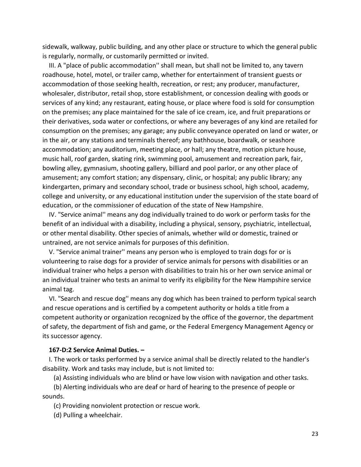sidewalk, walkway, public building, and any other place or structure to which the general public is regularly, normally, or customarily permitted or invited.

 III. A "place of public accommodation'' shall mean, but shall not be limited to, any tavern roadhouse, hotel, motel, or trailer camp, whether for entertainment of transient guests or accommodation of those seeking health, recreation, or rest; any producer, manufacturer, wholesaler, distributor, retail shop, store establishment, or concession dealing with goods or services of any kind; any restaurant, eating house, or place where food is sold for consumption on the premises; any place maintained for the sale of ice cream, ice, and fruit preparations or their derivatives, soda water or confections, or where any beverages of any kind are retailed for consumption on the premises; any garage; any public conveyance operated on land or water, or in the air, or any stations and terminals thereof; any bathhouse, boardwalk, or seashore accommodation; any auditorium, meeting place, or hall; any theatre, motion picture house, music hall, roof garden, skating rink, swimming pool, amusement and recreation park, fair, bowling alley, gymnasium, shooting gallery, billiard and pool parlor, or any other place of amusement; any comfort station; any dispensary, clinic, or hospital; any public library; any kindergarten, primary and secondary school, trade or business school, high school, academy, college and university, or any educational institution under the supervision of the state board of education, or the commissioner of education of the state of New Hampshire.

 IV. "Service animal'' means any dog individually trained to do work or perform tasks for the benefit of an individual with a disability, including a physical, sensory, psychiatric, intellectual, or other mental disability. Other species of animals, whether wild or domestic, trained or untrained, are not service animals for purposes of this definition.

 V. "Service animal trainer'' means any person who is employed to train dogs for or is volunteering to raise dogs for a provider of service animals for persons with disabilities or an individual trainer who helps a person with disabilities to train his or her own service animal or an individual trainer who tests an animal to verify its eligibility for the New Hampshire service animal tag.

 VI. "Search and rescue dog'' means any dog which has been trained to perform typical search and rescue operations and is certified by a competent authority or holds a title from a competent authority or organization recognized by the office of the governor, the department of safety, the department of fish and game, or the Federal Emergency Management Agency or its successor agency.

## **167-D:2 Service Animal Duties. –**

 I. The work or tasks performed by a service animal shall be directly related to the handler's disability. Work and tasks may include, but is not limited to:

(a) Assisting individuals who are blind or have low vision with navigation and other tasks.

 (b) Alerting individuals who are deaf or hard of hearing to the presence of people or sounds.

(c) Providing nonviolent protection or rescue work.

(d) Pulling a wheelchair.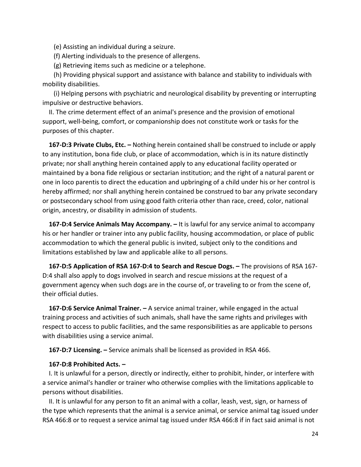(e) Assisting an individual during a seizure.

(f) Alerting individuals to the presence of allergens.

(g) Retrieving items such as medicine or a telephone.

 (h) Providing physical support and assistance with balance and stability to individuals with mobility disabilities.

 (i) Helping persons with psychiatric and neurological disability by preventing or interrupting impulsive or destructive behaviors.

 II. The crime determent effect of an animal's presence and the provision of emotional support, well-being, comfort, or companionship does not constitute work or tasks for the purposes of this chapter.

 **167-D:3 Private Clubs, Etc. –** Nothing herein contained shall be construed to include or apply to any institution, bona fide club, or place of accommodation, which is in its nature distinctly private; nor shall anything herein contained apply to any educational facility operated or maintained by a bona fide religious or sectarian institution; and the right of a natural parent or one in loco parentis to direct the education and upbringing of a child under his or her control is hereby affirmed; nor shall anything herein contained be construed to bar any private secondary or postsecondary school from using good faith criteria other than race, creed, color, national origin, ancestry, or disability in admission of students.

 **167-D:4 Service Animals May Accompany. –** It is lawful for any service animal to accompany his or her handler or trainer into any public facility, housing accommodation, or place of public accommodation to which the general public is invited, subject only to the conditions and limitations established by law and applicable alike to all persons.

 **167-D:5 Application of RSA 167-D:4 to Search and Rescue Dogs. –** The provisions of RSA 167- D:4 shall also apply to dogs involved in search and rescue missions at the request of a government agency when such dogs are in the course of, or traveling to or from the scene of, their official duties.

 **167-D:6 Service Animal Trainer. –** A service animal trainer, while engaged in the actual training process and activities of such animals, shall have the same rights and privileges with respect to access to public facilities, and the same responsibilities as are applicable to persons with disabilities using a service animal.

**167-D:7 Licensing. –** Service animals shall be licensed as provided in RSA 466.

#### **167-D:8 Prohibited Acts. –**

 I. It is unlawful for a person, directly or indirectly, either to prohibit, hinder, or interfere with a service animal's handler or trainer who otherwise complies with the limitations applicable to persons without disabilities.

 II. It is unlawful for any person to fit an animal with a collar, leash, vest, sign, or harness of the type which represents that the animal is a service animal, or service animal tag issued under RSA 466:8 or to request a service animal tag issued under RSA 466:8 if in fact said animal is not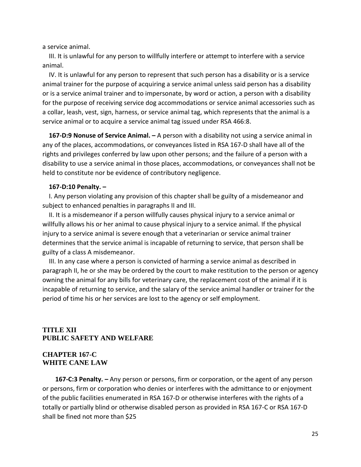a service animal.

 III. It is unlawful for any person to willfully interfere or attempt to interfere with a service animal.

 IV. It is unlawful for any person to represent that such person has a disability or is a service animal trainer for the purpose of acquiring a service animal unless said person has a disability or is a service animal trainer and to impersonate, by word or action, a person with a disability for the purpose of receiving service dog accommodations or service animal accessories such as a collar, leash, vest, sign, harness, or service animal tag, which represents that the animal is a service animal or to acquire a service animal tag issued under RSA 466:8.

 **167-D:9 Nonuse of Service Animal. –** A person with a disability not using a service animal in any of the places, accommodations, or conveyances listed in RSA 167-D shall have all of the rights and privileges conferred by law upon other persons; and the failure of a person with a disability to use a service animal in those places, accommodations, or conveyances shall not be held to constitute nor be evidence of contributory negligence.

#### **167-D:10 Penalty. –**

 I. Any person violating any provision of this chapter shall be guilty of a misdemeanor and subject to enhanced penalties in paragraphs II and III.

 II. It is a misdemeanor if a person willfully causes physical injury to a service animal or willfully allows his or her animal to cause physical injury to a service animal. If the physical injury to a service animal is severe enough that a veterinarian or service animal trainer determines that the service animal is incapable of returning to service, that person shall be guilty of a class A misdemeanor.

 III. In any case where a person is convicted of harming a service animal as described in paragraph II, he or she may be ordered by the court to make restitution to the person or agency owning the animal for any bills for veterinary care, the replacement cost of the animal if it is incapable of returning to service, and the salary of the service animal handler or trainer for the period of time his or her services are lost to the agency or self employment.

## **TITLE XII PUBLIC SAFETY AND WELFARE**

## **CHAPTER 167-C WHITE CANE LAW**

 **167-C:3 Penalty. –** Any person or persons, firm or corporation, or the agent of any person or persons, firm or corporation who denies or interferes with the admittance to or enjoyment of the public facilities enumerated in RSA 167-D or otherwise interferes with the rights of a totally or partially blind or otherwise disabled person as provided in RSA 167-C or RSA 167-D shall be fined not more than \$25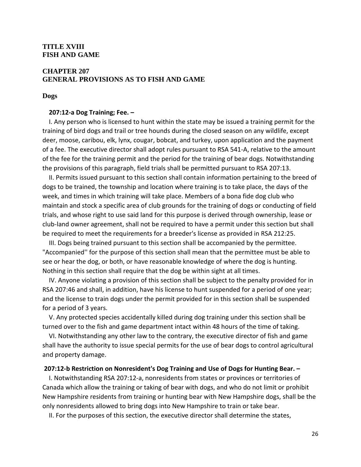## **TITLE XVIII FISH AND GAME**

## **CHAPTER 207 GENERAL PROVISIONS AS TO FISH AND GAME**

**Dogs**

#### **207:12-a Dog Training; Fee. –**

 I. Any person who is licensed to hunt within the state may be issued a training permit for the training of bird dogs and trail or tree hounds during the closed season on any wildlife, except deer, moose, caribou, elk, lynx, cougar, bobcat, and turkey, upon application and the payment of a fee. The executive director shall adopt rules pursuant to RSA 541-A, relative to the amount of the fee for the training permit and the period for the training of bear dogs. Notwithstanding the provisions of this paragraph, field trials shall be permitted pursuant to RSA 207:13.

 II. Permits issued pursuant to this section shall contain information pertaining to the breed of dogs to be trained, the township and location where training is to take place, the days of the week, and times in which training will take place. Members of a bona fide dog club who maintain and stock a specific area of club grounds for the training of dogs or conducting of field trials, and whose right to use said land for this purpose is derived through ownership, lease or club-land owner agreement, shall not be required to have a permit under this section but shall be required to meet the requirements for a breeder's license as provided in RSA 212:25.

 III. Dogs being trained pursuant to this section shall be accompanied by the permittee. "Accompanied'' for the purpose of this section shall mean that the permittee must be able to see or hear the dog, or both, or have reasonable knowledge of where the dog is hunting. Nothing in this section shall require that the dog be within sight at all times.

 IV. Anyone violating a provision of this section shall be subject to the penalty provided for in RSA 207:46 and shall, in addition, have his license to hunt suspended for a period of one year; and the license to train dogs under the permit provided for in this section shall be suspended for a period of 3 years.

 V. Any protected species accidentally killed during dog training under this section shall be turned over to the fish and game department intact within 48 hours of the time of taking.

 VI. Notwithstanding any other law to the contrary, the executive director of fish and game shall have the authority to issue special permits for the use of bear dogs to control agricultural and property damage.

#### **207:12-b Restriction on Nonresident's Dog Training and Use of Dogs for Hunting Bear. –**

 I. Notwithstanding RSA 207:12-a, nonresidents from states or provinces or territories of Canada which allow the training or taking of bear with dogs, and who do not limit or prohibit New Hampshire residents from training or hunting bear with New Hampshire dogs, shall be the only nonresidents allowed to bring dogs into New Hampshire to train or take bear.

II. For the purposes of this section, the executive director shall determine the states,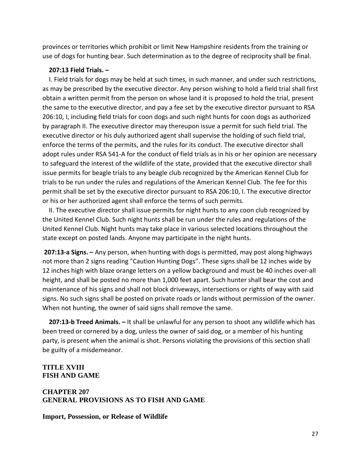provinces or territories which prohibit or limit New Hampshire residents from the training or use of dogs for hunting bear. Such determination as to the degree of reciprocity shall be final.

## **207:13 Field Trials. –**

 I. Field trials for dogs may be held at such times, in such manner, and under such restrictions, as may be prescribed by the executive director. Any person wishing to hold a field trial shall first obtain a written permit from the person on whose land it is proposed to hold the trial, present the same to the executive director, and pay a fee set by the executive director pursuant to RSA 206:10, I, including field trials for coon dogs and such night hunts for coon dogs as authorized by paragraph II. The executive director may thereupon issue a permit for such field trial. The executive director or his duly authorized agent shall supervise the holding of such field trial, enforce the terms of the permits, and the rules for its conduct. The executive director shall adopt rules under RSA 541-A for the conduct of field trials as in his or her opinion are necessary to safeguard the interest of the wildlife of the state, provided that the executive director shall issue permits for beagle trials to any beagle club recognized by the American Kennel Club for trials to be run under the rules and regulations of the American Kennel Club. The fee for this permit shall be set by the executive director pursuant to RSA 206:10, I. The executive director or his or her authorized agent shall enforce the terms of such permits.

 II. The executive director shall issue permits for night hunts to any coon club recognized by the United Kennel Club. Such night hunts shall be run under the rules and regulations of the United Kennel Club. Night hunts may take place in various selected locations throughout the state except on posted lands. Anyone may participate in the night hunts.

**207:13-a Signs. –** Any person, when hunting with dogs is permitted, may post along highways not more than 2 signs reading "Caution Hunting Dogs''. These signs shall be 12 inches wide by 12 inches high with blaze orange letters on a yellow background and must be 40 inches over-all height, and shall be posted no more than 1,000 feet apart. Such hunter shall bear the cost and maintenance of his signs and shall not block driveways, intersections or rights of way with said signs. No such signs shall be posted on private roads or lands without permission of the owner. When not hunting, the owner of said signs shall remove the same.

 **207:13-b Treed Animals. –** It shall be unlawful for any person to shoot any wildlife which has been treed or cornered by a dog, unless the owner of said dog, or a member of his hunting party, is present when the animal is shot. Persons violating the provisions of this section shall be guilty of a misdemeanor.

## **TITLE XVIII FISH AND GAME**

## **CHAPTER 207 GENERAL PROVISIONS AS TO FISH AND GAME**

**Import, Possession, or Release of Wildlife**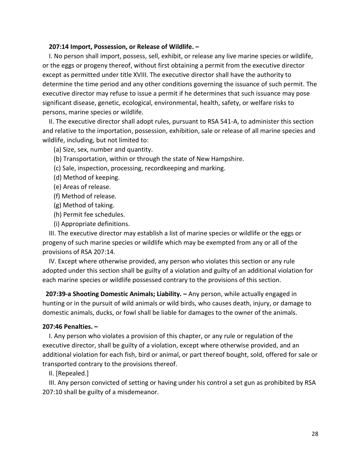#### **207:14 Import, Possession, or Release of Wildlife. –**

 I. No person shall import, possess, sell, exhibit, or release any live marine species or wildlife, or the eggs or progeny thereof, without first obtaining a permit from the executive director except as permitted under title XVIII. The executive director shall have the authority to determine the time period and any other conditions governing the issuance of such permit. The executive director may refuse to issue a permit if he determines that such issuance may pose significant disease, genetic, ecological, environmental, health, safety, or welfare risks to persons, marine species or wildlife.

 II. The executive director shall adopt rules, pursuant to RSA 541-A, to administer this section and relative to the importation, possession, exhibition, sale or release of all marine species and wildlife, including, but not limited to:

(a) Size, sex, number and quantity.

- (b) Transportation, within or through the state of New Hampshire.
- (c) Sale, inspection, processing, recordkeeping and marking.
- (d) Method of keeping.
- (e) Areas of release.
- (f) Method of release.
- (g) Method of taking.
- (h) Permit fee schedules.
- (i) Appropriate definitions.

 III. The executive director may establish a list of marine species or wildlife or the eggs or progeny of such marine species or wildlife which may be exempted from any or all of the provisions of RSA 207:14.

 IV. Except where otherwise provided, any person who violates this section or any rule adopted under this section shall be guilty of a violation and guilty of an additional violation for each marine species or wildlife possessed contrary to the provisions of this section.

**207:39-a Shooting Domestic Animals; Liability. –** Any person, while actually engaged in hunting or in the pursuit of wild animals or wild birds, who causes death, injury, or damage to domestic animals, ducks, or fowl shall be liable for damages to the owner of the animals.

#### **207:46 Penalties. –**

 I. Any person who violates a provision of this chapter, or any rule or regulation of the executive director, shall be guilty of a violation, except where otherwise provided, and an additional violation for each fish, bird or animal, or part thereof bought, sold, offered for sale or transported contrary to the provisions thereof.

II. [Repealed.]

 III. Any person convicted of setting or having under his control a set gun as prohibited by RSA 207:10 shall be guilty of a misdemeanor.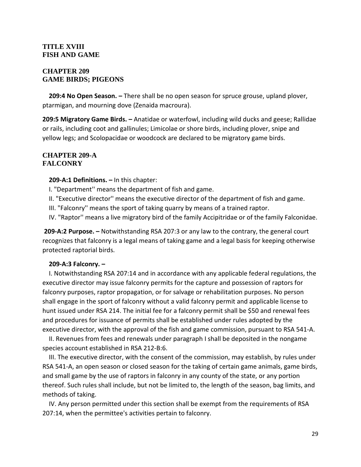## **TITLE XVIII FISH AND GAME**

## **CHAPTER 209 GAME BIRDS; PIGEONS**

 **209:4 No Open Season. –** There shall be no open season for spruce grouse, upland plover, ptarmigan, and mourning dove (Zenaida macroura).

**209:5 Migratory Game Birds. –** Anatidae or waterfowl, including wild ducks and geese; Rallidae or rails, including coot and gallinules; Limicolae or shore birds, including plover, snipe and yellow legs; and Scolopacidae or woodcock are declared to be migratory game birds.

## **CHAPTER 209-A FALCONRY**

**209-A:1 Definitions. –** In this chapter:

I. "Department'' means the department of fish and game.

II. "Executive director'' means the executive director of the department of fish and game.

III. "Falconry'' means the sport of taking quarry by means of a trained raptor.

IV. "Raptor'' means a live migratory bird of the family Accipitridae or of the family Falconidae.

**209-A:2 Purpose. –** Notwithstanding RSA 207:3 or any law to the contrary, the general court recognizes that falconry is a legal means of taking game and a legal basis for keeping otherwise protected raptorial birds.

## **209-A:3 Falconry. –**

 I. Notwithstanding RSA 207:14 and in accordance with any applicable federal regulations, the executive director may issue falconry permits for the capture and possession of raptors for falconry purposes, raptor propagation, or for salvage or rehabilitation purposes. No person shall engage in the sport of falconry without a valid falconry permit and applicable license to hunt issued under RSA 214. The initial fee for a falconry permit shall be \$50 and renewal fees and procedures for issuance of permits shall be established under rules adopted by the executive director, with the approval of the fish and game commission, pursuant to RSA 541-A.

 II. Revenues from fees and renewals under paragraph I shall be deposited in the nongame species account established in RSA 212-B:6.

 III. The executive director, with the consent of the commission, may establish, by rules under RSA 541-A, an open season or closed season for the taking of certain game animals, game birds, and small game by the use of raptors in falconry in any county of the state, or any portion thereof. Such rules shall include, but not be limited to, the length of the season, bag limits, and methods of taking.

 IV. Any person permitted under this section shall be exempt from the requirements of RSA 207:14, when the permittee's activities pertain to falconry.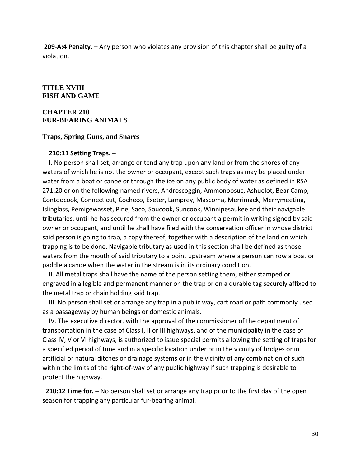**209-A:4 Penalty. –** Any person who violates any provision of this chapter shall be guilty of a violation.

## **TITLE XVIII FISH AND GAME**

#### **CHAPTER 210 FUR-BEARING ANIMALS**

#### **Traps, Spring Guns, and Snares**

#### **210:11 Setting Traps. –**

 I. No person shall set, arrange or tend any trap upon any land or from the shores of any waters of which he is not the owner or occupant, except such traps as may be placed under water from a boat or canoe or through the ice on any public body of water as defined in RSA 271:20 or on the following named rivers, Androscoggin, Ammonoosuc, Ashuelot, Bear Camp, Contoocook, Connecticut, Cocheco, Exeter, Lamprey, Mascoma, Merrimack, Merrymeeting, Islinglass, Pemigewasset, Pine, Saco, Soucook, Suncook, Winnipesaukee and their navigable tributaries, until he has secured from the owner or occupant a permit in writing signed by said owner or occupant, and until he shall have filed with the conservation officer in whose district said person is going to trap, a copy thereof, together with a description of the land on which trapping is to be done. Navigable tributary as used in this section shall be defined as those waters from the mouth of said tributary to a point upstream where a person can row a boat or paddle a canoe when the water in the stream is in its ordinary condition.

 II. All metal traps shall have the name of the person setting them, either stamped or engraved in a legible and permanent manner on the trap or on a durable tag securely affixed to the metal trap or chain holding said trap.

 III. No person shall set or arrange any trap in a public way, cart road or path commonly used as a passageway by human beings or domestic animals.

 IV. The executive director, with the approval of the commissioner of the department of transportation in the case of Class I, II or III highways, and of the municipality in the case of Class IV, V or VI highways, is authorized to issue special permits allowing the setting of traps for a specified period of time and in a specific location under or in the vicinity of bridges or in artificial or natural ditches or drainage systems or in the vicinity of any combination of such within the limits of the right-of-way of any public highway if such trapping is desirable to protect the highway.

**210:12 Time for. –** No person shall set or arrange any trap prior to the first day of the open season for trapping any particular fur-bearing animal.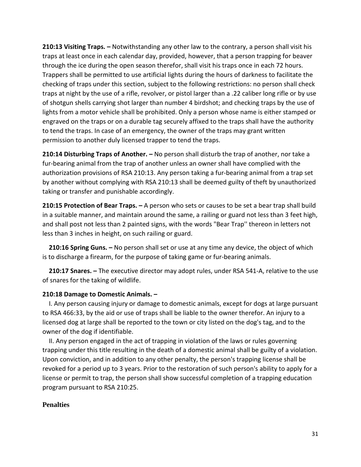**210:13 Visiting Traps. –** Notwithstanding any other law to the contrary, a person shall visit his traps at least once in each calendar day, provided, however, that a person trapping for beaver through the ice during the open season therefor, shall visit his traps once in each 72 hours. Trappers shall be permitted to use artificial lights during the hours of darkness to facilitate the checking of traps under this section, subject to the following restrictions: no person shall check traps at night by the use of a rifle, revolver, or pistol larger than a .22 caliber long rifle or by use of shotgun shells carrying shot larger than number 4 birdshot; and checking traps by the use of lights from a motor vehicle shall be prohibited. Only a person whose name is either stamped or engraved on the traps or on a durable tag securely affixed to the traps shall have the authority to tend the traps. In case of an emergency, the owner of the traps may grant written permission to another duly licensed trapper to tend the traps.

**210:14 Disturbing Traps of Another. –** No person shall disturb the trap of another, nor take a fur-bearing animal from the trap of another unless an owner shall have complied with the authorization provisions of RSA 210:13. Any person taking a fur-bearing animal from a trap set by another without complying with RSA 210:13 shall be deemed guilty of theft by unauthorized taking or transfer and punishable accordingly.

**210:15 Protection of Bear Traps. –** A person who sets or causes to be set a bear trap shall build in a suitable manner, and maintain around the same, a railing or guard not less than 3 feet high, and shall post not less than 2 painted signs, with the words "Bear Trap'' thereon in letters not less than 3 inches in height, on such railing or guard.

 **210:16 Spring Guns. –** No person shall set or use at any time any device, the object of which is to discharge a firearm, for the purpose of taking game or fur-bearing animals.

 **210:17 Snares. –** The executive director may adopt rules, under RSA 541-A, relative to the use of snares for the taking of wildlife.

## **210:18 Damage to Domestic Animals. –**

 I. Any person causing injury or damage to domestic animals, except for dogs at large pursuant to RSA 466:33, by the aid or use of traps shall be liable to the owner therefor. An injury to a licensed dog at large shall be reported to the town or city listed on the dog's tag, and to the owner of the dog if identifiable.

 II. Any person engaged in the act of trapping in violation of the laws or rules governing trapping under this title resulting in the death of a domestic animal shall be guilty of a violation. Upon conviction, and in addition to any other penalty, the person's trapping license shall be revoked for a period up to 3 years. Prior to the restoration of such person's ability to apply for a license or permit to trap, the person shall show successful completion of a trapping education program pursuant to RSA 210:25.

#### **Penalties**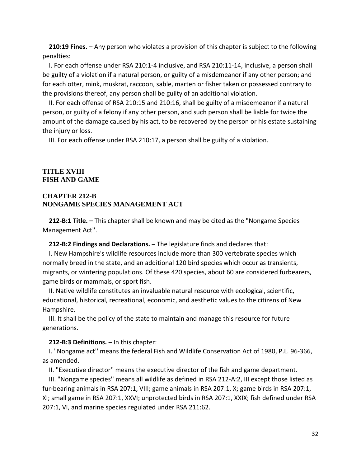**210:19 Fines. –** Any person who violates a provision of this chapter is subject to the following penalties:

 I. For each offense under RSA 210:1-4 inclusive, and RSA 210:11-14, inclusive, a person shall be guilty of a violation if a natural person, or guilty of a misdemeanor if any other person; and for each otter, mink, muskrat, raccoon, sable, marten or fisher taken or possessed contrary to the provisions thereof, any person shall be guilty of an additional violation.

 II. For each offense of RSA 210:15 and 210:16, shall be guilty of a misdemeanor if a natural person, or guilty of a felony if any other person, and such person shall be liable for twice the amount of the damage caused by his act, to be recovered by the person or his estate sustaining the injury or loss.

III. For each offense under RSA 210:17, a person shall be guilty of a violation.

## **TITLE XVIII FISH AND GAME**

## **CHAPTER 212-B NONGAME SPECIES MANAGEMENT ACT**

 **212-B:1 Title. –** This chapter shall be known and may be cited as the "Nongame Species Management Act''.

**212-B:2 Findings and Declarations. –** The legislature finds and declares that:

 I. New Hampshire's wildlife resources include more than 300 vertebrate species which normally breed in the state, and an additional 120 bird species which occur as transients, migrants, or wintering populations. Of these 420 species, about 60 are considered furbearers, game birds or mammals, or sport fish.

 II. Native wildlife constitutes an invaluable natural resource with ecological, scientific, educational, historical, recreational, economic, and aesthetic values to the citizens of New Hampshire.

 III. It shall be the policy of the state to maintain and manage this resource for future generations.

#### **212-B:3 Definitions. –** In this chapter:

 I. "Nongame act'' means the federal Fish and Wildlife Conservation Act of 1980, P.L. 96-366, as amended.

II. "Executive director'' means the executive director of the fish and game department.

 III. "Nongame species'' means all wildlife as defined in RSA 212-A:2, III except those listed as fur-bearing animals in RSA 207:1, VIII; game animals in RSA 207:1, X; game birds in RSA 207:1, XI; small game in RSA 207:1, XXVI; unprotected birds in RSA 207:1, XXIX; fish defined under RSA 207:1, VI, and marine species regulated under RSA 211:62.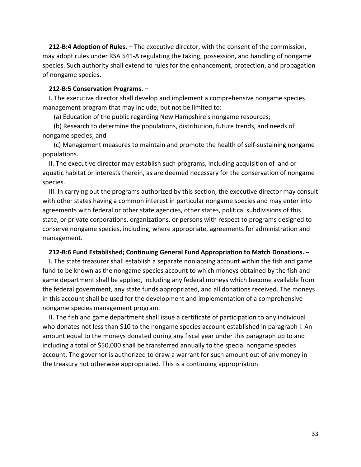**212-B:4 Adoption of Rules. –** The executive director, with the consent of the commission, may adopt rules under RSA 541-A regulating the taking, possession, and handling of nongame species. Such authority shall extend to rules for the enhancement, protection, and propagation of nongame species.

#### **212-B:5 Conservation Programs. –**

 I. The executive director shall develop and implement a comprehensive nongame species management program that may include, but not be limited to:

(a) Education of the public regarding New Hampshire's nongame resources;

 (b) Research to determine the populations, distribution, future trends, and needs of nongame species; and

 (c) Management measures to maintain and promote the health of self-sustaining nongame populations.

 II. The executive director may establish such programs, including acquisition of land or aquatic habitat or interests therein, as are deemed necessary for the conservation of nongame species.

 III. In carrying out the programs authorized by this section, the executive director may consult with other states having a common interest in particular nongame species and may enter into agreements with federal or other state agencies, other states, political subdivisions of this state, or private corporations, organizations, or persons with respect to programs designed to conserve nongame species, including, where appropriate, agreements for administration and management.

#### **212-B:6 Fund Established; Continuing General Fund Appropriation to Match Donations. –**

 I. The state treasurer shall establish a separate nonlapsing account within the fish and game fund to be known as the nongame species account to which moneys obtained by the fish and game department shall be applied, including any federal moneys which become available from the federal government, any state funds appropriated, and all donations received. The moneys in this account shall be used for the development and implementation of a comprehensive nongame species management program.

 II. The fish and game department shall issue a certificate of participation to any individual who donates not less than \$10 to the nongame species account established in paragraph I. An amount equal to the moneys donated during any fiscal year under this paragraph up to and including a total of \$50,000 shall be transferred annually to the special nongame species account. The governor is authorized to draw a warrant for such amount out of any money in the treasury not otherwise appropriated. This is a continuing appropriation.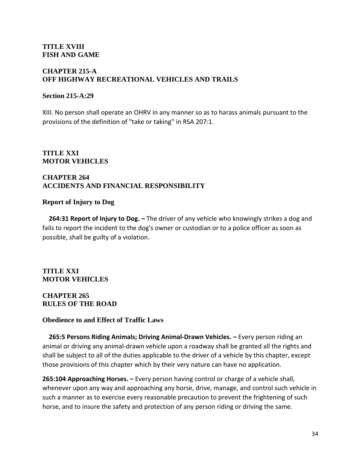## **TITLE XVIII FISH AND GAME**

## **CHAPTER 215-A OFF HIGHWAY RECREATIONAL VEHICLES AND TRAILS**

## **Section 215-A:29**

XIII. No person shall operate an OHRV in any manner so as to harass animals pursuant to the provisions of the definition of "take or taking'' in RSA 207:1.

## **TITLE XXI MOTOR VEHICLES**

## **CHAPTER 264 ACCIDENTS AND FINANCIAL RESPONSIBILITY**

## **Report of Injury to Dog**

 **264:31 Report of Injury to Dog. –** The driver of any vehicle who knowingly strikes a dog and fails to report the incident to the dog's owner or custodian or to a police officer as soon as possible, shall be guilty of a violation.

**TITLE XXI MOTOR VEHICLES**

## **CHAPTER 265 RULES OF THE ROAD**

## **Obedience to and Effect of Traffic Laws**

 **265:5 Persons Riding Animals; Driving Animal-Drawn Vehicles. –** Every person riding an animal or driving any animal-drawn vehicle upon a roadway shall be granted all the rights and shall be subject to all of the duties applicable to the driver of a vehicle by this chapter, except those provisions of this chapter which by their very nature can have no application.

**265:104 Approaching Horses. –** Every person having control or charge of a vehicle shall, whenever upon any way and approaching any horse, drive, manage, and control such vehicle in such a manner as to exercise every reasonable precaution to prevent the frightening of such horse, and to insure the safety and protection of any person riding or driving the same.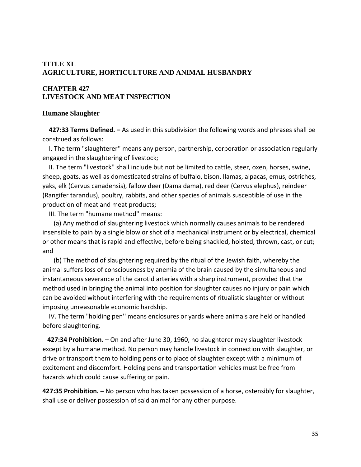## **TITLE XL AGRICULTURE, HORTICULTURE AND ANIMAL HUSBANDRY**

## **CHAPTER 427 LIVESTOCK AND MEAT INSPECTION**

## **Humane Slaughter**

 **427:33 Terms Defined. –** As used in this subdivision the following words and phrases shall be construed as follows:

 I. The term "slaughterer'' means any person, partnership, corporation or association regularly engaged in the slaughtering of livestock;

 II. The term "livestock'' shall include but not be limited to cattle, steer, oxen, horses, swine, sheep, goats, as well as domesticated strains of buffalo, bison, llamas, alpacas, emus, ostriches, yaks, elk (Cervus canadensis), fallow deer (Dama dama), red deer (Cervus elephus), reindeer (Rangifer tarandus), poultry, rabbits, and other species of animals susceptible of use in the production of meat and meat products;

III. The term "humane method'' means:

 (a) Any method of slaughtering livestock which normally causes animals to be rendered insensible to pain by a single blow or shot of a mechanical instrument or by electrical, chemical or other means that is rapid and effective, before being shackled, hoisted, thrown, cast, or cut; and

 (b) The method of slaughtering required by the ritual of the Jewish faith, whereby the animal suffers loss of consciousness by anemia of the brain caused by the simultaneous and instantaneous severance of the carotid arteries with a sharp instrument, provided that the method used in bringing the animal into position for slaughter causes no injury or pain which can be avoided without interfering with the requirements of ritualistic slaughter or without imposing unreasonable economic hardship.

 IV. The term "holding pen'' means enclosures or yards where animals are held or handled before slaughtering.

 **427:34 Prohibition. –** On and after June 30, 1960, no slaughterer may slaughter livestock except by a humane method. No person may handle livestock in connection with slaughter, or drive or transport them to holding pens or to place of slaughter except with a minimum of excitement and discomfort. Holding pens and transportation vehicles must be free from hazards which could cause suffering or pain.

**427:35 Prohibition. –** No person who has taken possession of a horse, ostensibly for slaughter, shall use or deliver possession of said animal for any other purpose.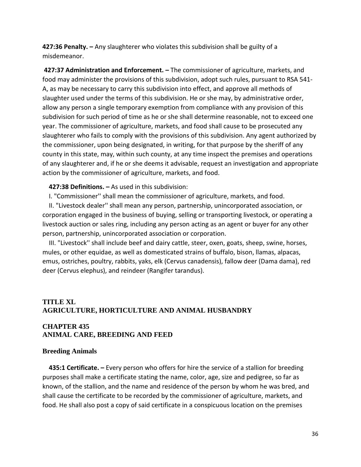**427:36 Penalty. –** Any slaughterer who violates this subdivision shall be guilty of a misdemeanor.

**427:37 Administration and Enforcement. –** The commissioner of agriculture, markets, and food may administer the provisions of this subdivision, adopt such rules, pursuant to RSA 541- A, as may be necessary to carry this subdivision into effect, and approve all methods of slaughter used under the terms of this subdivision. He or she may, by administrative order, allow any person a single temporary exemption from compliance with any provision of this subdivision for such period of time as he or she shall determine reasonable, not to exceed one year. The commissioner of agriculture, markets, and food shall cause to be prosecuted any slaughterer who fails to comply with the provisions of this subdivision. Any agent authorized by the commissioner, upon being designated, in writing, for that purpose by the sheriff of any county in this state, may, within such county, at any time inspect the premises and operations of any slaughterer and, if he or she deems it advisable, request an investigation and appropriate action by the commissioner of agriculture, markets, and food.

## **427:38 Definitions. –** As used in this subdivision:

I. "Commissioner'' shall mean the commissioner of agriculture, markets, and food.

 II. "Livestock dealer'' shall mean any person, partnership, unincorporated association, or corporation engaged in the business of buying, selling or transporting livestock, or operating a livestock auction or sales ring, including any person acting as an agent or buyer for any other person, partnership, unincorporated association or corporation.

 III. "Livestock'' shall include beef and dairy cattle, steer, oxen, goats, sheep, swine, horses, mules, or other equidae, as well as domesticated strains of buffalo, bison, llamas, alpacas, emus, ostriches, poultry, rabbits, yaks, elk (Cervus canadensis), fallow deer (Dama dama), red deer (Cervus elephus), and reindeer (Rangifer tarandus).

## **TITLE XL AGRICULTURE, HORTICULTURE AND ANIMAL HUSBANDRY**

## **CHAPTER 435 ANIMAL CARE, BREEDING AND FEED**

#### **Breeding Animals**

 **435:1 Certificate. –** Every person who offers for hire the service of a stallion for breeding purposes shall make a certificate stating the name, color, age, size and pedigree, so far as known, of the stallion, and the name and residence of the person by whom he was bred, and shall cause the certificate to be recorded by the commissioner of agriculture, markets, and food. He shall also post a copy of said certificate in a conspicuous location on the premises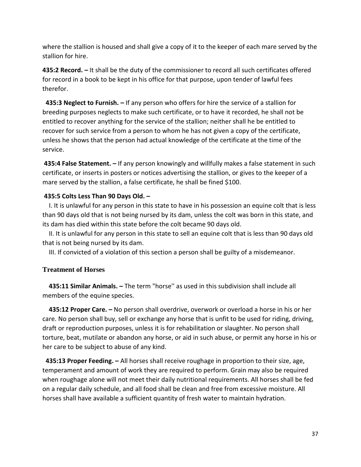where the stallion is housed and shall give a copy of it to the keeper of each mare served by the stallion for hire.

**435:2 Record. –** It shall be the duty of the commissioner to record all such certificates offered for record in a book to be kept in his office for that purpose, upon tender of lawful fees therefor.

**435:3 Neglect to Furnish. –** If any person who offers for hire the service of a stallion for breeding purposes neglects to make such certificate, or to have it recorded, he shall not be entitled to recover anything for the service of the stallion; neither shall he be entitled to recover for such service from a person to whom he has not given a copy of the certificate, unless he shows that the person had actual knowledge of the certificate at the time of the service.

**435:4 False Statement. –** If any person knowingly and willfully makes a false statement in such certificate, or inserts in posters or notices advertising the stallion, or gives to the keeper of a mare served by the stallion, a false certificate, he shall be fined \$100.

## **435:5 Colts Less Than 90 Days Old. –**

 I. It is unlawful for any person in this state to have in his possession an equine colt that is less than 90 days old that is not being nursed by its dam, unless the colt was born in this state, and its dam has died within this state before the colt became 90 days old.

 II. It is unlawful for any person in this state to sell an equine colt that is less than 90 days old that is not being nursed by its dam.

III. If convicted of a violation of this section a person shall be guilty of a misdemeanor.

## **Treatment of Horses**

 **435:11 Similar Animals. –** The term "horse'' as used in this subdivision shall include all members of the equine species.

 **435:12 Proper Care. –** No person shall overdrive, overwork or overload a horse in his or her care. No person shall buy, sell or exchange any horse that is unfit to be used for riding, driving, draft or reproduction purposes, unless it is for rehabilitation or slaughter. No person shall torture, beat, mutilate or abandon any horse, or aid in such abuse, or permit any horse in his or her care to be subject to abuse of any kind.

**435:13 Proper Feeding. –** All horses shall receive roughage in proportion to their size, age, temperament and amount of work they are required to perform. Grain may also be required when roughage alone will not meet their daily nutritional requirements. All horses shall be fed on a regular daily schedule, and all food shall be clean and free from excessive moisture. All horses shall have available a sufficient quantity of fresh water to maintain hydration.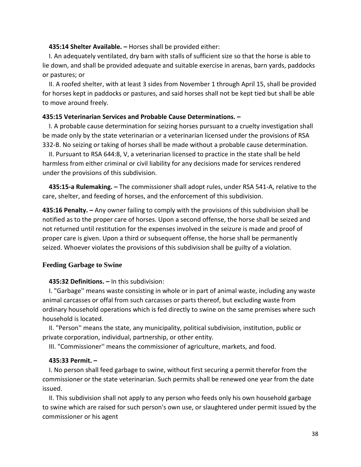### **435:14 Shelter Available. –** Horses shall be provided either:

 I. An adequately ventilated, dry barn with stalls of sufficient size so that the horse is able to lie down, and shall be provided adequate and suitable exercise in arenas, barn yards, paddocks or pastures; or

 II. A roofed shelter, with at least 3 sides from November 1 through April 15, shall be provided for horses kept in paddocks or pastures, and said horses shall not be kept tied but shall be able to move around freely.

## **435:15 Veterinarian Services and Probable Cause Determinations. –**

 I. A probable cause determination for seizing horses pursuant to a cruelty investigation shall be made only by the state veterinarian or a veterinarian licensed under the provisions of RSA 332-B. No seizing or taking of horses shall be made without a probable cause determination.

 II. Pursuant to RSA 644:8, V, a veterinarian licensed to practice in the state shall be held harmless from either criminal or civil liability for any decisions made for services rendered under the provisions of this subdivision.

 **435:15-a Rulemaking. –** The commissioner shall adopt rules, under RSA 541-A, relative to the care, shelter, and feeding of horses, and the enforcement of this subdivision.

**435:16 Penalty. –** Any owner failing to comply with the provisions of this subdivision shall be notified as to the proper care of horses. Upon a second offense, the horse shall be seized and not returned until restitution for the expenses involved in the seizure is made and proof of proper care is given. Upon a third or subsequent offense, the horse shall be permanently seized. Whoever violates the provisions of this subdivision shall be guilty of a violation.

## **Feeding Garbage to Swine**

## **435:32 Definitions. –** In this subdivision:

 I. "Garbage'' means waste consisting in whole or in part of animal waste, including any waste animal carcasses or offal from such carcasses or parts thereof, but excluding waste from ordinary household operations which is fed directly to swine on the same premises where such household is located.

 II. "Person'' means the state, any municipality, political subdivision, institution, public or private corporation, individual, partnership, or other entity.

III. "Commissioner'' means the commissioner of agriculture, markets, and food.

## **435:33 Permit. –**

 I. No person shall feed garbage to swine, without first securing a permit therefor from the commissioner or the state veterinarian. Such permits shall be renewed one year from the date issued.

 II. This subdivision shall not apply to any person who feeds only his own household garbage to swine which are raised for such person's own use, or slaughtered under permit issued by the commissioner or his agent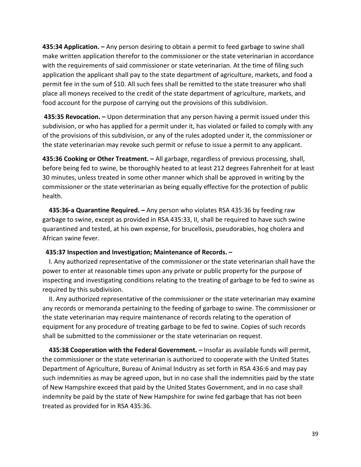**435:34 Application. –** Any person desiring to obtain a permit to feed garbage to swine shall make written application therefor to the commissioner or the state veterinarian in accordance with the requirements of said commissioner or state veterinarian. At the time of filing such application the applicant shall pay to the state department of agriculture, markets, and food a permit fee in the sum of \$10. All such fees shall be remitted to the state treasurer who shall place all moneys received to the credit of the state department of agriculture, markets, and food account for the purpose of carrying out the provisions of this subdivision.

**435:35 Revocation. –** Upon determination that any person having a permit issued under this subdivision, or who has applied for a permit under it, has violated or failed to comply with any of the provisions of this subdivision, or any of the rules adopted under it, the commissioner or the state veterinarian may revoke such permit or refuse to issue a permit to any applicant.

**435:36 Cooking or Other Treatment. –** All garbage, regardless of previous processing, shall, before being fed to swine, be thoroughly heated to at least 212 degrees Fahrenheit for at least 30 minutes, unless treated in some other manner which shall be approved in writing by the commissioner or the state veterinarian as being equally effective for the protection of public health.

 **435:36-a Quarantine Required. –** Any person who violates RSA 435:36 by feeding raw garbage to swine, except as provided in RSA 435:33, II, shall be required to have such swine quarantined and tested, at his own expense, for brucellosis, pseudorabies, hog cholera and African swine fever.

### **435:37 Inspection and Investigation; Maintenance of Records. –**

 I. Any authorized representative of the commissioner or the state veterinarian shall have the power to enter at reasonable times upon any private or public property for the purpose of inspecting and investigating conditions relating to the treating of garbage to be fed to swine as required by this subdivision.

 II. Any authorized representative of the commissioner or the state veterinarian may examine any records or memoranda pertaining to the feeding of garbage to swine. The commissioner or the state veterinarian may require maintenance of records relating to the operation of equipment for any procedure of treating garbage to be fed to swine. Copies of such records shall be submitted to the commissioner or the state veterinarian on request.

 **435:38 Cooperation with the Federal Government. –** Insofar as available funds will permit, the commissioner or the state veterinarian is authorized to cooperate with the United States Department of Agriculture, Bureau of Animal Industry as set forth in RSA 436:6 and may pay such indemnities as may be agreed upon, but in no case shall the indemnities paid by the state of New Hampshire exceed that paid by the United States Government, and in no case shall indemnity be paid by the state of New Hampshire for swine fed garbage that has not been treated as provided for in RSA 435:36.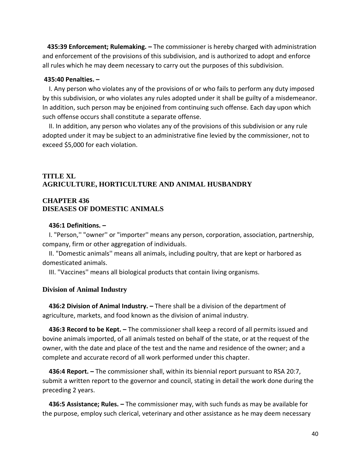**435:39 Enforcement; Rulemaking. –** The commissioner is hereby charged with administration and enforcement of the provisions of this subdivision, and is authorized to adopt and enforce all rules which he may deem necessary to carry out the purposes of this subdivision.

#### **435:40 Penalties. –**

 I. Any person who violates any of the provisions of or who fails to perform any duty imposed by this subdivision, or who violates any rules adopted under it shall be guilty of a misdemeanor. In addition, such person may be enjoined from continuing such offense. Each day upon which such offense occurs shall constitute a separate offense.

 II. In addition, any person who violates any of the provisions of this subdivision or any rule adopted under it may be subject to an administrative fine levied by the commissioner, not to exceed \$5,000 for each violation.

## **TITLE XL AGRICULTURE, HORTICULTURE AND ANIMAL HUSBANDRY**

## **CHAPTER 436 DISEASES OF DOMESTIC ANIMALS**

#### **436:1 Definitions. –**

 I. "Person,'' "owner'' or "importer'' means any person, corporation, association, partnership, company, firm or other aggregation of individuals.

 II. "Domestic animals'' means all animals, including poultry, that are kept or harbored as domesticated animals.

III. "Vaccines'' means all biological products that contain living organisms.

### **Division of Animal Industry**

 **436:2 Division of Animal Industry. –** There shall be a division of the department of agriculture, markets, and food known as the division of animal industry.

 **436:3 Record to be Kept. –** The commissioner shall keep a record of all permits issued and bovine animals imported, of all animals tested on behalf of the state, or at the request of the owner, with the date and place of the test and the name and residence of the owner; and a complete and accurate record of all work performed under this chapter.

 **436:4 Report. –** The commissioner shall, within its biennial report pursuant to RSA 20:7, submit a written report to the governor and council, stating in detail the work done during the preceding 2 years.

 **436:5 Assistance; Rules. –** The commissioner may, with such funds as may be available for the purpose, employ such clerical, veterinary and other assistance as he may deem necessary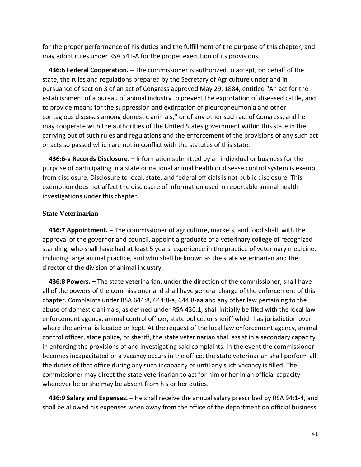for the proper performance of his duties and the fulfillment of the purpose of this chapter, and may adopt rules under RSA 541-A for the proper execution of its provisions.

 **436:6 Federal Cooperation. –** The commissioner is authorized to accept, on behalf of the state, the rules and regulations prepared by the Secretary of Agriculture under and in pursuance of section 3 of an act of Congress approved May 29, 1884, entitled "An act for the establishment of a bureau of animal industry to prevent the exportation of diseased cattle, and to provide means for the suppression and extirpation of pleuropneumonia and other contagious diseases among domestic animals,'' or of any other such act of Congress, and he may cooperate with the authorities of the United States government within this state in the carrying out of such rules and regulations and the enforcement of the provisions of any such act or acts so passed which are not in conflict with the statutes of this state.

 **436:6-a Records Disclosure. –** Information submitted by an individual or business for the purpose of participating in a state or national animal health or disease control system is exempt from disclosure. Disclosure to local, state, and federal officials is not public disclosure. This exemption does not affect the disclosure of information used in reportable animal health investigations under this chapter.

## **State Veterinarian**

 **436:7 Appointment. –** The commissioner of agriculture, markets, and food shall, with the approval of the governor and council, appoint a graduate of a veterinary college of recognized standing, who shall have had at least 5 years' experience in the practice of veterinary medicine, including large animal practice, and who shall be known as the state veterinarian and the director of the division of animal industry.

 **436:8 Powers. –** The state veterinarian, under the direction of the commissioner, shall have all of the powers of the commissioner and shall have general charge of the enforcement of this chapter. Complaints under RSA 644:8, 644:8-a, 644:8-aa and any other law pertaining to the abuse of domestic animals, as defined under RSA 436:1, shall initially be filed with the local law enforcement agency, animal control officer, state police, or sheriff which has jurisdiction over where the animal is located or kept. At the request of the local law enforcement agency, animal control officer, state police, or sheriff, the state veterinarian shall assist in a secondary capacity in enforcing the provisions of and investigating said complaints. In the event the commissioner becomes incapacitated or a vacancy occurs in the office, the state veterinarian shall perform all the duties of that office during any such incapacity or until any such vacancy is filled. The commissioner may direct the state veterinarian to act for him or her in an official capacity whenever he or she may be absent from his or her duties.

 **436:9 Salary and Expenses. –** He shall receive the annual salary prescribed by RSA 94:1-4, and shall be allowed his expenses when away from the office of the department on official business.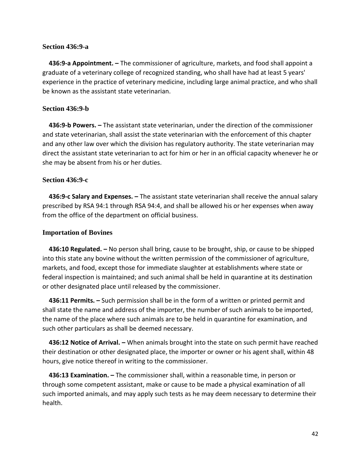## **Section 436:9-a**

 **436:9-a Appointment. –** The commissioner of agriculture, markets, and food shall appoint a graduate of a veterinary college of recognized standing, who shall have had at least 5 years' experience in the practice of veterinary medicine, including large animal practice, and who shall be known as the assistant state veterinarian.

## **Section 436:9-b**

 **436:9-b Powers. –** The assistant state veterinarian, under the direction of the commissioner and state veterinarian, shall assist the state veterinarian with the enforcement of this chapter and any other law over which the division has regulatory authority. The state veterinarian may direct the assistant state veterinarian to act for him or her in an official capacity whenever he or she may be absent from his or her duties.

## **Section 436:9-c**

 **436:9-c Salary and Expenses. –** The assistant state veterinarian shall receive the annual salary prescribed by RSA 94:1 through RSA 94:4, and shall be allowed his or her expenses when away from the office of the department on official business.

## **Importation of Bovines**

 **436:10 Regulated. –** No person shall bring, cause to be brought, ship, or cause to be shipped into this state any bovine without the written permission of the commissioner of agriculture, markets, and food, except those for immediate slaughter at establishments where state or federal inspection is maintained; and such animal shall be held in quarantine at its destination or other designated place until released by the commissioner.

 **436:11 Permits. –** Such permission shall be in the form of a written or printed permit and shall state the name and address of the importer, the number of such animals to be imported, the name of the place where such animals are to be held in quarantine for examination, and such other particulars as shall be deemed necessary.

 **436:12 Notice of Arrival. –** When animals brought into the state on such permit have reached their destination or other designated place, the importer or owner or his agent shall, within 48 hours, give notice thereof in writing to the commissioner.

 **436:13 Examination. –** The commissioner shall, within a reasonable time, in person or through some competent assistant, make or cause to be made a physical examination of all such imported animals, and may apply such tests as he may deem necessary to determine their health.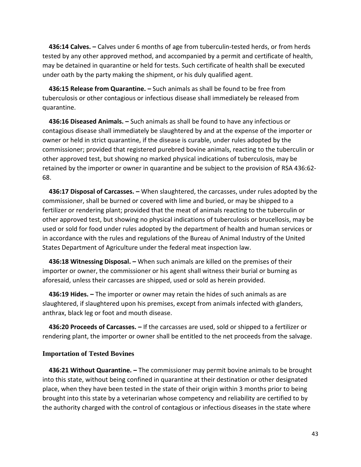**436:14 Calves. –** Calves under 6 months of age from tuberculin-tested herds, or from herds tested by any other approved method, and accompanied by a permit and certificate of health, may be detained in quarantine or held for tests. Such certificate of health shall be executed under oath by the party making the shipment, or his duly qualified agent.

 **436:15 Release from Quarantine. –** Such animals as shall be found to be free from tuberculosis or other contagious or infectious disease shall immediately be released from quarantine.

 **436:16 Diseased Animals. –** Such animals as shall be found to have any infectious or contagious disease shall immediately be slaughtered by and at the expense of the importer or owner or held in strict quarantine, if the disease is curable, under rules adopted by the commissioner; provided that registered purebred bovine animals, reacting to the tuberculin or other approved test, but showing no marked physical indications of tuberculosis, may be retained by the importer or owner in quarantine and be subject to the provision of RSA 436:62- 68.

 **436:17 Disposal of Carcasses. –** When slaughtered, the carcasses, under rules adopted by the commissioner, shall be burned or covered with lime and buried, or may be shipped to a fertilizer or rendering plant; provided that the meat of animals reacting to the tuberculin or other approved test, but showing no physical indications of tuberculosis or brucellosis, may be used or sold for food under rules adopted by the department of health and human services or in accordance with the rules and regulations of the Bureau of Animal Industry of the United States Department of Agriculture under the federal meat inspection law.

 **436:18 Witnessing Disposal. –** When such animals are killed on the premises of their importer or owner, the commissioner or his agent shall witness their burial or burning as aforesaid, unless their carcasses are shipped, used or sold as herein provided.

 **436:19 Hides. –** The importer or owner may retain the hides of such animals as are slaughtered, if slaughtered upon his premises, except from animals infected with glanders, anthrax, black leg or foot and mouth disease.

 **436:20 Proceeds of Carcasses. –** If the carcasses are used, sold or shipped to a fertilizer or rendering plant, the importer or owner shall be entitled to the net proceeds from the salvage.

## **Importation of Tested Bovines**

 **436:21 Without Quarantine. –** The commissioner may permit bovine animals to be brought into this state, without being confined in quarantine at their destination or other designated place, when they have been tested in the state of their origin within 3 months prior to being brought into this state by a veterinarian whose competency and reliability are certified to by the authority charged with the control of contagious or infectious diseases in the state where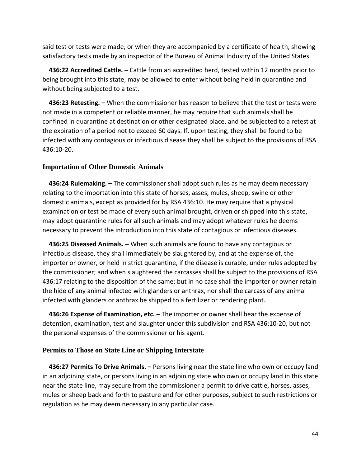said test or tests were made, or when they are accompanied by a certificate of health, showing satisfactory tests made by an inspector of the Bureau of Animal Industry of the United States.

 **436:22 Accredited Cattle. –** Cattle from an accredited herd, tested within 12 months prior to being brought into this state, may be allowed to enter without being held in quarantine and without being subjected to a test.

 **436:23 Retesting. –** When the commissioner has reason to believe that the test or tests were not made in a competent or reliable manner, he may require that such animals shall be confined in quarantine at destination or other designated place, and be subjected to a retest at the expiration of a period not to exceed 60 days. If, upon testing, they shall be found to be infected with any contagious or infectious disease they shall be subject to the provisions of RSA 436:10-20.

## **Importation of Other Domestic Animals**

 **436:24 Rulemaking. –** The commissioner shall adopt such rules as he may deem necessary relating to the importation into this state of horses, asses, mules, sheep, swine or other domestic animals, except as provided for by RSA 436:10. He may require that a physical examination or test be made of every such animal brought, driven or shipped into this state, may adopt quarantine rules for all such animals and may adopt whatever rules he deems necessary to prevent the introduction into this state of contagious or infectious diseases.

 **436:25 Diseased Animals. –** When such animals are found to have any contagious or infectious disease, they shall immediately be slaughtered by, and at the expense of, the importer or owner, or held in strict quarantine, if the disease is curable, under rules adopted by the commissioner; and when slaughtered the carcasses shall be subject to the provisions of RSA 436:17 relating to the disposition of the same; but in no case shall the importer or owner retain the hide of any animal infected with glanders or anthrax, nor shall the carcass of any animal infected with glanders or anthrax be shipped to a fertilizer or rendering plant.

 **436:26 Expense of Examination, etc. –** The importer or owner shall bear the expense of detention, examination, test and slaughter under this subdivision and RSA 436:10-20, but not the personal expenses of the commissioner or his agent.

## **Permits to Those on State Line or Shipping Interstate**

 **436:27 Permits To Drive Animals. –** Persons living near the state line who own or occupy land in an adjoining state, or persons living in an adjoining state who own or occupy land in this state near the state line, may secure from the commissioner a permit to drive cattle, horses, asses, mules or sheep back and forth to pasture and for other purposes, subject to such restrictions or regulation as he may deem necessary in any particular case.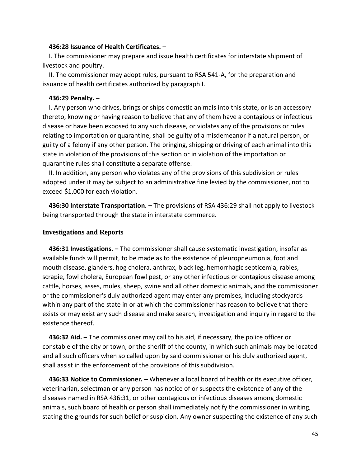### **436:28 Issuance of Health Certificates. –**

 I. The commissioner may prepare and issue health certificates for interstate shipment of livestock and poultry.

 II. The commissioner may adopt rules, pursuant to RSA 541-A, for the preparation and issuance of health certificates authorized by paragraph I.

#### **436:29 Penalty. –**

 I. Any person who drives, brings or ships domestic animals into this state, or is an accessory thereto, knowing or having reason to believe that any of them have a contagious or infectious disease or have been exposed to any such disease, or violates any of the provisions or rules relating to importation or quarantine, shall be guilty of a misdemeanor if a natural person, or guilty of a felony if any other person. The bringing, shipping or driving of each animal into this state in violation of the provisions of this section or in violation of the importation or quarantine rules shall constitute a separate offense.

 II. In addition, any person who violates any of the provisions of this subdivision or rules adopted under it may be subject to an administrative fine levied by the commissioner, not to exceed \$1,000 for each violation.

 **436:30 Interstate Transportation. –** The provisions of RSA 436:29 shall not apply to livestock being transported through the state in interstate commerce.

### **Investigations and Reports**

 **436:31 Investigations. –** The commissioner shall cause systematic investigation, insofar as available funds will permit, to be made as to the existence of pleuropneumonia, foot and mouth disease, glanders, hog cholera, anthrax, black leg, hemorrhagic septicemia, rabies, scrapie, fowl cholera, European fowl pest, or any other infectious or contagious disease among cattle, horses, asses, mules, sheep, swine and all other domestic animals, and the commissioner or the commissioner's duly authorized agent may enter any premises, including stockyards within any part of the state in or at which the commissioner has reason to believe that there exists or may exist any such disease and make search, investigation and inquiry in regard to the existence thereof.

 **436:32 Aid. –** The commissioner may call to his aid, if necessary, the police officer or constable of the city or town, or the sheriff of the county, in which such animals may be located and all such officers when so called upon by said commissioner or his duly authorized agent, shall assist in the enforcement of the provisions of this subdivision.

 **436:33 Notice to Commissioner. –** Whenever a local board of health or its executive officer, veterinarian, selectman or any person has notice of or suspects the existence of any of the diseases named in RSA 436:31, or other contagious or infectious diseases among domestic animals, such board of health or person shall immediately notify the commissioner in writing, stating the grounds for such belief or suspicion. Any owner suspecting the existence of any such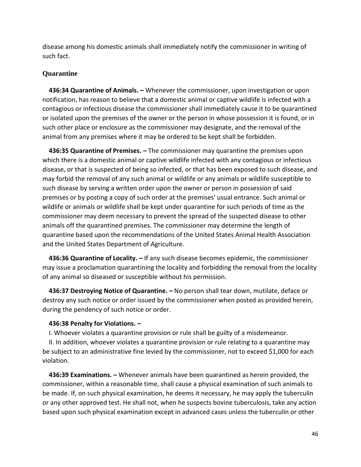disease among his domestic animals shall immediately notify the commissioner in writing of such fact.

# **Quarantine**

 **436:34 Quarantine of Animals. –** Whenever the commissioner, upon investigation or upon notification, has reason to believe that a domestic animal or captive wildlife is infected with a contagious or infectious disease the commissioner shall immediately cause it to be quarantined or isolated upon the premises of the owner or the person in whose possession it is found, or in such other place or enclosure as the commissioner may designate, and the removal of the animal from any premises where it may be ordered to be kept shall be forbidden.

 **436:35 Quarantine of Premises. –** The commissioner may quarantine the premises upon which there is a domestic animal or captive wildlife infected with any contagious or infectious disease, or that is suspected of being so infected, or that has been exposed to such disease, and may forbid the removal of any such animal or wildlife or any animals or wildlife susceptible to such disease by serving a written order upon the owner or person in possession of said premises or by posting a copy of such order at the premises' usual entrance. Such animal or wildlife or animals or wildlife shall be kept under quarantine for such periods of time as the commissioner may deem necessary to prevent the spread of the suspected disease to other animals off the quarantined premises. The commissioner may determine the length of quarantine based upon the recommendations of the United States Animal Health Association and the United States Department of Agriculture.

 **436:36 Quarantine of Locality. –** If any such disease becomes epidemic, the commissioner may issue a proclamation quarantining the locality and forbidding the removal from the locality of any animal so diseased or susceptible without his permission.

 **436:37 Destroying Notice of Quarantine. –** No person shall tear down, mutilate, deface or destroy any such notice or order issued by the commissioner when posted as provided herein, during the pendency of such notice or order.

## **436:38 Penalty for Violations. –**

I. Whoever violates a quarantine provision or rule shall be guilty of a misdemeanor.

 II. In addition, whoever violates a quarantine provision or rule relating to a quarantine may be subject to an administrative fine levied by the commissioner, not to exceed \$1,000 for each violation.

 **436:39 Examinations. –** Whenever animals have been quarantined as herein provided, the commissioner, within a reasonable time, shall cause a physical examination of such animals to be made. If, on such physical examination, he deems it necessary, he may apply the tuberculin or any other approved test. He shall not, when he suspects bovine tuberculosis, take any action based upon such physical examination except in advanced cases unless the tuberculin or other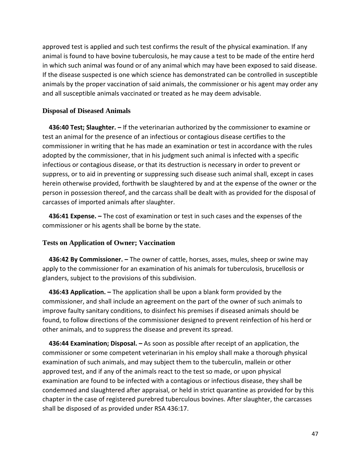approved test is applied and such test confirms the result of the physical examination. If any animal is found to have bovine tuberculosis, he may cause a test to be made of the entire herd in which such animal was found or of any animal which may have been exposed to said disease. If the disease suspected is one which science has demonstrated can be controlled in susceptible animals by the proper vaccination of said animals, the commissioner or his agent may order any and all susceptible animals vaccinated or treated as he may deem advisable.

## **Disposal of Diseased Animals**

 **436:40 Test; Slaughter. –** If the veterinarian authorized by the commissioner to examine or test an animal for the presence of an infectious or contagious disease certifies to the commissioner in writing that he has made an examination or test in accordance with the rules adopted by the commissioner, that in his judgment such animal is infected with a specific infectious or contagious disease, or that its destruction is necessary in order to prevent or suppress, or to aid in preventing or suppressing such disease such animal shall, except in cases herein otherwise provided, forthwith be slaughtered by and at the expense of the owner or the person in possession thereof, and the carcass shall be dealt with as provided for the disposal of carcasses of imported animals after slaughter.

 **436:41 Expense. –** The cost of examination or test in such cases and the expenses of the commissioner or his agents shall be borne by the state.

## **Tests on Application of Owner; Vaccination**

 **436:42 By Commissioner. –** The owner of cattle, horses, asses, mules, sheep or swine may apply to the commissioner for an examination of his animals for tuberculosis, brucellosis or glanders, subject to the provisions of this subdivision.

 **436:43 Application. –** The application shall be upon a blank form provided by the commissioner, and shall include an agreement on the part of the owner of such animals to improve faulty sanitary conditions, to disinfect his premises if diseased animals should be found, to follow directions of the commissioner designed to prevent reinfection of his herd or other animals, and to suppress the disease and prevent its spread.

 **436:44 Examination; Disposal. –** As soon as possible after receipt of an application, the commissioner or some competent veterinarian in his employ shall make a thorough physical examination of such animals, and may subject them to the tuberculin, mallein or other approved test, and if any of the animals react to the test so made, or upon physical examination are found to be infected with a contagious or infectious disease, they shall be condemned and slaughtered after appraisal, or held in strict quarantine as provided for by this chapter in the case of registered purebred tuberculous bovines. After slaughter, the carcasses shall be disposed of as provided under RSA 436:17.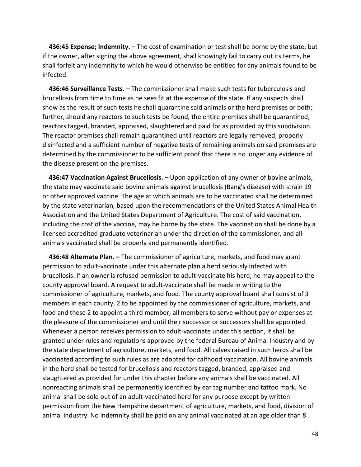**436:45 Expense; Indemnity. –** The cost of examination or test shall be borne by the state; but if the owner, after signing the above agreement, shall knowingly fail to carry out its terms, he shall forfeit any indemnity to which he would otherwise be entitled for any animals found to be infected.

 **436:46 Surveillance Tests. –** The commissioner shall make such tests for tuberculosis and brucellosis from time to time as he sees fit at the expense of the state. If any suspects shall show as the result of such tests he shall quarantine said animals or the herd premises or both; further, should any reactors to such tests be found, the entire premises shall be quarantined, reactors tagged, branded, appraised, slaughtered and paid for as provided by this subdivision. The reactor premises shall remain quarantined until reactors are legally removed, properly disinfected and a sufficient number of negative tests of remaining animals on said premises are determined by the commissioner to be sufficient proof that there is no longer any evidence of the disease present on the premises.

 **436:47 Vaccination Against Brucellosis. –** Upon application of any owner of bovine animals, the state may vaccinate said bovine animals against brucellosis (Bang's disease) with strain 19 or other approved vaccine. The age at which animals are to be vaccinated shall be determined by the state veterinarian, based upon the recommendations of the United States Animal Health Association and the United States Department of Agriculture. The cost of said vaccination, including the cost of the vaccine, may be borne by the state. The vaccination shall be done by a licensed accredited graduate veterinarian under the direction of the commissioner, and all animals vaccinated shall be properly and permanently identified.

 **436:48 Alternate Plan. –** The commissioner of agriculture, markets, and food may grant permission to adult-vaccinate under this alternate plan a herd seriously infected with brucellosis. If an owner is refused permission to adult-vaccinate his herd, he may appeal to the county approval board. A request to adult-vaccinate shall be made in writing to the commissioner of agriculture, markets, and food. The county approval board shall consist of 3 members in each county, 2 to be appointed by the commissioner of agriculture, markets, and food and these 2 to appoint a third member; all members to serve without pay or expenses at the pleasure of the commissioner and until their successor or successors shall be appointed. Whenever a person receives permission to adult-vaccinate under this section, it shall be granted under rules and regulations approved by the federal Bureau of Animal Industry and by the state department of agriculture, markets, and food. All calves raised in such herds shall be vaccinated according to such rules as are adopted for calfhood vaccination. All bovine animals in the herd shall be tested for brucellosis and reactors tagged, branded, appraised and slaughtered as provided for under this chapter before any animals shall be vaccinated. All nonreacting animals shall be permanently identified by ear tag number and tattoo mark. No animal shall be sold out of an adult-vaccinated herd for any purpose except by written permission from the New Hampshire department of agriculture, markets, and food, division of animal industry. No indemnity shall be paid on any animal vaccinated at an age older than 8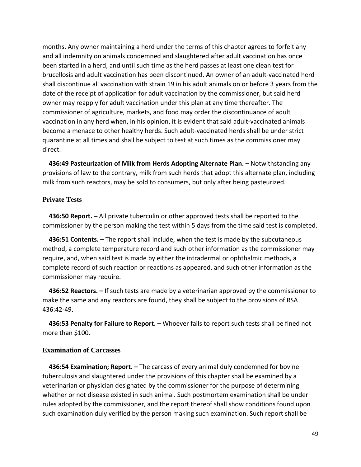months. Any owner maintaining a herd under the terms of this chapter agrees to forfeit any and all indemnity on animals condemned and slaughtered after adult vaccination has once been started in a herd, and until such time as the herd passes at least one clean test for brucellosis and adult vaccination has been discontinued. An owner of an adult-vaccinated herd shall discontinue all vaccination with strain 19 in his adult animals on or before 3 years from the date of the receipt of application for adult vaccination by the commissioner, but said herd owner may reapply for adult vaccination under this plan at any time thereafter. The commissioner of agriculture, markets, and food may order the discontinuance of adult vaccination in any herd when, in his opinion, it is evident that said adult-vaccinated animals become a menace to other healthy herds. Such adult-vaccinated herds shall be under strict quarantine at all times and shall be subject to test at such times as the commissioner may direct.

 **436:49 Pasteurization of Milk from Herds Adopting Alternate Plan. –** Notwithstanding any provisions of law to the contrary, milk from such herds that adopt this alternate plan, including milk from such reactors, may be sold to consumers, but only after being pasteurized.

## **Private Tests**

 **436:50 Report. –** All private tuberculin or other approved tests shall be reported to the commissioner by the person making the test within 5 days from the time said test is completed.

 **436:51 Contents. –** The report shall include, when the test is made by the subcutaneous method, a complete temperature record and such other information as the commissioner may require, and, when said test is made by either the intradermal or ophthalmic methods, a complete record of such reaction or reactions as appeared, and such other information as the commissioner may require.

 **436:52 Reactors. –** If such tests are made by a veterinarian approved by the commissioner to make the same and any reactors are found, they shall be subject to the provisions of RSA 436:42-49.

 **436:53 Penalty for Failure to Report. –** Whoever fails to report such tests shall be fined not more than \$100.

## **Examination of Carcasses**

 **436:54 Examination; Report. –** The carcass of every animal duly condemned for bovine tuberculosis and slaughtered under the provisions of this chapter shall be examined by a veterinarian or physician designated by the commissioner for the purpose of determining whether or not disease existed in such animal. Such postmortem examination shall be under rules adopted by the commissioner, and the report thereof shall show conditions found upon such examination duly verified by the person making such examination. Such report shall be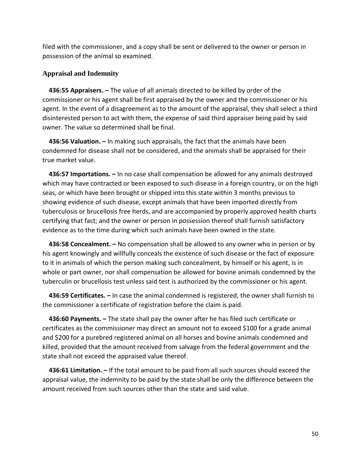filed with the commissioner, and a copy shall be sent or delivered to the owner or person in possession of the animal so examined.

## **Appraisal and Indemnity**

 **436:55 Appraisers. –** The value of all animals directed to be killed by order of the commissioner or his agent shall be first appraised by the owner and the commissioner or his agent. In the event of a disagreement as to the amount of the appraisal, they shall select a third disinterested person to act with them, the expense of said third appraiser being paid by said owner. The value so determined shall be final.

 **436:56 Valuation. –** In making such appraisals, the fact that the animals have been condemned for disease shall not be considered, and the animals shall be appraised for their true market value.

 **436:57 Importations. –** In no case shall compensation be allowed for any animals destroyed which may have contracted or been exposed to such disease in a foreign country, or on the high seas, or which have been brought or shipped into this state within 3 months previous to showing evidence of such disease, except animals that have been imported directly from tuberculosis or brucellosis free herds, and are accompanied by properly approved health charts certifying that fact; and the owner or person in possession thereof shall furnish satisfactory evidence as to the time during which such animals have been owned in the state.

 **436:58 Concealment. –** No compensation shall be allowed to any owner who in person or by his agent knowingly and willfully conceals the existence of such disease or the fact of exposure to it in animals of which the person making such concealment, by himself or his agent, is in whole or part owner, nor shall compensation be allowed for bovine animals condemned by the tuberculin or brucellosis test unless said test is authorized by the commissioner or his agent.

 **436:59 Certificates. –** In case the animal condemned is registered, the owner shall furnish to the commissioner a certificate of registration before the claim is paid.

 **436:60 Payments. –** The state shall pay the owner after he has filed such certificate or certificates as the commissioner may direct an amount not to exceed \$100 for a grade animal and \$200 for a purebred registered animal on all horses and bovine animals condemned and killed, provided that the amount received from salvage from the federal government and the state shall not exceed the appraised value thereof.

 **436:61 Limitation. –** If the total amount to be paid from all such sources should exceed the appraisal value, the indemnity to be paid by the state shall be only the difference between the amount received from such sources other than the state and said value.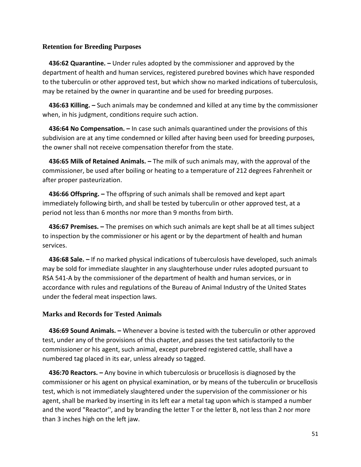## **Retention for Breeding Purposes**

 **436:62 Quarantine. –** Under rules adopted by the commissioner and approved by the department of health and human services, registered purebred bovines which have responded to the tuberculin or other approved test, but which show no marked indications of tuberculosis, may be retained by the owner in quarantine and be used for breeding purposes.

 **436:63 Killing. –** Such animals may be condemned and killed at any time by the commissioner when, in his judgment, conditions require such action.

 **436:64 No Compensation. –** In case such animals quarantined under the provisions of this subdivision are at any time condemned or killed after having been used for breeding purposes, the owner shall not receive compensation therefor from the state.

 **436:65 Milk of Retained Animals. –** The milk of such animals may, with the approval of the commissioner, be used after boiling or heating to a temperature of 212 degrees Fahrenheit or after proper pasteurization.

 **436:66 Offspring. –** The offspring of such animals shall be removed and kept apart immediately following birth, and shall be tested by tuberculin or other approved test, at a period not less than 6 months nor more than 9 months from birth.

 **436:67 Premises. –** The premises on which such animals are kept shall be at all times subject to inspection by the commissioner or his agent or by the department of health and human services.

 **436:68 Sale. –** If no marked physical indications of tuberculosis have developed, such animals may be sold for immediate slaughter in any slaughterhouse under rules adopted pursuant to RSA 541-A by the commissioner of the department of health and human services, or in accordance with rules and regulations of the Bureau of Animal Industry of the United States under the federal meat inspection laws.

## **Marks and Records for Tested Animals**

 **436:69 Sound Animals. –** Whenever a bovine is tested with the tuberculin or other approved test, under any of the provisions of this chapter, and passes the test satisfactorily to the commissioner or his agent, such animal, except purebred registered cattle, shall have a numbered tag placed in its ear, unless already so tagged.

 **436:70 Reactors. –** Any bovine in which tuberculosis or brucellosis is diagnosed by the commissioner or his agent on physical examination, or by means of the tuberculin or brucellosis test, which is not immediately slaughtered under the supervision of the commissioner or his agent, shall be marked by inserting in its left ear a metal tag upon which is stamped a number and the word "Reactor'', and by branding the letter T or the letter B, not less than 2 nor more than 3 inches high on the left jaw.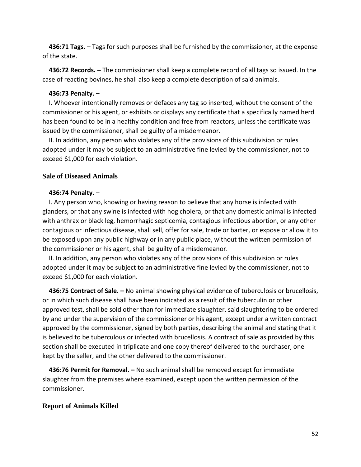**436:71 Tags. –** Tags for such purposes shall be furnished by the commissioner, at the expense of the state.

 **436:72 Records. –** The commissioner shall keep a complete record of all tags so issued. In the case of reacting bovines, he shall also keep a complete description of said animals.

### **436:73 Penalty. –**

 I. Whoever intentionally removes or defaces any tag so inserted, without the consent of the commissioner or his agent, or exhibits or displays any certificate that a specifically named herd has been found to be in a healthy condition and free from reactors, unless the certificate was issued by the commissioner, shall be guilty of a misdemeanor.

 II. In addition, any person who violates any of the provisions of this subdivision or rules adopted under it may be subject to an administrative fine levied by the commissioner, not to exceed \$1,000 for each violation.

### **Sale of Diseased Animals**

#### **436:74 Penalty. –**

 I. Any person who, knowing or having reason to believe that any horse is infected with glanders, or that any swine is infected with hog cholera, or that any domestic animal is infected with anthrax or black leg, hemorrhagic septicemia, contagious infectious abortion, or any other contagious or infectious disease, shall sell, offer for sale, trade or barter, or expose or allow it to be exposed upon any public highway or in any public place, without the written permission of the commissioner or his agent, shall be guilty of a misdemeanor.

 II. In addition, any person who violates any of the provisions of this subdivision or rules adopted under it may be subject to an administrative fine levied by the commissioner, not to exceed \$1,000 for each violation.

 **436:75 Contract of Sale. –** No animal showing physical evidence of tuberculosis or brucellosis, or in which such disease shall have been indicated as a result of the tuberculin or other approved test, shall be sold other than for immediate slaughter, said slaughtering to be ordered by and under the supervision of the commissioner or his agent, except under a written contract approved by the commissioner, signed by both parties, describing the animal and stating that it is believed to be tuberculous or infected with brucellosis. A contract of sale as provided by this section shall be executed in triplicate and one copy thereof delivered to the purchaser, one kept by the seller, and the other delivered to the commissioner.

 **436:76 Permit for Removal. –** No such animal shall be removed except for immediate slaughter from the premises where examined, except upon the written permission of the commissioner.

### **Report of Animals Killed**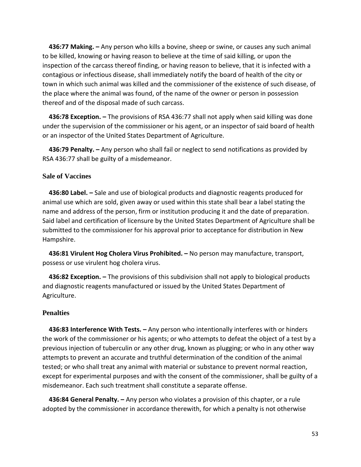**436:77 Making. –** Any person who kills a bovine, sheep or swine, or causes any such animal to be killed, knowing or having reason to believe at the time of said killing, or upon the inspection of the carcass thereof finding, or having reason to believe, that it is infected with a contagious or infectious disease, shall immediately notify the board of health of the city or town in which such animal was killed and the commissioner of the existence of such disease, of the place where the animal was found, of the name of the owner or person in possession thereof and of the disposal made of such carcass.

 **436:78 Exception. –** The provisions of RSA 436:77 shall not apply when said killing was done under the supervision of the commissioner or his agent, or an inspector of said board of health or an inspector of the United States Department of Agriculture.

 **436:79 Penalty. –** Any person who shall fail or neglect to send notifications as provided by RSA 436:77 shall be guilty of a misdemeanor.

## **Sale of Vaccines**

 **436:80 Label. –** Sale and use of biological products and diagnostic reagents produced for animal use which are sold, given away or used within this state shall bear a label stating the name and address of the person, firm or institution producing it and the date of preparation. Said label and certification of licensure by the United States Department of Agriculture shall be submitted to the commissioner for his approval prior to acceptance for distribution in New Hampshire.

 **436:81 Virulent Hog Cholera Virus Prohibited. –** No person may manufacture, transport, possess or use virulent hog cholera virus.

 **436:82 Exception. –** The provisions of this subdivision shall not apply to biological products and diagnostic reagents manufactured or issued by the United States Department of Agriculture.

### **Penalties**

 **436:83 Interference With Tests. –** Any person who intentionally interferes with or hinders the work of the commissioner or his agents; or who attempts to defeat the object of a test by a previous injection of tuberculin or any other drug, known as plugging; or who in any other way attempts to prevent an accurate and truthful determination of the condition of the animal tested; or who shall treat any animal with material or substance to prevent normal reaction, except for experimental purposes and with the consent of the commissioner, shall be guilty of a misdemeanor. Each such treatment shall constitute a separate offense.

 **436:84 General Penalty. –** Any person who violates a provision of this chapter, or a rule adopted by the commissioner in accordance therewith, for which a penalty is not otherwise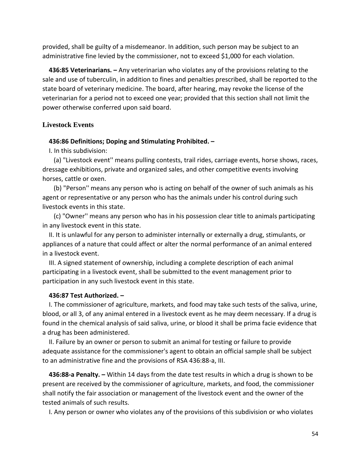provided, shall be guilty of a misdemeanor. In addition, such person may be subject to an administrative fine levied by the commissioner, not to exceed \$1,000 for each violation.

 **436:85 Veterinarians. –** Any veterinarian who violates any of the provisions relating to the sale and use of tuberculin, in addition to fines and penalties prescribed, shall be reported to the state board of veterinary medicine. The board, after hearing, may revoke the license of the veterinarian for a period not to exceed one year; provided that this section shall not limit the power otherwise conferred upon said board.

### **Livestock Events**

#### **436:86 Definitions; Doping and Stimulating Prohibited. –**

I. In this subdivision:

 (a) "Livestock event'' means pulling contests, trail rides, carriage events, horse shows, races, dressage exhibitions, private and organized sales, and other competitive events involving horses, cattle or oxen.

 (b) "Person'' means any person who is acting on behalf of the owner of such animals as his agent or representative or any person who has the animals under his control during such livestock events in this state.

 (c) "Owner'' means any person who has in his possession clear title to animals participating in any livestock event in this state.

 II. It is unlawful for any person to administer internally or externally a drug, stimulants, or appliances of a nature that could affect or alter the normal performance of an animal entered in a livestock event.

 III. A signed statement of ownership, including a complete description of each animal participating in a livestock event, shall be submitted to the event management prior to participation in any such livestock event in this state.

#### **436:87 Test Authorized. –**

 I. The commissioner of agriculture, markets, and food may take such tests of the saliva, urine, blood, or all 3, of any animal entered in a livestock event as he may deem necessary. If a drug is found in the chemical analysis of said saliva, urine, or blood it shall be prima facie evidence that a drug has been administered.

 II. Failure by an owner or person to submit an animal for testing or failure to provide adequate assistance for the commissioner's agent to obtain an official sample shall be subject to an administrative fine and the provisions of RSA 436:88-a, III.

 **436:88-a Penalty. –** Within 14 days from the date test results in which a drug is shown to be present are received by the commissioner of agriculture, markets, and food, the commissioner shall notify the fair association or management of the livestock event and the owner of the tested animals of such results.

I. Any person or owner who violates any of the provisions of this subdivision or who violates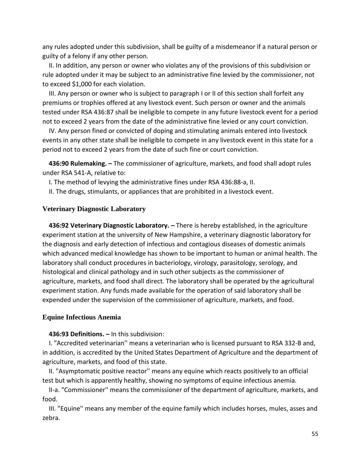any rules adopted under this subdivision, shall be guilty of a misdemeanor if a natural person or guilty of a felony if any other person.

 II. In addition, any person or owner who violates any of the provisions of this subdivision or rule adopted under it may be subject to an administrative fine levied by the commissioner, not to exceed \$1,000 for each violation.

 III. Any person or owner who is subject to paragraph I or II of this section shall forfeit any premiums or trophies offered at any livestock event. Such person or owner and the animals tested under RSA 436:87 shall be ineligible to compete in any future livestock event for a period not to exceed 2 years from the date of the administrative fine levied or any court conviction.

 IV. Any person fined or convicted of doping and stimulating animals entered into livestock events in any other state shall be ineligible to compete in any livestock event in this state for a period not to exceed 2 years from the date of such fine or court conviction.

 **436:90 Rulemaking. –** The commissioner of agriculture, markets, and food shall adopt rules under RSA 541-A, relative to:

I. The method of levying the administrative fines under RSA 436:88-a, II.

II. The drugs, stimulants, or appliances that are prohibited in a livestock event.

## **Veterinary Diagnostic Laboratory**

 **436:92 Veterinary Diagnostic Laboratory. –** There is hereby established, in the agriculture experiment station at the university of New Hampshire, a veterinary diagnostic laboratory for the diagnosis and early detection of infectious and contagious diseases of domestic animals which advanced medical knowledge has shown to be important to human or animal health. The laboratory shall conduct procedures in bacteriology, virology, parasitology, serology, and histological and clinical pathology and in such other subjects as the commissioner of agriculture, markets, and food shall direct. The laboratory shall be operated by the agricultural experiment station. Any funds made available for the operation of said laboratory shall be expended under the supervision of the commissioner of agriculture, markets, and food.

### **Equine Infectious Anemia**

### **436:93 Definitions. –** In this subdivision:

 I. "Accredited veterinarian'' means a veterinarian who is licensed pursuant to RSA 332-B and, in addition, is accredited by the United States Department of Agriculture and the department of agriculture, markets, and food of this state.

 II. "Asymptomatic positive reactor'' means any equine which reacts positively to an official test but which is apparently healthy, showing no symptoms of equine infectious anemia.

 II-a. "Commissioner'' means the commissioner of the department of agriculture, markets, and food.

 III. "Equine'' means any member of the equine family which includes horses, mules, asses and zebra.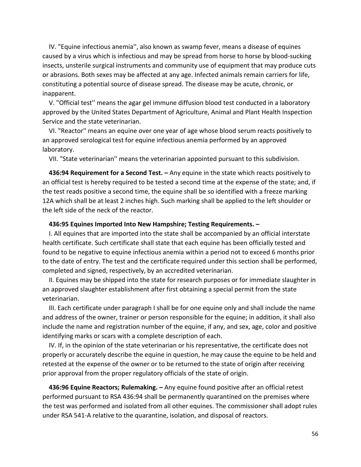IV. "Equine infectious anemia'', also known as swamp fever, means a disease of equines caused by a virus which is infectious and may be spread from horse to horse by blood-sucking insects, unsterile surgical instruments and community use of equipment that may produce cuts or abrasions. Both sexes may be affected at any age. Infected animals remain carriers for life, constituting a potential source of disease spread. The disease may be acute, chronic, or inapparent.

 V. "Official test'' means the agar gel immune diffusion blood test conducted in a laboratory approved by the United States Department of Agriculture, Animal and Plant Health Inspection Service and the state veterinarian.

 VI. "Reactor'' means an equine over one year of age whose blood serum reacts positively to an approved serological test for equine infectious anemia performed by an approved laboratory.

VII. "State veterinarian'' means the veterinarian appointed pursuant to this subdivision.

 **436:94 Requirement for a Second Test. –** Any equine in the state which reacts positively to an official test is hereby required to be tested a second time at the expense of the state; and, if the test reads positive a second time, the equine shall be so identified with a freeze marking 12A which shall be at least 2 inches high. Such marking shall be applied to the left shoulder or the left side of the neck of the reactor.

### **436:95 Equines Imported Into New Hampshire; Testing Requirements. –**

 I. All equines that are imported into the state shall be accompanied by an official interstate health certificate. Such certificate shall state that each equine has been officially tested and found to be negative to equine infectious anemia within a period not to exceed 6 months prior to the date of entry. The test and the certificate required under this section shall be performed, completed and signed, respectively, by an accredited veterinarian.

 II. Equines may be shipped into the state for research purposes or for immediate slaughter in an approved slaughter establishment after first obtaining a special permit from the state veterinarian.

 III. Each certificate under paragraph I shall be for one equine only and shall include the name and address of the owner, trainer or person responsible for the equine; in addition, it shall also include the name and registration number of the equine, if any, and sex, age, color and positive identifying marks or scars with a complete description of each.

 IV. If, in the opinion of the state veterinarian or his representative, the certificate does not properly or accurately describe the equine in question, he may cause the equine to be held and retested at the expense of the owner or to be returned to the state of origin after receiving prior approval from the proper regulatory officials of the state of origin.

 **436:96 Equine Reactors; Rulemaking. –** Any equine found positive after an official retest performed pursuant to RSA 436:94 shall be permanently quarantined on the premises where the test was performed and isolated from all other equines. The commissioner shall adopt rules under RSA 541-A relative to the quarantine, isolation, and disposal of reactors.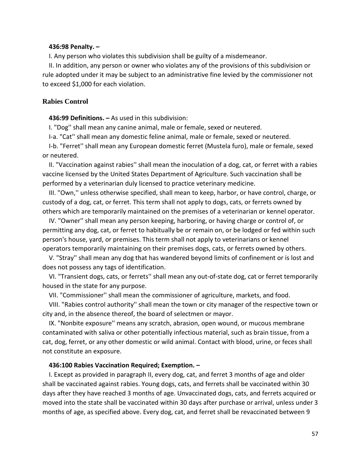### **436:98 Penalty. –**

I. Any person who violates this subdivision shall be guilty of a misdemeanor.

 II. In addition, any person or owner who violates any of the provisions of this subdivision or rule adopted under it may be subject to an administrative fine levied by the commissioner not to exceed \$1,000 for each violation.

### **Rabies Control**

## **436:99 Definitions. –** As used in this subdivision:

I. "Dog'' shall mean any canine animal, male or female, sexed or neutered.

I-a. "Cat'' shall mean any domestic feline animal, male or female, sexed or neutered.

 I-b. "Ferret'' shall mean any European domestic ferret (Mustela furo), male or female, sexed or neutered.

 II. "Vaccination against rabies'' shall mean the inoculation of a dog, cat, or ferret with a rabies vaccine licensed by the United States Department of Agriculture. Such vaccination shall be performed by a veterinarian duly licensed to practice veterinary medicine.

 III. "Own,'' unless otherwise specified, shall mean to keep, harbor, or have control, charge, or custody of a dog, cat, or ferret. This term shall not apply to dogs, cats, or ferrets owned by others which are temporarily maintained on the premises of a veterinarian or kennel operator.

 IV. "Owner'' shall mean any person keeping, harboring, or having charge or control of, or permitting any dog, cat, or ferret to habitually be or remain on, or be lodged or fed within such person's house, yard, or premises. This term shall not apply to veterinarians or kennel operators temporarily maintaining on their premises dogs, cats, or ferrets owned by others.

 V. "Stray'' shall mean any dog that has wandered beyond limits of confinement or is lost and does not possess any tags of identification.

 VI. "Transient dogs, cats, or ferrets'' shall mean any out-of-state dog, cat or ferret temporarily housed in the state for any purpose.

VII. "Commissioner'' shall mean the commissioner of agriculture, markets, and food.

 VIII. "Rabies control authority'' shall mean the town or city manager of the respective town or city and, in the absence thereof, the board of selectmen or mayor.

 IX. "Nonbite exposure'' means any scratch, abrasion, open wound, or mucous membrane contaminated with saliva or other potentially infectious material, such as brain tissue, from a cat, dog, ferret, or any other domestic or wild animal. Contact with blood, urine, or feces shall not constitute an exposure.

#### **436:100 Rabies Vaccination Required; Exemption. –**

 I. Except as provided in paragraph II, every dog, cat, and ferret 3 months of age and older shall be vaccinated against rabies. Young dogs, cats, and ferrets shall be vaccinated within 30 days after they have reached 3 months of age. Unvaccinated dogs, cats, and ferrets acquired or moved into the state shall be vaccinated within 30 days after purchase or arrival, unless under 3 months of age, as specified above. Every dog, cat, and ferret shall be revaccinated between 9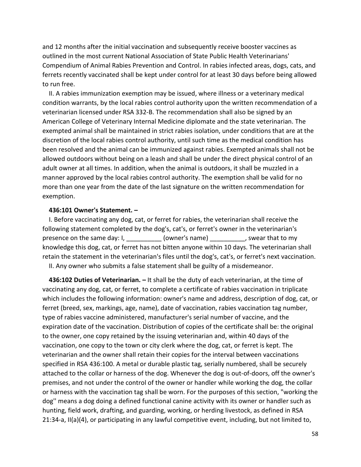and 12 months after the initial vaccination and subsequently receive booster vaccines as outlined in the most current National Association of State Public Health Veterinarians' Compendium of Animal Rabies Prevention and Control. In rabies infected areas, dogs, cats, and ferrets recently vaccinated shall be kept under control for at least 30 days before being allowed to run free.

 II. A rabies immunization exemption may be issued, where illness or a veterinary medical condition warrants, by the local rabies control authority upon the written recommendation of a veterinarian licensed under RSA 332-B. The recommendation shall also be signed by an American College of Veterinary Internal Medicine diplomate and the state veterinarian. The exempted animal shall be maintained in strict rabies isolation, under conditions that are at the discretion of the local rabies control authority, until such time as the medical condition has been resolved and the animal can be immunized against rabies. Exempted animals shall not be allowed outdoors without being on a leash and shall be under the direct physical control of an adult owner at all times. In addition, when the animal is outdoors, it shall be muzzled in a manner approved by the local rabies control authority. The exemption shall be valid for no more than one year from the date of the last signature on the written recommendation for exemption.

#### **436:101 Owner's Statement. –**

 I. Before vaccinating any dog, cat, or ferret for rabies, the veterinarian shall receive the following statement completed by the dog's, cat's, or ferret's owner in the veterinarian's presence on the same day: I,  $^{(owner's name)}$  , swear that to my knowledge this dog, cat, or ferret has not bitten anyone within 10 days. The veterinarian shall retain the statement in the veterinarian's files until the dog's, cat's, or ferret's next vaccination.

II. Any owner who submits a false statement shall be guilty of a misdemeanor.

 **436:102 Duties of Veterinarian. –** It shall be the duty of each veterinarian, at the time of vaccinating any dog, cat, or ferret, to complete a certificate of rabies vaccination in triplicate which includes the following information: owner's name and address, description of dog, cat, or ferret (breed, sex, markings, age, name), date of vaccination, rabies vaccination tag number, type of rabies vaccine administered, manufacturer's serial number of vaccine, and the expiration date of the vaccination. Distribution of copies of the certificate shall be: the original to the owner, one copy retained by the issuing veterinarian and, within 40 days of the vaccination, one copy to the town or city clerk where the dog, cat, or ferret is kept. The veterinarian and the owner shall retain their copies for the interval between vaccinations specified in RSA 436:100. A metal or durable plastic tag, serially numbered, shall be securely attached to the collar or harness of the dog. Whenever the dog is out-of-doors, off the owner's premises, and not under the control of the owner or handler while working the dog, the collar or harness with the vaccination tag shall be worn. For the purposes of this section, "working the dog'' means a dog doing a defined functional canine activity with its owner or handler such as hunting, field work, drafting, and guarding, working, or herding livestock, as defined in RSA 21:34-a, II(a)(4), or participating in any lawful competitive event, including, but not limited to,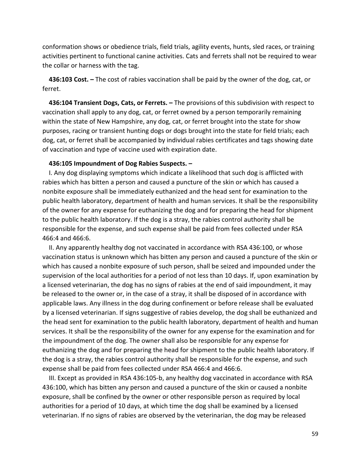conformation shows or obedience trials, field trials, agility events, hunts, sled races, or training activities pertinent to functional canine activities. Cats and ferrets shall not be required to wear the collar or harness with the tag.

 **436:103 Cost. –** The cost of rabies vaccination shall be paid by the owner of the dog, cat, or ferret.

 **436:104 Transient Dogs, Cats, or Ferrets. –** The provisions of this subdivision with respect to vaccination shall apply to any dog, cat, or ferret owned by a person temporarily remaining within the state of New Hampshire, any dog, cat, or ferret brought into the state for show purposes, racing or transient hunting dogs or dogs brought into the state for field trials; each dog, cat, or ferret shall be accompanied by individual rabies certificates and tags showing date of vaccination and type of vaccine used with expiration date.

#### **436:105 Impoundment of Dog Rabies Suspects. –**

 I. Any dog displaying symptoms which indicate a likelihood that such dog is afflicted with rabies which has bitten a person and caused a puncture of the skin or which has caused a nonbite exposure shall be immediately euthanized and the head sent for examination to the public health laboratory, department of health and human services. It shall be the responsibility of the owner for any expense for euthanizing the dog and for preparing the head for shipment to the public health laboratory. If the dog is a stray, the rabies control authority shall be responsible for the expense, and such expense shall be paid from fees collected under RSA 466:4 and 466:6.

 II. Any apparently healthy dog not vaccinated in accordance with RSA 436:100, or whose vaccination status is unknown which has bitten any person and caused a puncture of the skin or which has caused a nonbite exposure of such person, shall be seized and impounded under the supervision of the local authorities for a period of not less than 10 days. If, upon examination by a licensed veterinarian, the dog has no signs of rabies at the end of said impoundment, it may be released to the owner or, in the case of a stray, it shall be disposed of in accordance with applicable laws. Any illness in the dog during confinement or before release shall be evaluated by a licensed veterinarian. If signs suggestive of rabies develop, the dog shall be euthanized and the head sent for examination to the public health laboratory, department of health and human services. It shall be the responsibility of the owner for any expense for the examination and for the impoundment of the dog. The owner shall also be responsible for any expense for euthanizing the dog and for preparing the head for shipment to the public health laboratory. If the dog is a stray, the rabies control authority shall be responsible for the expense, and such expense shall be paid from fees collected under RSA 466:4 and 466:6.

 III. Except as provided in RSA 436:105-b, any healthy dog vaccinated in accordance with RSA 436:100, which has bitten any person and caused a puncture of the skin or caused a nonbite exposure, shall be confined by the owner or other responsible person as required by local authorities for a period of 10 days, at which time the dog shall be examined by a licensed veterinarian. If no signs of rabies are observed by the veterinarian, the dog may be released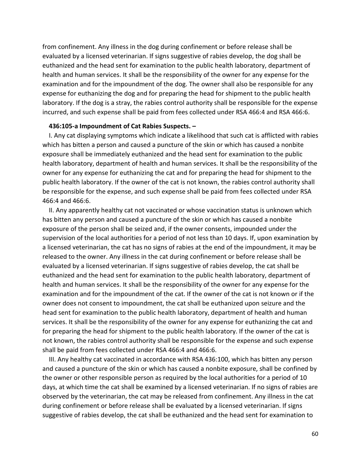from confinement. Any illness in the dog during confinement or before release shall be evaluated by a licensed veterinarian. If signs suggestive of rabies develop, the dog shall be euthanized and the head sent for examination to the public health laboratory, department of health and human services. It shall be the responsibility of the owner for any expense for the examination and for the impoundment of the dog. The owner shall also be responsible for any expense for euthanizing the dog and for preparing the head for shipment to the public health laboratory. If the dog is a stray, the rabies control authority shall be responsible for the expense incurred, and such expense shall be paid from fees collected under RSA 466:4 and RSA 466:6.

### **436:105-a Impoundment of Cat Rabies Suspects. –**

 I. Any cat displaying symptoms which indicate a likelihood that such cat is afflicted with rabies which has bitten a person and caused a puncture of the skin or which has caused a nonbite exposure shall be immediately euthanized and the head sent for examination to the public health laboratory, department of health and human services. It shall be the responsibility of the owner for any expense for euthanizing the cat and for preparing the head for shipment to the public health laboratory. If the owner of the cat is not known, the rabies control authority shall be responsible for the expense, and such expense shall be paid from fees collected under RSA 466:4 and 466:6.

 II. Any apparently healthy cat not vaccinated or whose vaccination status is unknown which has bitten any person and caused a puncture of the skin or which has caused a nonbite exposure of the person shall be seized and, if the owner consents, impounded under the supervision of the local authorities for a period of not less than 10 days. If, upon examination by a licensed veterinarian, the cat has no signs of rabies at the end of the impoundment, it may be released to the owner. Any illness in the cat during confinement or before release shall be evaluated by a licensed veterinarian. If signs suggestive of rabies develop, the cat shall be euthanized and the head sent for examination to the public health laboratory, department of health and human services. It shall be the responsibility of the owner for any expense for the examination and for the impoundment of the cat. If the owner of the cat is not known or if the owner does not consent to impoundment, the cat shall be euthanized upon seizure and the head sent for examination to the public health laboratory, department of health and human services. It shall be the responsibility of the owner for any expense for euthanizing the cat and for preparing the head for shipment to the public health laboratory. If the owner of the cat is not known, the rabies control authority shall be responsible for the expense and such expense shall be paid from fees collected under RSA 466:4 and 466:6.

 III. Any healthy cat vaccinated in accordance with RSA 436:100, which has bitten any person and caused a puncture of the skin or which has caused a nonbite exposure, shall be confined by the owner or other responsible person as required by the local authorities for a period of 10 days, at which time the cat shall be examined by a licensed veterinarian. If no signs of rabies are observed by the veterinarian, the cat may be released from confinement. Any illness in the cat during confinement or before release shall be evaluated by a licensed veterinarian. If signs suggestive of rabies develop, the cat shall be euthanized and the head sent for examination to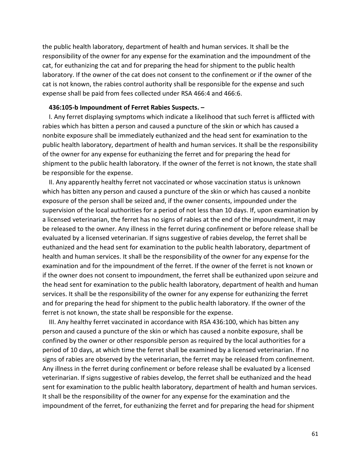the public health laboratory, department of health and human services. It shall be the responsibility of the owner for any expense for the examination and the impoundment of the cat, for euthanizing the cat and for preparing the head for shipment to the public health laboratory. If the owner of the cat does not consent to the confinement or if the owner of the cat is not known, the rabies control authority shall be responsible for the expense and such expense shall be paid from fees collected under RSA 466:4 and 466:6.

### **436:105-b Impoundment of Ferret Rabies Suspects. –**

 I. Any ferret displaying symptoms which indicate a likelihood that such ferret is afflicted with rabies which has bitten a person and caused a puncture of the skin or which has caused a nonbite exposure shall be immediately euthanized and the head sent for examination to the public health laboratory, department of health and human services. It shall be the responsibility of the owner for any expense for euthanizing the ferret and for preparing the head for shipment to the public health laboratory. If the owner of the ferret is not known, the state shall be responsible for the expense.

 II. Any apparently healthy ferret not vaccinated or whose vaccination status is unknown which has bitten any person and caused a puncture of the skin or which has caused a nonbite exposure of the person shall be seized and, if the owner consents, impounded under the supervision of the local authorities for a period of not less than 10 days. If, upon examination by a licensed veterinarian, the ferret has no signs of rabies at the end of the impoundment, it may be released to the owner. Any illness in the ferret during confinement or before release shall be evaluated by a licensed veterinarian. If signs suggestive of rabies develop, the ferret shall be euthanized and the head sent for examination to the public health laboratory, department of health and human services. It shall be the responsibility of the owner for any expense for the examination and for the impoundment of the ferret. If the owner of the ferret is not known or if the owner does not consent to impoundment, the ferret shall be euthanized upon seizure and the head sent for examination to the public health laboratory, department of health and human services. It shall be the responsibility of the owner for any expense for euthanizing the ferret and for preparing the head for shipment to the public health laboratory. If the owner of the ferret is not known, the state shall be responsible for the expense.

 III. Any healthy ferret vaccinated in accordance with RSA 436:100, which has bitten any person and caused a puncture of the skin or which has caused a nonbite exposure, shall be confined by the owner or other responsible person as required by the local authorities for a period of 10 days, at which time the ferret shall be examined by a licensed veterinarian. If no signs of rabies are observed by the veterinarian, the ferret may be released from confinement. Any illness in the ferret during confinement or before release shall be evaluated by a licensed veterinarian. If signs suggestive of rabies develop, the ferret shall be euthanized and the head sent for examination to the public health laboratory, department of health and human services. It shall be the responsibility of the owner for any expense for the examination and the impoundment of the ferret, for euthanizing the ferret and for preparing the head for shipment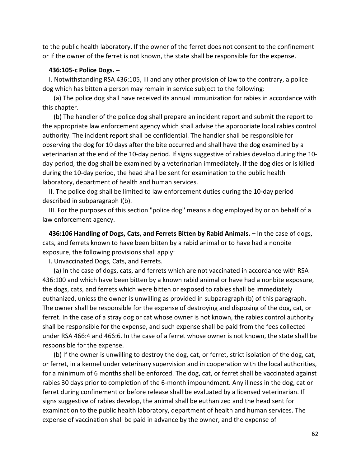to the public health laboratory. If the owner of the ferret does not consent to the confinement or if the owner of the ferret is not known, the state shall be responsible for the expense.

#### **436:105-c Police Dogs. –**

 I. Notwithstanding RSA 436:105, III and any other provision of law to the contrary, a police dog which has bitten a person may remain in service subject to the following:

 (a) The police dog shall have received its annual immunization for rabies in accordance with this chapter.

 (b) The handler of the police dog shall prepare an incident report and submit the report to the appropriate law enforcement agency which shall advise the appropriate local rabies control authority. The incident report shall be confidential. The handler shall be responsible for observing the dog for 10 days after the bite occurred and shall have the dog examined by a veterinarian at the end of the 10-day period. If signs suggestive of rabies develop during the 10 day period, the dog shall be examined by a veterinarian immediately. If the dog dies or is killed during the 10-day period, the head shall be sent for examination to the public health laboratory, department of health and human services.

 II. The police dog shall be limited to law enforcement duties during the 10-day period described in subparagraph I(b).

 III. For the purposes of this section "police dog'' means a dog employed by or on behalf of a law enforcement agency.

 **436:106 Handling of Dogs, Cats, and Ferrets Bitten by Rabid Animals. –** In the case of dogs, cats, and ferrets known to have been bitten by a rabid animal or to have had a nonbite exposure, the following provisions shall apply:

I. Unvaccinated Dogs, Cats, and Ferrets.

 (a) In the case of dogs, cats, and ferrets which are not vaccinated in accordance with RSA 436:100 and which have been bitten by a known rabid animal or have had a nonbite exposure, the dogs, cats, and ferrets which were bitten or exposed to rabies shall be immediately euthanized, unless the owner is unwilling as provided in subparagraph (b) of this paragraph. The owner shall be responsible for the expense of destroying and disposing of the dog, cat, or ferret. In the case of a stray dog or cat whose owner is not known, the rabies control authority shall be responsible for the expense, and such expense shall be paid from the fees collected under RSA 466:4 and 466:6. In the case of a ferret whose owner is not known, the state shall be responsible for the expense.

 (b) If the owner is unwilling to destroy the dog, cat, or ferret, strict isolation of the dog, cat, or ferret, in a kennel under veterinary supervision and in cooperation with the local authorities, for a minimum of 6 months shall be enforced. The dog, cat, or ferret shall be vaccinated against rabies 30 days prior to completion of the 6-month impoundment. Any illness in the dog, cat or ferret during confinement or before release shall be evaluated by a licensed veterinarian. If signs suggestive of rabies develop, the animal shall be euthanized and the head sent for examination to the public health laboratory, department of health and human services. The expense of vaccination shall be paid in advance by the owner, and the expense of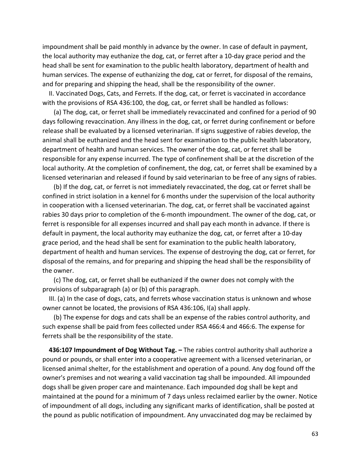impoundment shall be paid monthly in advance by the owner. In case of default in payment, the local authority may euthanize the dog, cat, or ferret after a 10-day grace period and the head shall be sent for examination to the public health laboratory, department of health and human services. The expense of euthanizing the dog, cat or ferret, for disposal of the remains, and for preparing and shipping the head, shall be the responsibility of the owner.

 II. Vaccinated Dogs, Cats, and Ferrets. If the dog, cat, or ferret is vaccinated in accordance with the provisions of RSA 436:100, the dog, cat, or ferret shall be handled as follows:

 (a) The dog, cat, or ferret shall be immediately revaccinated and confined for a period of 90 days following revaccination. Any illness in the dog, cat, or ferret during confinement or before release shall be evaluated by a licensed veterinarian. If signs suggestive of rabies develop, the animal shall be euthanized and the head sent for examination to the public health laboratory, department of health and human services. The owner of the dog, cat, or ferret shall be responsible for any expense incurred. The type of confinement shall be at the discretion of the local authority. At the completion of confinement, the dog, cat, or ferret shall be examined by a licensed veterinarian and released if found by said veterinarian to be free of any signs of rabies.

 (b) If the dog, cat, or ferret is not immediately revaccinated, the dog, cat or ferret shall be confined in strict isolation in a kennel for 6 months under the supervision of the local authority in cooperation with a licensed veterinarian. The dog, cat, or ferret shall be vaccinated against rabies 30 days prior to completion of the 6-month impoundment. The owner of the dog, cat, or ferret is responsible for all expenses incurred and shall pay each month in advance. If there is default in payment, the local authority may euthanize the dog, cat, or ferret after a 10-day grace period, and the head shall be sent for examination to the public health laboratory, department of health and human services. The expense of destroying the dog, cat or ferret, for disposal of the remains, and for preparing and shipping the head shall be the responsibility of the owner.

 (c) The dog, cat, or ferret shall be euthanized if the owner does not comply with the provisions of subparagraph (a) or (b) of this paragraph.

 III. (a) In the case of dogs, cats, and ferrets whose vaccination status is unknown and whose owner cannot be located, the provisions of RSA 436:106, I(a) shall apply.

 (b) The expense for dogs and cats shall be an expense of the rabies control authority, and such expense shall be paid from fees collected under RSA 466:4 and 466:6. The expense for ferrets shall be the responsibility of the state.

 **436:107 Impoundment of Dog Without Tag. –** The rabies control authority shall authorize a pound or pounds, or shall enter into a cooperative agreement with a licensed veterinarian, or licensed animal shelter, for the establishment and operation of a pound. Any dog found off the owner's premises and not wearing a valid vaccination tag shall be impounded. All impounded dogs shall be given proper care and maintenance. Each impounded dog shall be kept and maintained at the pound for a minimum of 7 days unless reclaimed earlier by the owner. Notice of impoundment of all dogs, including any significant marks of identification, shall be posted at the pound as public notification of impoundment. Any unvaccinated dog may be reclaimed by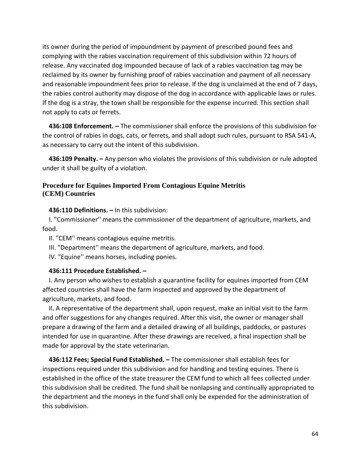its owner during the period of impoundment by payment of prescribed pound fees and complying with the rabies vaccination requirement of this subdivision within 72 hours of release. Any vaccinated dog impounded because of lack of a rabies vaccination tag may be reclaimed by its owner by furnishing proof of rabies vaccination and payment of all necessary and reasonable impoundment fees prior to release. If the dog is unclaimed at the end of 7 days, the rabies control authority may dispose of the dog in accordance with applicable laws or rules. If the dog is a stray, the town shall be responsible for the expense incurred. This section shall not apply to cats or ferrets.

 **436:108 Enforcement. –** The commissioner shall enforce the provisions of this subdivision for the control of rabies in dogs, cats, or ferrets, and shall adopt such rules, pursuant to RSA 541-A, as necessary to carry out the intent of this subdivision.

 **436:109 Penalty. –** Any person who violates the provisions of this subdivision or rule adopted under it shall be guilty of a violation.

## **Procedure for Equines Imported From Contagious Equine Metritis (CEM) Countries**

## **436:110 Definitions. –** In this subdivision:

 I. "Commissioner'' means the commissioner of the department of agriculture, markets, and food.

II. "CEM'' means contagious equine metritis.

III. "Department'' means the department of agriculture, markets, and food.

IV. "Equine'' means horses, including ponies.

## **436:111 Procedure Established. –**

 I. Any person who wishes to establish a quarantine facility for equines imported from CEM affected countries shall have the farm inspected and approved by the department of agriculture, markets, and food.

 II. A representative of the department shall, upon request, make an initial visit to the farm and offer suggestions for any changes required. After this visit, the owner or manager shall prepare a drawing of the farm and a detailed drawing of all buildings, paddocks, or pastures intended for use in quarantine. After these drawings are received, a final inspection shall be made for approval by the state veterinarian.

 **436:112 Fees; Special Fund Established. –** The commissioner shall establish fees for inspections required under this subdivision and for handling and testing equines. There is established in the office of the state treasurer the CEM fund to which all fees collected under this subdivision shall be credited. The fund shall be nonlapsing and continually appropriated to the department and the moneys in the fund shall only be expended for the administration of this subdivision.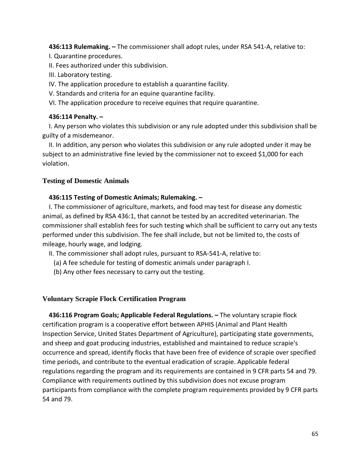**436:113 Rulemaking. –** The commissioner shall adopt rules, under RSA 541-A, relative to:

I. Quarantine procedures.

II. Fees authorized under this subdivision.

III. Laboratory testing.

IV. The application procedure to establish a quarantine facility.

V. Standards and criteria for an equine quarantine facility.

VI. The application procedure to receive equines that require quarantine.

## **436:114 Penalty. –**

 I. Any person who violates this subdivision or any rule adopted under this subdivision shall be guilty of a misdemeanor.

 II. In addition, any person who violates this subdivision or any rule adopted under it may be subject to an administrative fine levied by the commissioner not to exceed \$1,000 for each violation.

## **Testing of Domestic Animals**

## **436:115 Testing of Domestic Animals; Rulemaking. –**

 I. The commissioner of agriculture, markets, and food may test for disease any domestic animal, as defined by RSA 436:1, that cannot be tested by an accredited veterinarian. The commissioner shall establish fees for such testing which shall be sufficient to carry out any tests performed under this subdivision. The fee shall include, but not be limited to, the costs of mileage, hourly wage, and lodging.

II. The commissioner shall adopt rules, pursuant to RSA-541-A, relative to:

(a) A fee schedule for testing of domestic animals under paragraph I.

(b) Any other fees necessary to carry out the testing.

## **Voluntary Scrapie Flock Certification Program**

 **436:116 Program Goals; Applicable Federal Regulations. –** The voluntary scrapie flock certification program is a cooperative effort between APHIS (Animal and Plant Health Inspection Service, United States Department of Agriculture), participating state governments, and sheep and goat producing industries, established and maintained to reduce scrapie's occurrence and spread, identify flocks that have been free of evidence of scrapie over specified time periods, and contribute to the eventual eradication of scrapie. Applicable federal regulations regarding the program and its requirements are contained in 9 CFR parts 54 and 79. Compliance with requirements outlined by this subdivision does not excuse program participants from compliance with the complete program requirements provided by 9 CFR parts 54 and 79.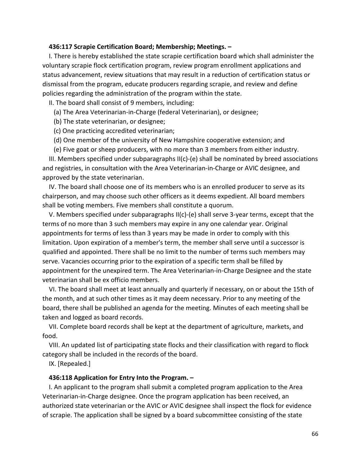### **436:117 Scrapie Certification Board; Membership; Meetings. –**

 I. There is hereby established the state scrapie certification board which shall administer the voluntary scrapie flock certification program, review program enrollment applications and status advancement, review situations that may result in a reduction of certification status or dismissal from the program, educate producers regarding scrapie, and review and define policies regarding the administration of the program within the state.

II. The board shall consist of 9 members, including:

(a) The Area Veterinarian-in-Charge (federal Veterinarian), or designee;

(b) The state veterinarian, or designee;

(c) One practicing accredited veterinarian;

(d) One member of the university of New Hampshire cooperative extension; and

(e) Five goat or sheep producers, with no more than 3 members from either industry.

 III. Members specified under subparagraphs II(c)-(e) shall be nominated by breed associations and registries, in consultation with the Area Veterinarian-in-Charge or AVIC designee, and approved by the state veterinarian.

 IV. The board shall choose one of its members who is an enrolled producer to serve as its chairperson, and may choose such other officers as it deems expedient. All board members shall be voting members. Five members shall constitute a quorum.

 V. Members specified under subparagraphs II(c)-(e) shall serve 3-year terms, except that the terms of no more than 3 such members may expire in any one calendar year. Original appointments for terms of less than 3 years may be made in order to comply with this limitation. Upon expiration of a member's term, the member shall serve until a successor is qualified and appointed. There shall be no limit to the number of terms such members may serve. Vacancies occurring prior to the expiration of a specific term shall be filled by appointment for the unexpired term. The Area Veterinarian-in-Charge Designee and the state veterinarian shall be ex officio members.

 VI. The board shall meet at least annually and quarterly if necessary, on or about the 15th of the month, and at such other times as it may deem necessary. Prior to any meeting of the board, there shall be published an agenda for the meeting. Minutes of each meeting shall be taken and logged as board records.

 VII. Complete board records shall be kept at the department of agriculture, markets, and food.

 VIII. An updated list of participating state flocks and their classification with regard to flock category shall be included in the records of the board.

IX. [Repealed.]

### **436:118 Application for Entry Into the Program. –**

 I. An applicant to the program shall submit a completed program application to the Area Veterinarian-in-Charge designee. Once the program application has been received, an authorized state veterinarian or the AVIC or AVIC designee shall inspect the flock for evidence of scrapie. The application shall be signed by a board subcommittee consisting of the state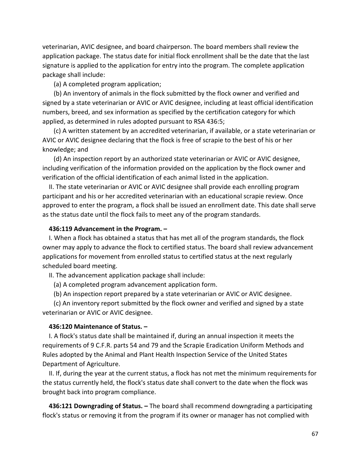veterinarian, AVIC designee, and board chairperson. The board members shall review the application package. The status date for initial flock enrollment shall be the date that the last signature is applied to the application for entry into the program. The complete application package shall include:

(a) A completed program application;

 (b) An inventory of animals in the flock submitted by the flock owner and verified and signed by a state veterinarian or AVIC or AVIC designee, including at least official identification numbers, breed, and sex information as specified by the certification category for which applied, as determined in rules adopted pursuant to RSA 436:5;

 (c) A written statement by an accredited veterinarian, if available, or a state veterinarian or AVIC or AVIC designee declaring that the flock is free of scrapie to the best of his or her knowledge; and

 (d) An inspection report by an authorized state veterinarian or AVIC or AVIC designee, including verification of the information provided on the application by the flock owner and verification of the official identification of each animal listed in the application.

 II. The state veterinarian or AVIC or AVIC designee shall provide each enrolling program participant and his or her accredited veterinarian with an educational scrapie review. Once approved to enter the program, a flock shall be issued an enrollment date. This date shall serve as the status date until the flock fails to meet any of the program standards.

### **436:119 Advancement in the Program. –**

 I. When a flock has obtained a status that has met all of the program standards, the flock owner may apply to advance the flock to certified status. The board shall review advancement applications for movement from enrolled status to certified status at the next regularly scheduled board meeting.

II. The advancement application package shall include:

(a) A completed program advancement application form.

(b) An inspection report prepared by a state veterinarian or AVIC or AVIC designee.

 (c) An inventory report submitted by the flock owner and verified and signed by a state veterinarian or AVIC or AVIC designee.

### **436:120 Maintenance of Status. –**

 I. A flock's status date shall be maintained if, during an annual inspection it meets the requirements of 9 C.F.R. parts 54 and 79 and the Scrapie Eradication Uniform Methods and Rules adopted by the Animal and Plant Health Inspection Service of the United States Department of Agriculture.

 II. If, during the year at the current status, a flock has not met the minimum requirements for the status currently held, the flock's status date shall convert to the date when the flock was brought back into program compliance.

 **436:121 Downgrading of Status. –** The board shall recommend downgrading a participating flock's status or removing it from the program if its owner or manager has not complied with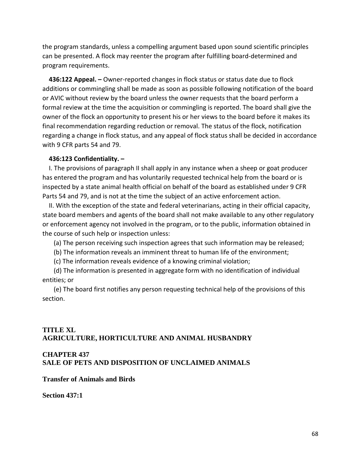the program standards, unless a compelling argument based upon sound scientific principles can be presented. A flock may reenter the program after fulfilling board-determined and program requirements.

 **436:122 Appeal. –** Owner-reported changes in flock status or status date due to flock additions or commingling shall be made as soon as possible following notification of the board or AVIC without review by the board unless the owner requests that the board perform a formal review at the time the acquisition or commingling is reported. The board shall give the owner of the flock an opportunity to present his or her views to the board before it makes its final recommendation regarding reduction or removal. The status of the flock, notification regarding a change in flock status, and any appeal of flock status shall be decided in accordance with 9 CFR parts 54 and 79.

## **436:123 Confidentiality. –**

 I. The provisions of paragraph II shall apply in any instance when a sheep or goat producer has entered the program and has voluntarily requested technical help from the board or is inspected by a state animal health official on behalf of the board as established under 9 CFR Parts 54 and 79, and is not at the time the subject of an active enforcement action.

 II. With the exception of the state and federal veterinarians, acting in their official capacity, state board members and agents of the board shall not make available to any other regulatory or enforcement agency not involved in the program, or to the public, information obtained in the course of such help or inspection unless:

(a) The person receiving such inspection agrees that such information may be released;

(b) The information reveals an imminent threat to human life of the environment;

(c) The information reveals evidence of a knowing criminal violation;

 (d) The information is presented in aggregate form with no identification of individual entities; or

 (e) The board first notifies any person requesting technical help of the provisions of this section.

# **TITLE XL AGRICULTURE, HORTICULTURE AND ANIMAL HUSBANDRY**

# **CHAPTER 437**

**SALE OF PETS AND DISPOSITION OF UNCLAIMED ANIMALS**

**Transfer of Animals and Birds**

**Section 437:1**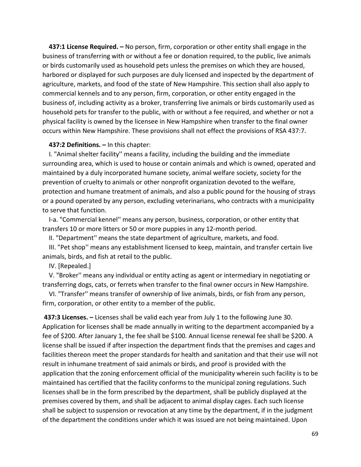**437:1 License Required. –** No person, firm, corporation or other entity shall engage in the business of transferring with or without a fee or donation required, to the public, live animals or birds customarily used as household pets unless the premises on which they are housed, harbored or displayed for such purposes are duly licensed and inspected by the department of agriculture, markets, and food of the state of New Hampshire. This section shall also apply to commercial kennels and to any person, firm, corporation, or other entity engaged in the business of, including activity as a broker, transferring live animals or birds customarily used as household pets for transfer to the public, with or without a fee required, and whether or not a physical facility is owned by the licensee in New Hampshire when transfer to the final owner occurs within New Hampshire. These provisions shall not effect the provisions of RSA 437:7.

## **437:2 Definitions. –** In this chapter:

 I. "Animal shelter facility'' means a facility, including the building and the immediate surrounding area, which is used to house or contain animals and which is owned, operated and maintained by a duly incorporated humane society, animal welfare society, society for the prevention of cruelty to animals or other nonprofit organization devoted to the welfare, protection and humane treatment of animals, and also a public pound for the housing of strays or a pound operated by any person, excluding veterinarians, who contracts with a municipality to serve that function.

 I-a. "Commercial kennel'' means any person, business, corporation, or other entity that transfers 10 or more litters or 50 or more puppies in any 12-month period.

II. "Department'' means the state department of agriculture, markets, and food.

 III. "Pet shop'' means any establishment licensed to keep, maintain, and transfer certain live animals, birds, and fish at retail to the public.

IV. [Repealed.]

 V. "Broker'' means any individual or entity acting as agent or intermediary in negotiating or transferring dogs, cats, or ferrets when transfer to the final owner occurs in New Hampshire.

 VI. "Transfer'' means transfer of ownership of live animals, birds, or fish from any person, firm, corporation, or other entity to a member of the public.

**437:3 Licenses. –** Licenses shall be valid each year from July 1 to the following June 30. Application for licenses shall be made annually in writing to the department accompanied by a fee of \$200. After January 1, the fee shall be \$100. Annual license renewal fee shall be \$200. A license shall be issued if after inspection the department finds that the premises and cages and facilities thereon meet the proper standards for health and sanitation and that their use will not result in inhumane treatment of said animals or birds, and proof is provided with the application that the zoning enforcement official of the municipality wherein such facility is to be maintained has certified that the facility conforms to the municipal zoning regulations. Such licenses shall be in the form prescribed by the department, shall be publicly displayed at the premises covered by them, and shall be adjacent to animal display cages. Each such license shall be subject to suspension or revocation at any time by the department, if in the judgment of the department the conditions under which it was issued are not being maintained. Upon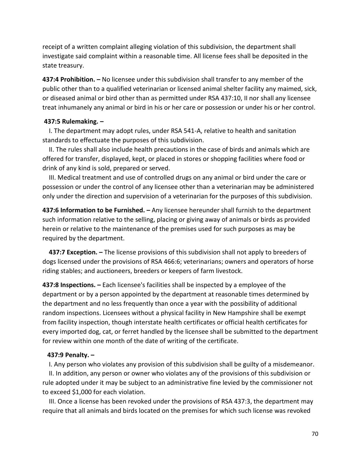receipt of a written complaint alleging violation of this subdivision, the department shall investigate said complaint within a reasonable time. All license fees shall be deposited in the state treasury.

**437:4 Prohibition. –** No licensee under this subdivision shall transfer to any member of the public other than to a qualified veterinarian or licensed animal shelter facility any maimed, sick, or diseased animal or bird other than as permitted under RSA 437:10, II nor shall any licensee treat inhumanely any animal or bird in his or her care or possession or under his or her control.

### **437:5 Rulemaking. –**

 I. The department may adopt rules, under RSA 541-A, relative to health and sanitation standards to effectuate the purposes of this subdivision.

 II. The rules shall also include health precautions in the case of birds and animals which are offered for transfer, displayed, kept, or placed in stores or shopping facilities where food or drink of any kind is sold, prepared or served.

 III. Medical treatment and use of controlled drugs on any animal or bird under the care or possession or under the control of any licensee other than a veterinarian may be administered only under the direction and supervision of a veterinarian for the purposes of this subdivision.

**437:6 Information to be Furnished. –** Any licensee hereunder shall furnish to the department such information relative to the selling, placing or giving away of animals or birds as provided herein or relative to the maintenance of the premises used for such purposes as may be required by the department.

 **437:7 Exception. –** The license provisions of this subdivision shall not apply to breeders of dogs licensed under the provisions of RSA 466:6; veterinarians; owners and operators of horse riding stables; and auctioneers, breeders or keepers of farm livestock.

**437:8 Inspections. –** Each licensee's facilities shall be inspected by a employee of the department or by a person appointed by the department at reasonable times determined by the department and no less frequently than once a year with the possibility of additional random inspections. Licensees without a physical facility in New Hampshire shall be exempt from facility inspection, though interstate health certificates or official health certificates for every imported dog, cat, or ferret handled by the licensee shall be submitted to the department for review within one month of the date of writing of the certificate.

### **437:9 Penalty. –**

I. Any person who violates any provision of this subdivision shall be guilty of a misdemeanor.

 II. In addition, any person or owner who violates any of the provisions of this subdivision or rule adopted under it may be subject to an administrative fine levied by the commissioner not to exceed \$1,000 for each violation.

 III. Once a license has been revoked under the provisions of RSA 437:3, the department may require that all animals and birds located on the premises for which such license was revoked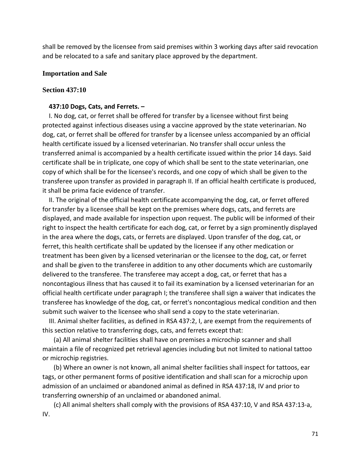shall be removed by the licensee from said premises within 3 working days after said revocation and be relocated to a safe and sanitary place approved by the department.

### **Importation and Sale**

### **Section 437:10**

## **437:10 Dogs, Cats, and Ferrets. –**

 I. No dog, cat, or ferret shall be offered for transfer by a licensee without first being protected against infectious diseases using a vaccine approved by the state veterinarian. No dog, cat, or ferret shall be offered for transfer by a licensee unless accompanied by an official health certificate issued by a licensed veterinarian. No transfer shall occur unless the transferred animal is accompanied by a health certificate issued within the prior 14 days. Said certificate shall be in triplicate, one copy of which shall be sent to the state veterinarian, one copy of which shall be for the licensee's records, and one copy of which shall be given to the transferee upon transfer as provided in paragraph II. If an official health certificate is produced, it shall be prima facie evidence of transfer.

 II. The original of the official health certificate accompanying the dog, cat, or ferret offered for transfer by a licensee shall be kept on the premises where dogs, cats, and ferrets are displayed, and made available for inspection upon request. The public will be informed of their right to inspect the health certificate for each dog, cat, or ferret by a sign prominently displayed in the area where the dogs, cats, or ferrets are displayed. Upon transfer of the dog, cat, or ferret, this health certificate shall be updated by the licensee if any other medication or treatment has been given by a licensed veterinarian or the licensee to the dog, cat, or ferret and shall be given to the transferee in addition to any other documents which are customarily delivered to the transferee. The transferee may accept a dog, cat, or ferret that has a noncontagious illness that has caused it to fail its examination by a licensed veterinarian for an official health certificate under paragraph I; the transferee shall sign a waiver that indicates the transferee has knowledge of the dog, cat, or ferret's noncontagious medical condition and then submit such waiver to the licensee who shall send a copy to the state veterinarian.

 III. Animal shelter facilities, as defined in RSA 437:2, I, are exempt from the requirements of this section relative to transferring dogs, cats, and ferrets except that:

 (a) All animal shelter facilities shall have on premises a microchip scanner and shall maintain a file of recognized pet retrieval agencies including but not limited to national tattoo or microchip registries.

 (b) Where an owner is not known, all animal shelter facilities shall inspect for tattoos, ear tags, or other permanent forms of positive identification and shall scan for a microchip upon admission of an unclaimed or abandoned animal as defined in RSA 437:18, IV and prior to transferring ownership of an unclaimed or abandoned animal.

 (c) All animal shelters shall comply with the provisions of RSA 437:10, V and RSA 437:13-a, IV.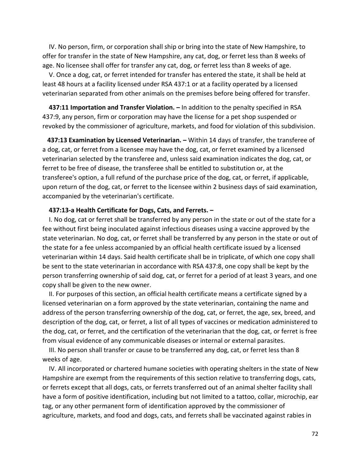IV. No person, firm, or corporation shall ship or bring into the state of New Hampshire, to offer for transfer in the state of New Hampshire, any cat, dog, or ferret less than 8 weeks of age. No licensee shall offer for transfer any cat, dog, or ferret less than 8 weeks of age.

 V. Once a dog, cat, or ferret intended for transfer has entered the state, it shall be held at least 48 hours at a facility licensed under RSA 437:1 or at a facility operated by a licensed veterinarian separated from other animals on the premises before being offered for transfer.

 **437:11 Importation and Transfer Violation. –** In addition to the penalty specified in RSA 437:9, any person, firm or corporation may have the license for a pet shop suspended or revoked by the commissioner of agriculture, markets, and food for violation of this subdivision.

 **437:13 Examination by Licensed Veterinarian. –** Within 14 days of transfer, the transferee of a dog, cat, or ferret from a licensee may have the dog, cat, or ferret examined by a licensed veterinarian selected by the transferee and, unless said examination indicates the dog, cat, or ferret to be free of disease, the transferee shall be entitled to substitution or, at the transferee's option, a full refund of the purchase price of the dog, cat, or ferret, if applicable, upon return of the dog, cat, or ferret to the licensee within 2 business days of said examination, accompanied by the veterinarian's certificate.

#### **437:13-a Health Certificate for Dogs, Cats, and Ferrets. –**

 I. No dog, cat or ferret shall be transferred by any person in the state or out of the state for a fee without first being inoculated against infectious diseases using a vaccine approved by the state veterinarian. No dog, cat, or ferret shall be transferred by any person in the state or out of the state for a fee unless accompanied by an official health certificate issued by a licensed veterinarian within 14 days. Said health certificate shall be in triplicate, of which one copy shall be sent to the state veterinarian in accordance with RSA 437:8, one copy shall be kept by the person transferring ownership of said dog, cat, or ferret for a period of at least 3 years, and one copy shall be given to the new owner.

 II. For purposes of this section, an official health certificate means a certificate signed by a licensed veterinarian on a form approved by the state veterinarian, containing the name and address of the person transferring ownership of the dog, cat, or ferret, the age, sex, breed, and description of the dog, cat, or ferret, a list of all types of vaccines or medication administered to the dog, cat, or ferret, and the certification of the veterinarian that the dog, cat, or ferret is free from visual evidence of any communicable diseases or internal or external parasites.

 III. No person shall transfer or cause to be transferred any dog, cat, or ferret less than 8 weeks of age.

 IV. All incorporated or chartered humane societies with operating shelters in the state of New Hampshire are exempt from the requirements of this section relative to transferring dogs, cats, or ferrets except that all dogs, cats, or ferrets transferred out of an animal shelter facility shall have a form of positive identification, including but not limited to a tattoo, collar, microchip, ear tag, or any other permanent form of identification approved by the commissioner of agriculture, markets, and food and dogs, cats, and ferrets shall be vaccinated against rabies in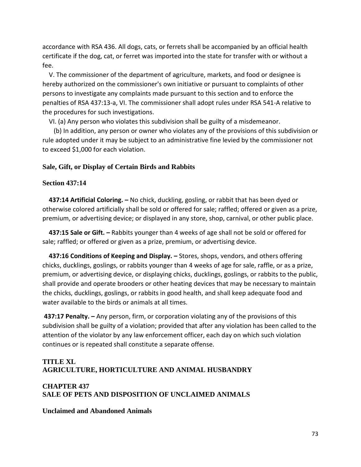accordance with RSA 436. All dogs, cats, or ferrets shall be accompanied by an official health certificate if the dog, cat, or ferret was imported into the state for transfer with or without a fee.

 V. The commissioner of the department of agriculture, markets, and food or designee is hereby authorized on the commissioner's own initiative or pursuant to complaints of other persons to investigate any complaints made pursuant to this section and to enforce the penalties of RSA 437:13-a, VI. The commissioner shall adopt rules under RSA 541-A relative to the procedures for such investigations.

VI. (a) Any person who violates this subdivision shall be guilty of a misdemeanor.

 (b) In addition, any person or owner who violates any of the provisions of this subdivision or rule adopted under it may be subject to an administrative fine levied by the commissioner not to exceed \$1,000 for each violation.

## **Sale, Gift, or Display of Certain Birds and Rabbits**

## **Section 437:14**

 **437:14 Artificial Coloring. –** No chick, duckling, gosling, or rabbit that has been dyed or otherwise colored artificially shall be sold or offered for sale; raffled; offered or given as a prize, premium, or advertising device; or displayed in any store, shop, carnival, or other public place.

 **437:15 Sale or Gift. –** Rabbits younger than 4 weeks of age shall not be sold or offered for sale; raffled; or offered or given as a prize, premium, or advertising device.

 **437:16 Conditions of Keeping and Display. –** Stores, shops, vendors, and others offering chicks, ducklings, goslings, or rabbits younger than 4 weeks of age for sale, raffle, or as a prize, premium, or advertising device, or displaying chicks, ducklings, goslings, or rabbits to the public, shall provide and operate brooders or other heating devices that may be necessary to maintain the chicks, ducklings, goslings, or rabbits in good health, and shall keep adequate food and water available to the birds or animals at all times.

**437:17 Penalty. –** Any person, firm, or corporation violating any of the provisions of this subdivision shall be guilty of a violation; provided that after any violation has been called to the attention of the violator by any law enforcement officer, each day on which such violation continues or is repeated shall constitute a separate offense.

# **TITLE XL AGRICULTURE, HORTICULTURE AND ANIMAL HUSBANDRY**

## **CHAPTER 437 SALE OF PETS AND DISPOSITION OF UNCLAIMED ANIMALS**

## **Unclaimed and Abandoned Animals**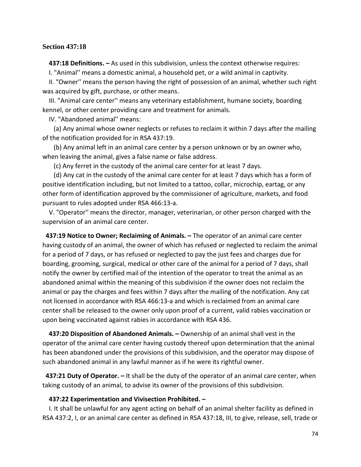### **Section 437:18**

**437:18 Definitions. –** As used in this subdivision, unless the context otherwise requires:

I. "Animal'' means a domestic animal, a household pet, or a wild animal in captivity.

 II. "Owner'' means the person having the right of possession of an animal, whether such right was acquired by gift, purchase, or other means.

 III. "Animal care center'' means any veterinary establishment, humane society, boarding kennel, or other center providing care and treatment for animals.

IV. "Abandoned animal'' means:

 (a) Any animal whose owner neglects or refuses to reclaim it within 7 days after the mailing of the notification provided for in RSA 437:19.

 (b) Any animal left in an animal care center by a person unknown or by an owner who, when leaving the animal, gives a false name or false address.

(c) Any ferret in the custody of the animal care center for at least 7 days.

 (d) Any cat in the custody of the animal care center for at least 7 days which has a form of positive identification including, but not limited to a tattoo, collar, microchip, eartag, or any other form of identification approved by the commissioner of agriculture, markets, and food pursuant to rules adopted under RSA 466:13-a.

 V. "Operator'' means the director, manager, veterinarian, or other person charged with the supervision of an animal care center.

**437:19 Notice to Owner; Reclaiming of Animals. –** The operator of an animal care center having custody of an animal, the owner of which has refused or neglected to reclaim the animal for a period of 7 days, or has refused or neglected to pay the just fees and charges due for boarding, grooming, surgical, medical or other care of the animal for a period of 7 days, shall notify the owner by certified mail of the intention of the operator to treat the animal as an abandoned animal within the meaning of this subdivision if the owner does not reclaim the animal or pay the charges and fees within 7 days after the mailing of the notification. Any cat not licensed in accordance with RSA 466:13-a and which is reclaimed from an animal care center shall be released to the owner only upon proof of a current, valid rabies vaccination or upon being vaccinated against rabies in accordance with RSA 436.

 **437:20 Disposition of Abandoned Animals. –** Ownership of an animal shall vest in the operator of the animal care center having custody thereof upon determination that the animal has been abandoned under the provisions of this subdivision, and the operator may dispose of such abandoned animal in any lawful manner as if he were its rightful owner.

**437:21 Duty of Operator. –** It shall be the duty of the operator of an animal care center, when taking custody of an animal, to advise its owner of the provisions of this subdivision.

#### **437:22 Experimentation and Vivisection Prohibited. –**

 I. It shall be unlawful for any agent acting on behalf of an animal shelter facility as defined in RSA 437:2, I, or an animal care center as defined in RSA 437:18, III, to give, release, sell, trade or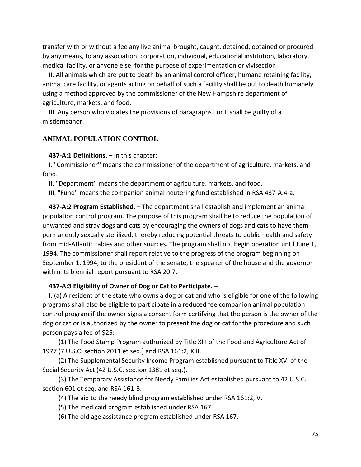transfer with or without a fee any live animal brought, caught, detained, obtained or procured by any means, to any association, corporation, individual, educational institution, laboratory, medical facility, or anyone else, for the purpose of experimentation or vivisection.

 II. All animals which are put to death by an animal control officer, humane retaining facility, animal care facility, or agents acting on behalf of such a facility shall be put to death humanely using a method approved by the commissioner of the New Hampshire department of agriculture, markets, and food.

 III. Any person who violates the provisions of paragraphs I or II shall be guilty of a misdemeanor.

### **ANIMAL POPULATION CONTROL**

**437-A:1 Definitions. –** In this chapter:

 I. "Commissioner'' means the commissioner of the department of agriculture, markets, and food.

II. "Department'' means the department of agriculture, markets, and food.

III. "Fund'' means the companion animal neutering fund established in RSA 437-A:4-a.

 **437-A:2 Program Established. –** The department shall establish and implement an animal population control program. The purpose of this program shall be to reduce the population of unwanted and stray dogs and cats by encouraging the owners of dogs and cats to have them permanently sexually sterilized, thereby reducing potential threats to public health and safety from mid-Atlantic rabies and other sources. The program shall not begin operation until June 1, 1994. The commissioner shall report relative to the progress of the program beginning on September 1, 1994, to the president of the senate, the speaker of the house and the governor within its biennial report pursuant to RSA 20:7.

#### **437-A:3 Eligibility of Owner of Dog or Cat to Participate. –**

 I. (a) A resident of the state who owns a dog or cat and who is eligible for one of the following programs shall also be eligible to participate in a reduced fee companion animal population control program if the owner signs a consent form certifying that the person is the owner of the dog or cat or is authorized by the owner to present the dog or cat for the procedure and such person pays a fee of \$25:

 (1) The Food Stamp Program authorized by Title XIII of the Food and Agriculture Act of 1977 (7 U.S.C. section 2011 et seq.) and RSA 161:2, XIII.

 (2) The Supplemental Security Income Program established pursuant to Title XVI of the Social Security Act (42 U.S.C. section 1381 et seq.).

 (3) The Temporary Assistance for Needy Families Act established pursuant to 42 U.S.C. section 601 et seq. and RSA 161-B.

- (4) The aid to the needy blind program established under RSA 161:2, V.
- (5) The medicaid program established under RSA 167.
- (6) The old age assistance program established under RSA 167.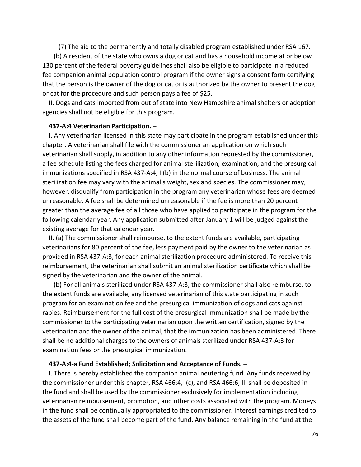(7) The aid to the permanently and totally disabled program established under RSA 167.

 (b) A resident of the state who owns a dog or cat and has a household income at or below 130 percent of the federal poverty guidelines shall also be eligible to participate in a reduced fee companion animal population control program if the owner signs a consent form certifying that the person is the owner of the dog or cat or is authorized by the owner to present the dog or cat for the procedure and such person pays a fee of \$25.

 II. Dogs and cats imported from out of state into New Hampshire animal shelters or adoption agencies shall not be eligible for this program.

### **437-A:4 Veterinarian Participation. –**

 I. Any veterinarian licensed in this state may participate in the program established under this chapter. A veterinarian shall file with the commissioner an application on which such veterinarian shall supply, in addition to any other information requested by the commissioner, a fee schedule listing the fees charged for animal sterilization, examination, and the presurgical immunizations specified in RSA 437-A:4, II(b) in the normal course of business. The animal sterilization fee may vary with the animal's weight, sex and species. The commissioner may, however, disqualify from participation in the program any veterinarian whose fees are deemed unreasonable. A fee shall be determined unreasonable if the fee is more than 20 percent greater than the average fee of all those who have applied to participate in the program for the following calendar year. Any application submitted after January 1 will be judged against the existing average for that calendar year.

 II. (a) The commissioner shall reimburse, to the extent funds are available, participating veterinarians for 80 percent of the fee, less payment paid by the owner to the veterinarian as provided in RSA 437-A:3, for each animal sterilization procedure administered. To receive this reimbursement, the veterinarian shall submit an animal sterilization certificate which shall be signed by the veterinarian and the owner of the animal.

 (b) For all animals sterilized under RSA 437-A:3, the commissioner shall also reimburse, to the extent funds are available, any licensed veterinarian of this state participating in such program for an examination fee and the presurgical immunization of dogs and cats against rabies. Reimbursement for the full cost of the presurgical immunization shall be made by the commissioner to the participating veterinarian upon the written certification, signed by the veterinarian and the owner of the animal, that the immunization has been administered. There shall be no additional charges to the owners of animals sterilized under RSA 437-A:3 for examination fees or the presurgical immunization.

### **437-A:4-a Fund Established; Solicitation and Acceptance of Funds. –**

 I. There is hereby established the companion animal neutering fund. Any funds received by the commissioner under this chapter, RSA 466:4, I(c), and RSA 466:6, III shall be deposited in the fund and shall be used by the commissioner exclusively for implementation including veterinarian reimbursement, promotion, and other costs associated with the program. Moneys in the fund shall be continually appropriated to the commissioner. Interest earnings credited to the assets of the fund shall become part of the fund. Any balance remaining in the fund at the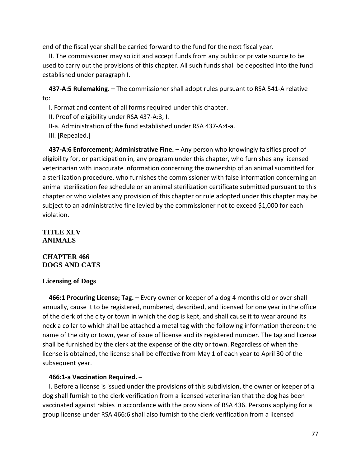end of the fiscal year shall be carried forward to the fund for the next fiscal year.

 II. The commissioner may solicit and accept funds from any public or private source to be used to carry out the provisions of this chapter. All such funds shall be deposited into the fund established under paragraph I.

 **437-A:5 Rulemaking. –** The commissioner shall adopt rules pursuant to RSA 541-A relative to:

I. Format and content of all forms required under this chapter.

II. Proof of eligibility under RSA 437-A:3, I.

II-a. Administration of the fund established under RSA 437-A:4-a.

III. [Repealed.]

 **437-A:6 Enforcement; Administrative Fine. –** Any person who knowingly falsifies proof of eligibility for, or participation in, any program under this chapter, who furnishes any licensed veterinarian with inaccurate information concerning the ownership of an animal submitted for a sterilization procedure, who furnishes the commissioner with false information concerning an animal sterilization fee schedule or an animal sterilization certificate submitted pursuant to this chapter or who violates any provision of this chapter or rule adopted under this chapter may be subject to an administrative fine levied by the commissioner not to exceed \$1,000 for each violation.

## **TITLE XLV ANIMALS**

## **CHAPTER 466 DOGS AND CATS**

## **Licensing of Dogs**

 **466:1 Procuring License; Tag. –** Every owner or keeper of a dog 4 months old or over shall annually, cause it to be registered, numbered, described, and licensed for one year in the office of the clerk of the city or town in which the dog is kept, and shall cause it to wear around its neck a collar to which shall be attached a metal tag with the following information thereon: the name of the city or town, year of issue of license and its registered number. The tag and license shall be furnished by the clerk at the expense of the city or town. Regardless of when the license is obtained, the license shall be effective from May 1 of each year to April 30 of the subsequent year.

## **466:1-a Vaccination Required. –**

 I. Before a license is issued under the provisions of this subdivision, the owner or keeper of a dog shall furnish to the clerk verification from a licensed veterinarian that the dog has been vaccinated against rabies in accordance with the provisions of RSA 436. Persons applying for a group license under RSA 466:6 shall also furnish to the clerk verification from a licensed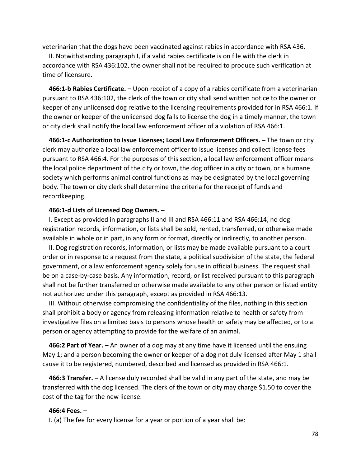veterinarian that the dogs have been vaccinated against rabies in accordance with RSA 436.

 II. Notwithstanding paragraph I, if a valid rabies certificate is on file with the clerk in accordance with RSA 436:102, the owner shall not be required to produce such verification at time of licensure.

 **466:1-b Rabies Certificate. –** Upon receipt of a copy of a rabies certificate from a veterinarian pursuant to RSA 436:102, the clerk of the town or city shall send written notice to the owner or keeper of any unlicensed dog relative to the licensing requirements provided for in RSA 466:1. If the owner or keeper of the unlicensed dog fails to license the dog in a timely manner, the town or city clerk shall notify the local law enforcement officer of a violation of RSA 466:1.

 **466:1-c Authorization to Issue Licenses; Local Law Enforcement Officers. –** The town or city clerk may authorize a local law enforcement officer to issue licenses and collect license fees pursuant to RSA 466:4. For the purposes of this section, a local law enforcement officer means the local police department of the city or town, the dog officer in a city or town, or a humane society which performs animal control functions as may be designated by the local governing body. The town or city clerk shall determine the criteria for the receipt of funds and recordkeeping.

#### **466:1-d Lists of Licensed Dog Owners. –**

 I. Except as provided in paragraphs II and III and RSA 466:11 and RSA 466:14, no dog registration records, information, or lists shall be sold, rented, transferred, or otherwise made available in whole or in part, in any form or format, directly or indirectly, to another person.

 II. Dog registration records, information, or lists may be made available pursuant to a court order or in response to a request from the state, a political subdivision of the state, the federal government, or a law enforcement agency solely for use in official business. The request shall be on a case-by-case basis. Any information, record, or list received pursuant to this paragraph shall not be further transferred or otherwise made available to any other person or listed entity not authorized under this paragraph, except as provided in RSA 466:13.

 III. Without otherwise compromising the confidentiality of the files, nothing in this section shall prohibit a body or agency from releasing information relative to health or safety from investigative files on a limited basis to persons whose health or safety may be affected, or to a person or agency attempting to provide for the welfare of an animal.

 **466:2 Part of Year. –** An owner of a dog may at any time have it licensed until the ensuing May 1; and a person becoming the owner or keeper of a dog not duly licensed after May 1 shall cause it to be registered, numbered, described and licensed as provided in RSA 466:1.

 **466:3 Transfer. –** A license duly recorded shall be valid in any part of the state, and may be transferred with the dog licensed. The clerk of the town or city may charge \$1.50 to cover the cost of the tag for the new license.

#### **466:4 Fees. –**

I. (a) The fee for every license for a year or portion of a year shall be: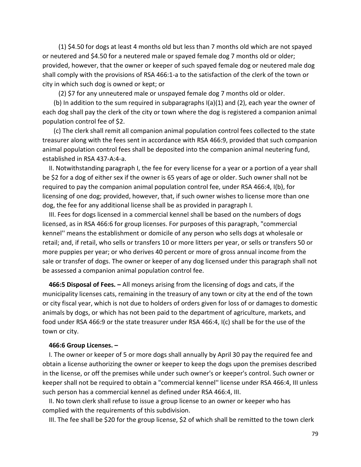(1) \$4.50 for dogs at least 4 months old but less than 7 months old which are not spayed or neutered and \$4.50 for a neutered male or spayed female dog 7 months old or older; provided, however, that the owner or keeper of such spayed female dog or neutered male dog shall comply with the provisions of RSA 466:1-a to the satisfaction of the clerk of the town or city in which such dog is owned or kept; or

(2) \$7 for any unneutered male or unspayed female dog 7 months old or older.

(b) In addition to the sum required in subparagraphs  $I(a)(1)$  and (2), each year the owner of each dog shall pay the clerk of the city or town where the dog is registered a companion animal population control fee of \$2.

 (c) The clerk shall remit all companion animal population control fees collected to the state treasurer along with the fees sent in accordance with RSA 466:9, provided that such companion animal population control fees shall be deposited into the companion animal neutering fund, established in RSA 437-A:4-a.

 II. Notwithstanding paragraph I, the fee for every license for a year or a portion of a year shall be \$2 for a dog of either sex if the owner is 65 years of age or older. Such owner shall not be required to pay the companion animal population control fee, under RSA 466:4, I(b), for licensing of one dog; provided, however, that, if such owner wishes to license more than one dog, the fee for any additional license shall be as provided in paragraph I.

 III. Fees for dogs licensed in a commercial kennel shall be based on the numbers of dogs licensed, as in RSA 466:6 for group licenses. For purposes of this paragraph, "commercial kennel'' means the establishment or domicile of any person who sells dogs at wholesale or retail; and, if retail, who sells or transfers 10 or more litters per year, or sells or transfers 50 or more puppies per year; or who derives 40 percent or more of gross annual income from the sale or transfer of dogs. The owner or keeper of any dog licensed under this paragraph shall not be assessed a companion animal population control fee.

 **466:5 Disposal of Fees. –** All moneys arising from the licensing of dogs and cats, if the municipality licenses cats, remaining in the treasury of any town or city at the end of the town or city fiscal year, which is not due to holders of orders given for loss of or damages to domestic animals by dogs, or which has not been paid to the department of agriculture, markets, and food under RSA 466:9 or the state treasurer under RSA 466:4, I(c) shall be for the use of the town or city.

#### **466:6 Group Licenses. –**

 I. The owner or keeper of 5 or more dogs shall annually by April 30 pay the required fee and obtain a license authorizing the owner or keeper to keep the dogs upon the premises described in the license, or off the premises while under such owner's or keeper's control. Such owner or keeper shall not be required to obtain a "commercial kennel'' license under RSA 466:4, III unless such person has a commercial kennel as defined under RSA 466:4, III.

 II. No town clerk shall refuse to issue a group license to an owner or keeper who has complied with the requirements of this subdivision.

III. The fee shall be \$20 for the group license, \$2 of which shall be remitted to the town clerk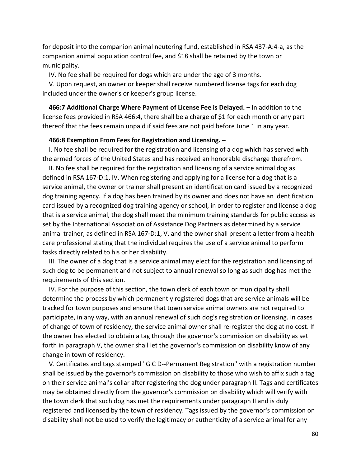for deposit into the companion animal neutering fund, established in RSA 437-A:4-a, as the companion animal population control fee, and \$18 shall be retained by the town or municipality.

IV. No fee shall be required for dogs which are under the age of 3 months.

 V. Upon request, an owner or keeper shall receive numbered license tags for each dog included under the owner's or keeper's group license.

 **466:7 Additional Charge Where Payment of License Fee is Delayed. –** In addition to the license fees provided in RSA 466:4, there shall be a charge of \$1 for each month or any part thereof that the fees remain unpaid if said fees are not paid before June 1 in any year.

#### **466:8 Exemption From Fees for Registration and Licensing. –**

 I. No fee shall be required for the registration and licensing of a dog which has served with the armed forces of the United States and has received an honorable discharge therefrom.

 II. No fee shall be required for the registration and licensing of a service animal dog as defined in RSA 167-D:1, IV. When registering and applying for a license for a dog that is a service animal, the owner or trainer shall present an identification card issued by a recognized dog training agency. If a dog has been trained by its owner and does not have an identification card issued by a recognized dog training agency or school, in order to register and license a dog that is a service animal, the dog shall meet the minimum training standards for public access as set by the International Association of Assistance Dog Partners as determined by a service animal trainer, as defined in RSA 167-D:1, V, and the owner shall present a letter from a health care professional stating that the individual requires the use of a service animal to perform tasks directly related to his or her disability.

 III. The owner of a dog that is a service animal may elect for the registration and licensing of such dog to be permanent and not subject to annual renewal so long as such dog has met the requirements of this section.

 IV. For the purpose of this section, the town clerk of each town or municipality shall determine the process by which permanently registered dogs that are service animals will be tracked for town purposes and ensure that town service animal owners are not required to participate, in any way, with an annual renewal of such dog's registration or licensing. In cases of change of town of residency, the service animal owner shall re-register the dog at no cost. If the owner has elected to obtain a tag through the governor's commission on disability as set forth in paragraph V, the owner shall let the governor's commission on disability know of any change in town of residency.

 V. Certificates and tags stamped "G C D--Permanent Registration'' with a registration number shall be issued by the governor's commission on disability to those who wish to affix such a tag on their service animal's collar after registering the dog under paragraph II. Tags and certificates may be obtained directly from the governor's commission on disability which will verify with the town clerk that such dog has met the requirements under paragraph II and is duly registered and licensed by the town of residency. Tags issued by the governor's commission on disability shall not be used to verify the legitimacy or authenticity of a service animal for any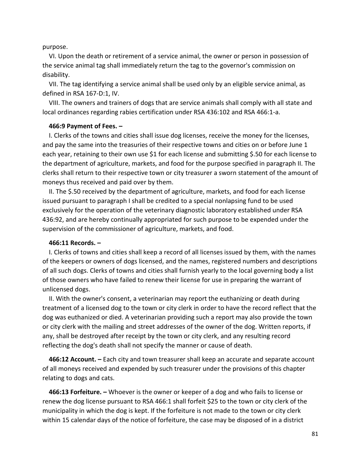#### purpose.

 VI. Upon the death or retirement of a service animal, the owner or person in possession of the service animal tag shall immediately return the tag to the governor's commission on disability.

 VII. The tag identifying a service animal shall be used only by an eligible service animal, as defined in RSA 167-D:1, IV.

 VIII. The owners and trainers of dogs that are service animals shall comply with all state and local ordinances regarding rabies certification under RSA 436:102 and RSA 466:1-a.

#### **466:9 Payment of Fees. –**

 I. Clerks of the towns and cities shall issue dog licenses, receive the money for the licenses, and pay the same into the treasuries of their respective towns and cities on or before June 1 each year, retaining to their own use \$1 for each license and submitting \$.50 for each license to the department of agriculture, markets, and food for the purpose specified in paragraph II. The clerks shall return to their respective town or city treasurer a sworn statement of the amount of moneys thus received and paid over by them.

 II. The \$.50 received by the department of agriculture, markets, and food for each license issued pursuant to paragraph I shall be credited to a special nonlapsing fund to be used exclusively for the operation of the veterinary diagnostic laboratory established under RSA 436:92, and are hereby continually appropriated for such purpose to be expended under the supervision of the commissioner of agriculture, markets, and food.

### **466:11 Records. –**

 I. Clerks of towns and cities shall keep a record of all licenses issued by them, with the names of the keepers or owners of dogs licensed, and the names, registered numbers and descriptions of all such dogs. Clerks of towns and cities shall furnish yearly to the local governing body a list of those owners who have failed to renew their license for use in preparing the warrant of unlicensed dogs.

 II. With the owner's consent, a veterinarian may report the euthanizing or death during treatment of a licensed dog to the town or city clerk in order to have the record reflect that the dog was euthanized or died. A veterinarian providing such a report may also provide the town or city clerk with the mailing and street addresses of the owner of the dog. Written reports, if any, shall be destroyed after receipt by the town or city clerk, and any resulting record reflecting the dog's death shall not specify the manner or cause of death.

 **466:12 Account. –** Each city and town treasurer shall keep an accurate and separate account of all moneys received and expended by such treasurer under the provisions of this chapter relating to dogs and cats.

 **466:13 Forfeiture. –** Whoever is the owner or keeper of a dog and who fails to license or renew the dog license pursuant to RSA 466:1 shall forfeit \$25 to the town or city clerk of the municipality in which the dog is kept. If the forfeiture is not made to the town or city clerk within 15 calendar days of the notice of forfeiture, the case may be disposed of in a district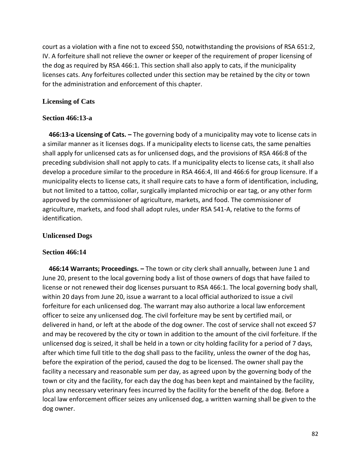court as a violation with a fine not to exceed \$50, notwithstanding the provisions of RSA 651:2, IV. A forfeiture shall not relieve the owner or keeper of the requirement of proper licensing of the dog as required by RSA 466:1. This section shall also apply to cats, if the municipality licenses cats. Any forfeitures collected under this section may be retained by the city or town for the administration and enforcement of this chapter.

## **Licensing of Cats**

### **Section 466:13-a**

 **466:13-a Licensing of Cats. –** The governing body of a municipality may vote to license cats in a similar manner as it licenses dogs. If a municipality elects to license cats, the same penalties shall apply for unlicensed cats as for unlicensed dogs, and the provisions of RSA 466:8 of the preceding subdivision shall not apply to cats. If a municipality elects to license cats, it shall also develop a procedure similar to the procedure in RSA 466:4, III and 466:6 for group licensure. If a municipality elects to license cats, it shall require cats to have a form of identification, including, but not limited to a tattoo, collar, surgically implanted microchip or ear tag, or any other form approved by the commissioner of agriculture, markets, and food. The commissioner of agriculture, markets, and food shall adopt rules, under RSA 541-A, relative to the forms of identification.

## **Unlicensed Dogs**

### **Section 466:14**

 **466:14 Warrants; Proceedings. –** The town or city clerk shall annually, between June 1 and June 20, present to the local governing body a list of those owners of dogs that have failed to license or not renewed their dog licenses pursuant to RSA 466:1. The local governing body shall, within 20 days from June 20, issue a warrant to a local official authorized to issue a civil forfeiture for each unlicensed dog. The warrant may also authorize a local law enforcement officer to seize any unlicensed dog. The civil forfeiture may be sent by certified mail, or delivered in hand, or left at the abode of the dog owner. The cost of service shall not exceed \$7 and may be recovered by the city or town in addition to the amount of the civil forfeiture. If the unlicensed dog is seized, it shall be held in a town or city holding facility for a period of 7 days, after which time full title to the dog shall pass to the facility, unless the owner of the dog has, before the expiration of the period, caused the dog to be licensed. The owner shall pay the facility a necessary and reasonable sum per day, as agreed upon by the governing body of the town or city and the facility, for each day the dog has been kept and maintained by the facility, plus any necessary veterinary fees incurred by the facility for the benefit of the dog. Before a local law enforcement officer seizes any unlicensed dog, a written warning shall be given to the dog owner.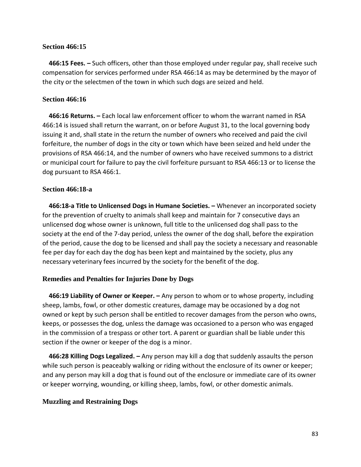### **Section 466:15**

 **466:15 Fees. –** Such officers, other than those employed under regular pay, shall receive such compensation for services performed under RSA 466:14 as may be determined by the mayor of the city or the selectmen of the town in which such dogs are seized and held.

### **Section 466:16**

 **466:16 Returns. –** Each local law enforcement officer to whom the warrant named in RSA 466:14 is issued shall return the warrant, on or before August 31, to the local governing body issuing it and, shall state in the return the number of owners who received and paid the civil forfeiture, the number of dogs in the city or town which have been seized and held under the provisions of RSA 466:14, and the number of owners who have received summons to a district or municipal court for failure to pay the civil forfeiture pursuant to RSA 466:13 or to license the dog pursuant to RSA 466:1.

### **Section 466:18-a**

 **466:18-a Title to Unlicensed Dogs in Humane Societies. –** Whenever an incorporated society for the prevention of cruelty to animals shall keep and maintain for 7 consecutive days an unlicensed dog whose owner is unknown, full title to the unlicensed dog shall pass to the society at the end of the 7-day period, unless the owner of the dog shall, before the expiration of the period, cause the dog to be licensed and shall pay the society a necessary and reasonable fee per day for each day the dog has been kept and maintained by the society, plus any necessary veterinary fees incurred by the society for the benefit of the dog.

### **Remedies and Penalties for Injuries Done by Dogs**

 **466:19 Liability of Owner or Keeper. –** Any person to whom or to whose property, including sheep, lambs, fowl, or other domestic creatures, damage may be occasioned by a dog not owned or kept by such person shall be entitled to recover damages from the person who owns, keeps, or possesses the dog, unless the damage was occasioned to a person who was engaged in the commission of a trespass or other tort. A parent or guardian shall be liable under this section if the owner or keeper of the dog is a minor.

 **466:28 Killing Dogs Legalized. –** Any person may kill a dog that suddenly assaults the person while such person is peaceably walking or riding without the enclosure of its owner or keeper; and any person may kill a dog that is found out of the enclosure or immediate care of its owner or keeper worrying, wounding, or killing sheep, lambs, fowl, or other domestic animals.

### **Muzzling and Restraining Dogs**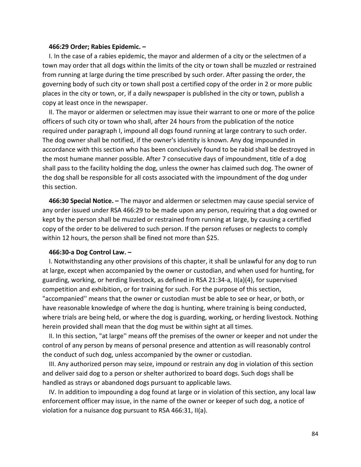#### **466:29 Order; Rabies Epidemic. –**

 I. In the case of a rabies epidemic, the mayor and aldermen of a city or the selectmen of a town may order that all dogs within the limits of the city or town shall be muzzled or restrained from running at large during the time prescribed by such order. After passing the order, the governing body of such city or town shall post a certified copy of the order in 2 or more public places in the city or town, or, if a daily newspaper is published in the city or town, publish a copy at least once in the newspaper.

 II. The mayor or aldermen or selectmen may issue their warrant to one or more of the police officers of such city or town who shall, after 24 hours from the publication of the notice required under paragraph I, impound all dogs found running at large contrary to such order. The dog owner shall be notified, if the owner's identity is known. Any dog impounded in accordance with this section who has been conclusively found to be rabid shall be destroyed in the most humane manner possible. After 7 consecutive days of impoundment, title of a dog shall pass to the facility holding the dog, unless the owner has claimed such dog. The owner of the dog shall be responsible for all costs associated with the impoundment of the dog under this section.

 **466:30 Special Notice. –** The mayor and aldermen or selectmen may cause special service of any order issued under RSA 466:29 to be made upon any person, requiring that a dog owned or kept by the person shall be muzzled or restrained from running at large, by causing a certified copy of the order to be delivered to such person. If the person refuses or neglects to comply within 12 hours, the person shall be fined not more than \$25.

#### **466:30-a Dog Control Law. –**

 I. Notwithstanding any other provisions of this chapter, it shall be unlawful for any dog to run at large, except when accompanied by the owner or custodian, and when used for hunting, for guarding, working, or herding livestock, as defined in RSA 21:34-a, II(a)(4), for supervised competition and exhibition, or for training for such. For the purpose of this section, "accompanied'' means that the owner or custodian must be able to see or hear, or both, or have reasonable knowledge of where the dog is hunting, where training is being conducted, where trials are being held, or where the dog is guarding, working, or herding livestock. Nothing herein provided shall mean that the dog must be within sight at all times.

 II. In this section, "at large'' means off the premises of the owner or keeper and not under the control of any person by means of personal presence and attention as will reasonably control the conduct of such dog, unless accompanied by the owner or custodian.

 III. Any authorized person may seize, impound or restrain any dog in violation of this section and deliver said dog to a person or shelter authorized to board dogs. Such dogs shall be handled as strays or abandoned dogs pursuant to applicable laws.

 IV. In addition to impounding a dog found at large or in violation of this section, any local law enforcement officer may issue, in the name of the owner or keeper of such dog, a notice of violation for a nuisance dog pursuant to RSA 466:31, II(a).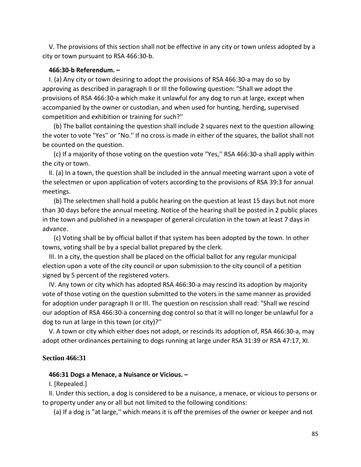V. The provisions of this section shall not be effective in any city or town unless adopted by a city or town pursuant to RSA 466:30-b.

#### **466:30-b Referendum. –**

 I. (a) Any city or town desiring to adopt the provisions of RSA 466:30-a may do so by approving as described in paragraph II or III the following question: "Shall we adopt the provisions of RSA 466:30-a which make it unlawful for any dog to run at large, except when accompanied by the owner or custodian, and when used for hunting, herding, supervised competition and exhibition or training for such?''

 (b) The ballot containing the question shall include 2 squares next to the question allowing the voter to vote "Yes'' or "No.'' If no cross is made in either of the squares, the ballot shall not be counted on the question.

 (c) If a majority of those voting on the question vote "Yes,'' RSA 466:30-a shall apply within the city or town.

 II. (a) In a town, the question shall be included in the annual meeting warrant upon a vote of the selectmen or upon application of voters according to the provisions of RSA 39:3 for annual meetings.

 (b) The selectmen shall hold a public hearing on the question at least 15 days but not more than 30 days before the annual meeting. Notice of the hearing shall be posted in 2 public places in the town and published in a newspaper of general circulation in the town at least 7 days in advance.

 (c) Voting shall be by official ballot if that system has been adopted by the town. In other towns, voting shall be by a special ballot prepared by the clerk.

 III. In a city, the question shall be placed on the official ballot for any regular municipal election upon a vote of the city council or upon submission to the city council of a petition signed by 5 percent of the registered voters.

 IV. Any town or city which has adopted RSA 466:30-a may rescind its adoption by majority vote of those voting on the question submitted to the voters in the same manner as provided for adoption under paragraph II or III. The question on rescission shall read: "Shall we rescind our adoption of RSA 466:30-a concerning dog control so that it will no longer be unlawful for a dog to run at large in this town (or city)?''

 V. A town or city which either does not adopt, or rescinds its adoption of, RSA 466:30-a, may adopt other ordinances pertaining to dogs running at large under RSA 31:39 or RSA 47:17, XI.

#### **Section 466:31**

#### **466:31 Dogs a Menace, a Nuisance or Vicious. –**

I. [Repealed.]

 II. Under this section, a dog is considered to be a nuisance, a menace, or vicious to persons or to property under any or all but not limited to the following conditions:

(a) If a dog is "at large,'' which means it is off the premises of the owner or keeper and not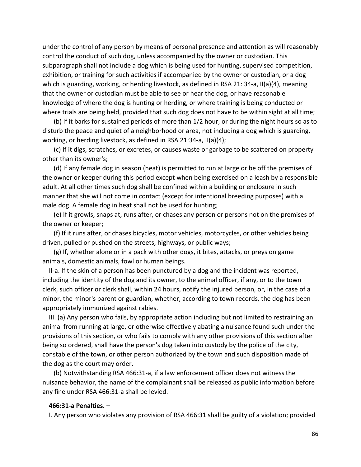under the control of any person by means of personal presence and attention as will reasonably control the conduct of such dog, unless accompanied by the owner or custodian. This subparagraph shall not include a dog which is being used for hunting, supervised competition, exhibition, or training for such activities if accompanied by the owner or custodian, or a dog which is guarding, working, or herding livestock, as defined in RSA 21: 34-a, II(a)(4), meaning that the owner or custodian must be able to see or hear the dog, or have reasonable knowledge of where the dog is hunting or herding, or where training is being conducted or where trials are being held, provided that such dog does not have to be within sight at all time;

 (b) If it barks for sustained periods of more than 1/2 hour, or during the night hours so as to disturb the peace and quiet of a neighborhood or area, not including a dog which is guarding, working, or herding livestock, as defined in RSA 21:34-a, II(a)(4);

 (c) If it digs, scratches, or excretes, or causes waste or garbage to be scattered on property other than its owner's;

 (d) If any female dog in season (heat) is permitted to run at large or be off the premises of the owner or keeper during this period except when being exercised on a leash by a responsible adult. At all other times such dog shall be confined within a building or enclosure in such manner that she will not come in contact (except for intentional breeding purposes) with a male dog. A female dog in heat shall not be used for hunting;

 (e) If it growls, snaps at, runs after, or chases any person or persons not on the premises of the owner or keeper;

 (f) If it runs after, or chases bicycles, motor vehicles, motorcycles, or other vehicles being driven, pulled or pushed on the streets, highways, or public ways;

 (g) If, whether alone or in a pack with other dogs, it bites, attacks, or preys on game animals, domestic animals, fowl or human beings.

 II-a. If the skin of a person has been punctured by a dog and the incident was reported, including the identity of the dog and its owner, to the animal officer, if any, or to the town clerk, such officer or clerk shall, within 24 hours, notify the injured person, or, in the case of a minor, the minor's parent or guardian, whether, according to town records, the dog has been appropriately immunized against rabies.

 III. (a) Any person who fails, by appropriate action including but not limited to restraining an animal from running at large, or otherwise effectively abating a nuisance found such under the provisions of this section, or who fails to comply with any other provisions of this section after being so ordered, shall have the person's dog taken into custody by the police of the city, constable of the town, or other person authorized by the town and such disposition made of the dog as the court may order.

 (b) Notwithstanding RSA 466:31-a, if a law enforcement officer does not witness the nuisance behavior, the name of the complainant shall be released as public information before any fine under RSA 466:31-a shall be levied.

#### **466:31-a Penalties. –**

I. Any person who violates any provision of RSA 466:31 shall be guilty of a violation; provided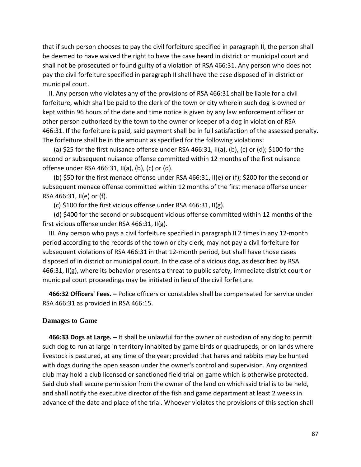that if such person chooses to pay the civil forfeiture specified in paragraph II, the person shall be deemed to have waived the right to have the case heard in district or municipal court and shall not be prosecuted or found guilty of a violation of RSA 466:31. Any person who does not pay the civil forfeiture specified in paragraph II shall have the case disposed of in district or municipal court.

 II. Any person who violates any of the provisions of RSA 466:31 shall be liable for a civil forfeiture, which shall be paid to the clerk of the town or city wherein such dog is owned or kept within 96 hours of the date and time notice is given by any law enforcement officer or other person authorized by the town to the owner or keeper of a dog in violation of RSA 466:31. If the forfeiture is paid, said payment shall be in full satisfaction of the assessed penalty. The forfeiture shall be in the amount as specified for the following violations:

 (a) \$25 for the first nuisance offense under RSA 466:31, II(a), (b), (c) or (d); \$100 for the second or subsequent nuisance offense committed within 12 months of the first nuisance offense under RSA 466:31, II(a), (b), (c) or (d).

 (b) \$50 for the first menace offense under RSA 466:31, II(e) or (f); \$200 for the second or subsequent menace offense committed within 12 months of the first menace offense under RSA 466:31, II(e) or (f).

(c) \$100 for the first vicious offense under RSA 466:31, II(g).

 (d) \$400 for the second or subsequent vicious offense committed within 12 months of the first vicious offense under RSA 466:31, II(g).

 III. Any person who pays a civil forfeiture specified in paragraph II 2 times in any 12-month period according to the records of the town or city clerk, may not pay a civil forfeiture for subsequent violations of RSA 466:31 in that 12-month period, but shall have those cases disposed of in district or municipal court. In the case of a vicious dog, as described by RSA 466:31, II(g), where its behavior presents a threat to public safety, immediate district court or municipal court proceedings may be initiated in lieu of the civil forfeiture.

 **466:32 Officers' Fees. –** Police officers or constables shall be compensated for service under RSA 466:31 as provided in RSA 466:15.

### **Damages to Game**

 **466:33 Dogs at Large. –** It shall be unlawful for the owner or custodian of any dog to permit such dog to run at large in territory inhabited by game birds or quadrupeds, or on lands where livestock is pastured, at any time of the year; provided that hares and rabbits may be hunted with dogs during the open season under the owner's control and supervision. Any organized club may hold a club licensed or sanctioned field trial on game which is otherwise protected. Said club shall secure permission from the owner of the land on which said trial is to be held, and shall notify the executive director of the fish and game department at least 2 weeks in advance of the date and place of the trial. Whoever violates the provisions of this section shall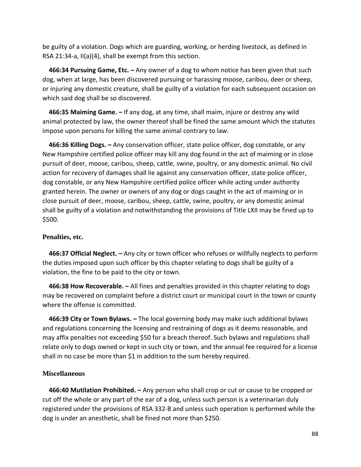be guilty of a violation. Dogs which are guarding, working, or herding livestock, as defined in RSA 21:34-a, II(a)(4), shall be exempt from this section.

 **466:34 Pursuing Game, Etc. –** Any owner of a dog to whom notice has been given that such dog, when at large, has been discovered pursuing or harassing moose, caribou, deer or sheep, or injuring any domestic creature, shall be guilty of a violation for each subsequent occasion on which said dog shall be so discovered.

 **466:35 Maiming Game. –** If any dog, at any time, shall maim, injure or destroy any wild animal protected by law, the owner thereof shall be fined the same amount which the statutes impose upon persons for killing the same animal contrary to law.

 **466:36 Killing Dogs. –** Any conservation officer, state police officer, dog constable, or any New Hampshire certified police officer may kill any dog found in the act of maiming or in close pursuit of deer, moose, caribou, sheep, cattle, swine, poultry, or any domestic animal. No civil action for recovery of damages shall lie against any conservation officer, state police officer, dog constable, or any New Hampshire certified police officer while acting under authority granted herein. The owner or owners of any dog or dogs caught in the act of maiming or in close pursuit of deer, moose, caribou, sheep, cattle, swine, poultry, or any domestic animal shall be guilty of a violation and notwithstanding the provisions of Title LXII may be fined up to \$500.

### **Penalties, etc.**

 **466:37 Official Neglect. –** Any city or town officer who refuses or willfully neglects to perform the duties imposed upon such officer by this chapter relating to dogs shall be guilty of a violation, the fine to be paid to the city or town.

 **466:38 How Recoverable. –** All fines and penalties provided in this chapter relating to dogs may be recovered on complaint before a district court or municipal court in the town or county where the offense is committed.

 **466:39 City or Town Bylaws. –** The local governing body may make such additional bylaws and regulations concerning the licensing and restraining of dogs as it deems reasonable, and may affix penalties not exceeding \$50 for a breach thereof. Such bylaws and regulations shall relate only to dogs owned or kept in such city or town, and the annual fee required for a license shall in no case be more than \$1 in addition to the sum hereby required.

### **Miscellaneous**

 **466:40 Mutilation Prohibited. –** Any person who shall crop or cut or cause to be cropped or cut off the whole or any part of the ear of a dog, unless such person is a veterinarian duly registered under the provisions of RSA 332-B and unless such operation is performed while the dog is under an anesthetic, shall be fined not more than \$250.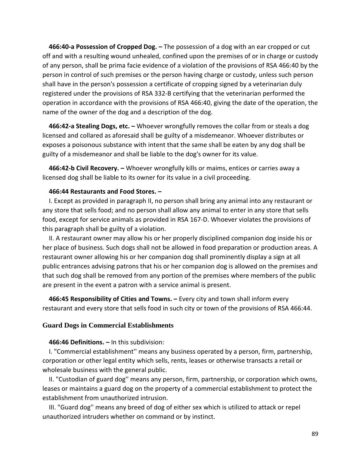**466:40-a Possession of Cropped Dog. –** The possession of a dog with an ear cropped or cut off and with a resulting wound unhealed, confined upon the premises of or in charge or custody of any person, shall be prima facie evidence of a violation of the provisions of RSA 466:40 by the person in control of such premises or the person having charge or custody, unless such person shall have in the person's possession a certificate of cropping signed by a veterinarian duly registered under the provisions of RSA 332-B certifying that the veterinarian performed the operation in accordance with the provisions of RSA 466:40, giving the date of the operation, the name of the owner of the dog and a description of the dog.

 **466:42-a Stealing Dogs, etc. –** Whoever wrongfully removes the collar from or steals a dog licensed and collared as aforesaid shall be guilty of a misdemeanor. Whoever distributes or exposes a poisonous substance with intent that the same shall be eaten by any dog shall be guilty of a misdemeanor and shall be liable to the dog's owner for its value.

 **466:42-b Civil Recovery. –** Whoever wrongfully kills or maims, entices or carries away a licensed dog shall be liable to its owner for its value in a civil proceeding.

### **466:44 Restaurants and Food Stores. –**

 I. Except as provided in paragraph II, no person shall bring any animal into any restaurant or any store that sells food; and no person shall allow any animal to enter in any store that sells food, except for service animals as provided in RSA 167-D. Whoever violates the provisions of this paragraph shall be guilty of a violation.

 II. A restaurant owner may allow his or her properly disciplined companion dog inside his or her place of business. Such dogs shall not be allowed in food preparation or production areas. A restaurant owner allowing his or her companion dog shall prominently display a sign at all public entrances advising patrons that his or her companion dog is allowed on the premises and that such dog shall be removed from any portion of the premises where members of the public are present in the event a patron with a service animal is present.

 **466:45 Responsibility of Cities and Towns. –** Every city and town shall inform every restaurant and every store that sells food in such city or town of the provisions of RSA 466:44.

### **Guard Dogs in Commercial Establishments**

### **466:46 Definitions. –** In this subdivision:

 I. "Commercial establishment'' means any business operated by a person, firm, partnership, corporation or other legal entity which sells, rents, leases or otherwise transacts a retail or wholesale business with the general public.

 II. "Custodian of guard dog'' means any person, firm, partnership, or corporation which owns, leases or maintains a guard dog on the property of a commercial establishment to protect the establishment from unauthorized intrusion.

 III. "Guard dog'' means any breed of dog of either sex which is utilized to attack or repel unauthorized intruders whether on command or by instinct.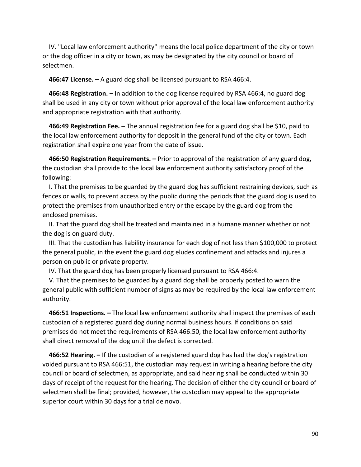IV. "Local law enforcement authority'' means the local police department of the city or town or the dog officer in a city or town, as may be designated by the city council or board of selectmen.

**466:47 License. –** A guard dog shall be licensed pursuant to RSA 466:4.

 **466:48 Registration. –** In addition to the dog license required by RSA 466:4, no guard dog shall be used in any city or town without prior approval of the local law enforcement authority and appropriate registration with that authority.

 **466:49 Registration Fee. –** The annual registration fee for a guard dog shall be \$10, paid to the local law enforcement authority for deposit in the general fund of the city or town. Each registration shall expire one year from the date of issue.

 **466:50 Registration Requirements. –** Prior to approval of the registration of any guard dog, the custodian shall provide to the local law enforcement authority satisfactory proof of the following:

 I. That the premises to be guarded by the guard dog has sufficient restraining devices, such as fences or walls, to prevent access by the public during the periods that the guard dog is used to protect the premises from unauthorized entry or the escape by the guard dog from the enclosed premises.

 II. That the guard dog shall be treated and maintained in a humane manner whether or not the dog is on guard duty.

 III. That the custodian has liability insurance for each dog of not less than \$100,000 to protect the general public, in the event the guard dog eludes confinement and attacks and injures a person on public or private property.

IV. That the guard dog has been properly licensed pursuant to RSA 466:4.

 V. That the premises to be guarded by a guard dog shall be properly posted to warn the general public with sufficient number of signs as may be required by the local law enforcement authority.

 **466:51 Inspections. –** The local law enforcement authority shall inspect the premises of each custodian of a registered guard dog during normal business hours. If conditions on said premises do not meet the requirements of RSA 466:50, the local law enforcement authority shall direct removal of the dog until the defect is corrected.

 **466:52 Hearing. –** If the custodian of a registered guard dog has had the dog's registration voided pursuant to RSA 466:51, the custodian may request in writing a hearing before the city council or board of selectmen, as appropriate, and said hearing shall be conducted within 30 days of receipt of the request for the hearing. The decision of either the city council or board of selectmen shall be final; provided, however, the custodian may appeal to the appropriate superior court within 30 days for a trial de novo.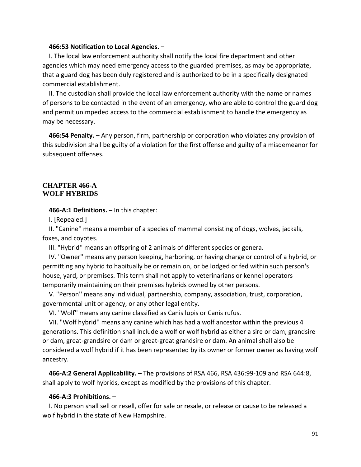#### **466:53 Notification to Local Agencies. –**

 I. The local law enforcement authority shall notify the local fire department and other agencies which may need emergency access to the guarded premises, as may be appropriate, that a guard dog has been duly registered and is authorized to be in a specifically designated commercial establishment.

 II. The custodian shall provide the local law enforcement authority with the name or names of persons to be contacted in the event of an emergency, who are able to control the guard dog and permit unimpeded access to the commercial establishment to handle the emergency as may be necessary.

 **466:54 Penalty. –** Any person, firm, partnership or corporation who violates any provision of this subdivision shall be guilty of a violation for the first offense and guilty of a misdemeanor for subsequent offenses.

### **CHAPTER 466-A WOLF HYBRIDS**

#### **466-A:1 Definitions. –** In this chapter:

I. [Repealed.]

 II. "Canine'' means a member of a species of mammal consisting of dogs, wolves, jackals, foxes, and coyotes.

III. "Hybrid'' means an offspring of 2 animals of different species or genera.

 IV. "Owner'' means any person keeping, harboring, or having charge or control of a hybrid, or permitting any hybrid to habitually be or remain on, or be lodged or fed within such person's house, yard, or premises. This term shall not apply to veterinarians or kennel operators temporarily maintaining on their premises hybrids owned by other persons.

 V. "Person'' means any individual, partnership, company, association, trust, corporation, governmental unit or agency, or any other legal entity.

VI. "Wolf'' means any canine classified as Canis lupis or Canis rufus.

 VII. "Wolf hybrid'' means any canine which has had a wolf ancestor within the previous 4 generations. This definition shall include a wolf or wolf hybrid as either a sire or dam, grandsire or dam, great-grandsire or dam or great-great grandsire or dam. An animal shall also be considered a wolf hybrid if it has been represented by its owner or former owner as having wolf ancestry.

 **466-A:2 General Applicability. –** The provisions of RSA 466, RSA 436:99-109 and RSA 644:8, shall apply to wolf hybrids, except as modified by the provisions of this chapter.

#### **466-A:3 Prohibitions. –**

 I. No person shall sell or resell, offer for sale or resale, or release or cause to be released a wolf hybrid in the state of New Hampshire.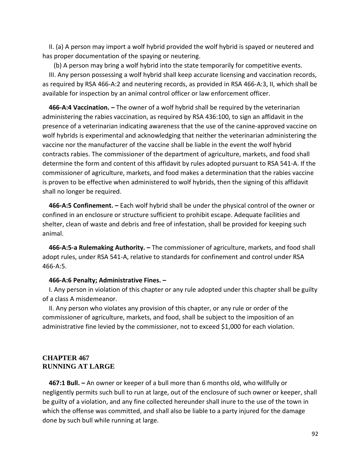II. (a) A person may import a wolf hybrid provided the wolf hybrid is spayed or neutered and has proper documentation of the spaying or neutering.

 (b) A person may bring a wolf hybrid into the state temporarily for competitive events. III. Any person possessing a wolf hybrid shall keep accurate licensing and vaccination records, as required by RSA 466-A:2 and neutering records, as provided in RSA 466-A:3, II, which shall be available for inspection by an animal control officer or law enforcement officer.

 **466-A:4 Vaccination. –** The owner of a wolf hybrid shall be required by the veterinarian administering the rabies vaccination, as required by RSA 436:100, to sign an affidavit in the presence of a veterinarian indicating awareness that the use of the canine-approved vaccine on wolf hybrids is experimental and acknowledging that neither the veterinarian administering the vaccine nor the manufacturer of the vaccine shall be liable in the event the wolf hybrid contracts rabies. The commissioner of the department of agriculture, markets, and food shall determine the form and content of this affidavit by rules adopted pursuant to RSA 541-A. If the commissioner of agriculture, markets, and food makes a determination that the rabies vaccine is proven to be effective when administered to wolf hybrids, then the signing of this affidavit shall no longer be required.

 **466-A:5 Confinement. –** Each wolf hybrid shall be under the physical control of the owner or confined in an enclosure or structure sufficient to prohibit escape. Adequate facilities and shelter, clean of waste and debris and free of infestation, shall be provided for keeping such animal.

 **466-A:5-a Rulemaking Authority. –** The commissioner of agriculture, markets, and food shall adopt rules, under RSA 541-A, relative to standards for confinement and control under RSA 466-A:5.

### **466-A:6 Penalty; Administrative Fines. –**

 I. Any person in violation of this chapter or any rule adopted under this chapter shall be guilty of a class A misdemeanor.

 II. Any person who violates any provision of this chapter, or any rule or order of the commissioner of agriculture, markets, and food, shall be subject to the imposition of an administrative fine levied by the commissioner, not to exceed \$1,000 for each violation.

### **CHAPTER 467 RUNNING AT LARGE**

 **467:1 Bull. –** An owner or keeper of a bull more than 6 months old, who willfully or negligently permits such bull to run at large, out of the enclosure of such owner or keeper, shall be guilty of a violation, and any fine collected hereunder shall inure to the use of the town in which the offense was committed, and shall also be liable to a party injured for the damage done by such bull while running at large.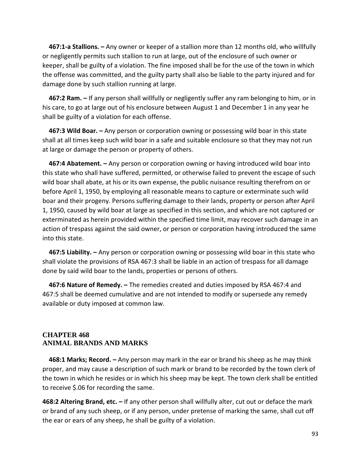**467:1-a Stallions. –** Any owner or keeper of a stallion more than 12 months old, who willfully or negligently permits such stallion to run at large, out of the enclosure of such owner or keeper, shall be guilty of a violation. The fine imposed shall be for the use of the town in which the offense was committed, and the guilty party shall also be liable to the party injured and for damage done by such stallion running at large.

 **467:2 Ram. –** If any person shall willfully or negligently suffer any ram belonging to him, or in his care, to go at large out of his enclosure between August 1 and December 1 in any year he shall be guilty of a violation for each offense.

 **467:3 Wild Boar. –** Any person or corporation owning or possessing wild boar in this state shall at all times keep such wild boar in a safe and suitable enclosure so that they may not run at large or damage the person or property of others.

 **467:4 Abatement. –** Any person or corporation owning or having introduced wild boar into this state who shall have suffered, permitted, or otherwise failed to prevent the escape of such wild boar shall abate, at his or its own expense, the public nuisance resulting therefrom on or before April 1, 1950, by employing all reasonable means to capture or exterminate such wild boar and their progeny. Persons suffering damage to their lands, property or person after April 1, 1950, caused by wild boar at large as specified in this section, and which are not captured or exterminated as herein provided within the specified time limit, may recover such damage in an action of trespass against the said owner, or person or corporation having introduced the same into this state.

 **467:5 Liability. –** Any person or corporation owning or possessing wild boar in this state who shall violate the provisions of RSA 467:3 shall be liable in an action of trespass for all damage done by said wild boar to the lands, properties or persons of others.

 **467:6 Nature of Remedy. –** The remedies created and duties imposed by RSA 467:4 and 467:5 shall be deemed cumulative and are not intended to modify or supersede any remedy available or duty imposed at common law.

### **CHAPTER 468 ANIMAL BRANDS AND MARKS**

 **468:1 Marks; Record. –** Any person may mark in the ear or brand his sheep as he may think proper, and may cause a description of such mark or brand to be recorded by the town clerk of the town in which he resides or in which his sheep may be kept. The town clerk shall be entitled to receive \$.06 for recording the same.

**468:2 Altering Brand, etc. –** If any other person shall willfully alter, cut out or deface the mark or brand of any such sheep, or if any person, under pretense of marking the same, shall cut off the ear or ears of any sheep, he shall be guilty of a violation.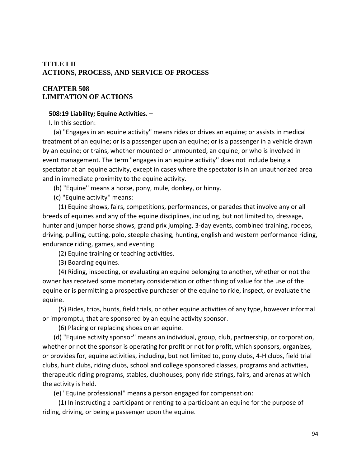## **TITLE LII ACTIONS, PROCESS, AND SERVICE OF PROCESS**

## **CHAPTER 508 LIMITATION OF ACTIONS**

### **508:19 Liability; Equine Activities. –**

I. In this section:

 (a) "Engages in an equine activity'' means rides or drives an equine; or assists in medical treatment of an equine; or is a passenger upon an equine; or is a passenger in a vehicle drawn by an equine; or trains, whether mounted or unmounted, an equine; or who is involved in event management. The term "engages in an equine activity'' does not include being a spectator at an equine activity, except in cases where the spectator is in an unauthorized area and in immediate proximity to the equine activity.

(b) "Equine'' means a horse, pony, mule, donkey, or hinny.

(c) "Equine activity'' means:

 (1) Equine shows, fairs, competitions, performances, or parades that involve any or all breeds of equines and any of the equine disciplines, including, but not limited to, dressage, hunter and jumper horse shows, grand prix jumping, 3-day events, combined training, rodeos, driving, pulling, cutting, polo, steeple chasing, hunting, english and western performance riding, endurance riding, games, and eventing.

(2) Equine training or teaching activities.

(3) Boarding equines.

 (4) Riding, inspecting, or evaluating an equine belonging to another, whether or not the owner has received some monetary consideration or other thing of value for the use of the equine or is permitting a prospective purchaser of the equine to ride, inspect, or evaluate the equine.

 (5) Rides, trips, hunts, field trials, or other equine activities of any type, however informal or impromptu, that are sponsored by an equine activity sponsor.

(6) Placing or replacing shoes on an equine.

 (d) "Equine activity sponsor'' means an individual, group, club, partnership, or corporation, whether or not the sponsor is operating for profit or not for profit, which sponsors, organizes, or provides for, equine activities, including, but not limited to, pony clubs, 4-H clubs, field trial clubs, hunt clubs, riding clubs, school and college sponsored classes, programs and activities, therapeutic riding programs, stables, clubhouses, pony ride strings, fairs, and arenas at which the activity is held.

(e) "Equine professional'' means a person engaged for compensation:

 (1) In instructing a participant or renting to a participant an equine for the purpose of riding, driving, or being a passenger upon the equine.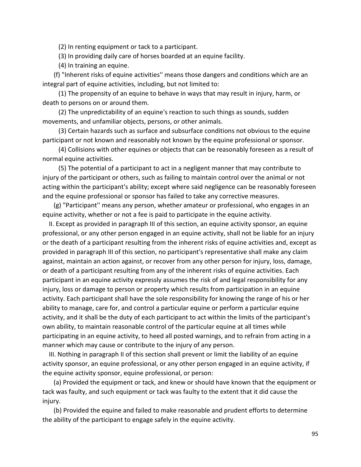(2) In renting equipment or tack to a participant.

(3) In providing daily care of horses boarded at an equine facility.

(4) In training an equine.

 (f) "Inherent risks of equine activities'' means those dangers and conditions which are an integral part of equine activities, including, but not limited to:

 (1) The propensity of an equine to behave in ways that may result in injury, harm, or death to persons on or around them.

 (2) The unpredictability of an equine's reaction to such things as sounds, sudden movements, and unfamiliar objects, persons, or other animals.

 (3) Certain hazards such as surface and subsurface conditions not obvious to the equine participant or not known and reasonably not known by the equine professional or sponsor.

 (4) Collisions with other equines or objects that can be reasonably foreseen as a result of normal equine activities.

 (5) The potential of a participant to act in a negligent manner that may contribute to injury of the participant or others, such as failing to maintain control over the animal or not acting within the participant's ability; except where said negligence can be reasonably foreseen and the equine professional or sponsor has failed to take any corrective measures.

 (g) "Participant'' means any person, whether amateur or professional, who engages in an equine activity, whether or not a fee is paid to participate in the equine activity.

 II. Except as provided in paragraph III of this section, an equine activity sponsor, an equine professional, or any other person engaged in an equine activity, shall not be liable for an injury or the death of a participant resulting from the inherent risks of equine activities and, except as provided in paragraph III of this section, no participant's representative shall make any claim against, maintain an action against, or recover from any other person for injury, loss, damage, or death of a participant resulting from any of the inherent risks of equine activities. Each participant in an equine activity expressly assumes the risk of and legal responsibility for any injury, loss or damage to person or property which results from participation in an equine activity. Each participant shall have the sole responsibility for knowing the range of his or her ability to manage, care for, and control a particular equine or perform a particular equine activity, and it shall be the duty of each participant to act within the limits of the participant's own ability, to maintain reasonable control of the particular equine at all times while participating in an equine activity, to heed all posted warnings, and to refrain from acting in a manner which may cause or contribute to the injury of any person.

 III. Nothing in paragraph II of this section shall prevent or limit the liability of an equine activity sponsor, an equine professional, or any other person engaged in an equine activity, if the equine activity sponsor, equine professional, or person:

 (a) Provided the equipment or tack, and knew or should have known that the equipment or tack was faulty, and such equipment or tack was faulty to the extent that it did cause the injury.

 (b) Provided the equine and failed to make reasonable and prudent efforts to determine the ability of the participant to engage safely in the equine activity.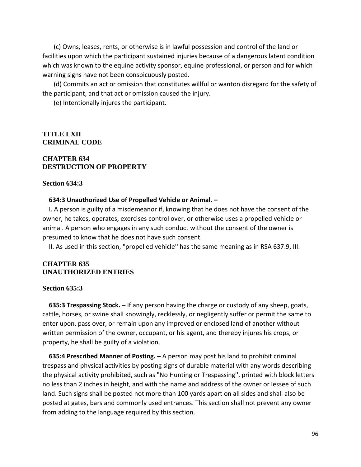(c) Owns, leases, rents, or otherwise is in lawful possession and control of the land or facilities upon which the participant sustained injuries because of a dangerous latent condition which was known to the equine activity sponsor, equine professional, or person and for which warning signs have not been conspicuously posted.

 (d) Commits an act or omission that constitutes willful or wanton disregard for the safety of the participant, and that act or omission caused the injury.

(e) Intentionally injures the participant.

### **TITLE LXII CRIMINAL CODE**

## **CHAPTER 634 DESTRUCTION OF PROPERTY**

### **Section 634:3**

#### **634:3 Unauthorized Use of Propelled Vehicle or Animal. –**

 I. A person is guilty of a misdemeanor if, knowing that he does not have the consent of the owner, he takes, operates, exercises control over, or otherwise uses a propelled vehicle or animal. A person who engages in any such conduct without the consent of the owner is presumed to know that he does not have such consent.

II. As used in this section, "propelled vehicle'' has the same meaning as in RSA 637:9, III.

### **CHAPTER 635 UNAUTHORIZED ENTRIES**

#### **Section 635:3**

 **635:3 Trespassing Stock. –** If any person having the charge or custody of any sheep, goats, cattle, horses, or swine shall knowingly, recklessly, or negligently suffer or permit the same to enter upon, pass over, or remain upon any improved or enclosed land of another without written permission of the owner, occupant, or his agent, and thereby injures his crops, or property, he shall be guilty of a violation.

 **635:4 Prescribed Manner of Posting. –** A person may post his land to prohibit criminal trespass and physical activities by posting signs of durable material with any words describing the physical activity prohibited, such as "No Hunting or Trespassing'', printed with block letters no less than 2 inches in height, and with the name and address of the owner or lessee of such land. Such signs shall be posted not more than 100 yards apart on all sides and shall also be posted at gates, bars and commonly used entrances. This section shall not prevent any owner from adding to the language required by this section.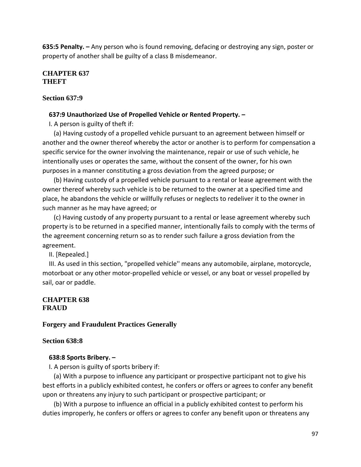**635:5 Penalty. –** Any person who is found removing, defacing or destroying any sign, poster or property of another shall be guilty of a class B misdemeanor.

## **CHAPTER 637 THEFT**

## **Section 637:9**

## **637:9 Unauthorized Use of Propelled Vehicle or Rented Property. –**

I. A person is guilty of theft if:

 (a) Having custody of a propelled vehicle pursuant to an agreement between himself or another and the owner thereof whereby the actor or another is to perform for compensation a specific service for the owner involving the maintenance, repair or use of such vehicle, he intentionally uses or operates the same, without the consent of the owner, for his own purposes in a manner constituting a gross deviation from the agreed purpose; or

 (b) Having custody of a propelled vehicle pursuant to a rental or lease agreement with the owner thereof whereby such vehicle is to be returned to the owner at a specified time and place, he abandons the vehicle or willfully refuses or neglects to redeliver it to the owner in such manner as he may have agreed; or

 (c) Having custody of any property pursuant to a rental or lease agreement whereby such property is to be returned in a specified manner, intentionally fails to comply with the terms of the agreement concerning return so as to render such failure a gross deviation from the agreement.

II. [Repealed.]

 III. As used in this section, "propelled vehicle'' means any automobile, airplane, motorcycle, motorboat or any other motor-propelled vehicle or vessel, or any boat or vessel propelled by sail, oar or paddle.

## **CHAPTER 638 FRAUD**

### **Forgery and Fraudulent Practices Generally**

### **Section 638:8**

## **638:8 Sports Bribery. –**

I. A person is guilty of sports bribery if:

 (a) With a purpose to influence any participant or prospective participant not to give his best efforts in a publicly exhibited contest, he confers or offers or agrees to confer any benefit upon or threatens any injury to such participant or prospective participant; or

 (b) With a purpose to influence an official in a publicly exhibited contest to perform his duties improperly, he confers or offers or agrees to confer any benefit upon or threatens any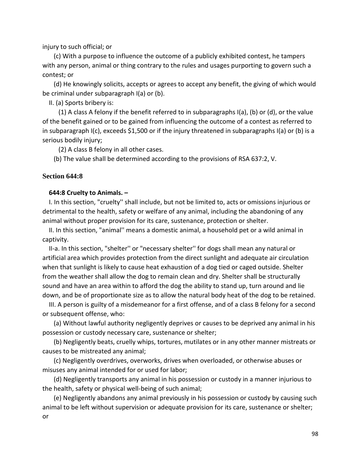injury to such official; or

 (c) With a purpose to influence the outcome of a publicly exhibited contest, he tampers with any person, animal or thing contrary to the rules and usages purporting to govern such a contest; or

 (d) He knowingly solicits, accepts or agrees to accept any benefit, the giving of which would be criminal under subparagraph I(a) or (b).

II. (a) Sports bribery is:

 (1) A class A felony if the benefit referred to in subparagraphs I(a), (b) or (d), or the value of the benefit gained or to be gained from influencing the outcome of a contest as referred to in subparagraph I(c), exceeds \$1,500 or if the injury threatened in subparagraphs I(a) or (b) is a serious bodily injury;

(2) A class B felony in all other cases.

(b) The value shall be determined according to the provisions of RSA 637:2, V.

### **Section 644:8**

### **644:8 Cruelty to Animals. –**

 I. In this section, "cruelty'' shall include, but not be limited to, acts or omissions injurious or detrimental to the health, safety or welfare of any animal, including the abandoning of any animal without proper provision for its care, sustenance, protection or shelter.

 II. In this section, "animal'' means a domestic animal, a household pet or a wild animal in captivity.

 II-a. In this section, "shelter'' or "necessary shelter'' for dogs shall mean any natural or artificial area which provides protection from the direct sunlight and adequate air circulation when that sunlight is likely to cause heat exhaustion of a dog tied or caged outside. Shelter from the weather shall allow the dog to remain clean and dry. Shelter shall be structurally sound and have an area within to afford the dog the ability to stand up, turn around and lie down, and be of proportionate size as to allow the natural body heat of the dog to be retained.

 III. A person is guilty of a misdemeanor for a first offense, and of a class B felony for a second or subsequent offense, who:

 (a) Without lawful authority negligently deprives or causes to be deprived any animal in his possession or custody necessary care, sustenance or shelter;

 (b) Negligently beats, cruelly whips, tortures, mutilates or in any other manner mistreats or causes to be mistreated any animal;

 (c) Negligently overdrives, overworks, drives when overloaded, or otherwise abuses or misuses any animal intended for or used for labor;

 (d) Negligently transports any animal in his possession or custody in a manner injurious to the health, safety or physical well-being of such animal;

 (e) Negligently abandons any animal previously in his possession or custody by causing such animal to be left without supervision or adequate provision for its care, sustenance or shelter; or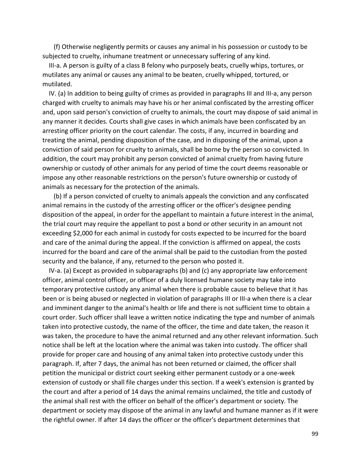(f) Otherwise negligently permits or causes any animal in his possession or custody to be subjected to cruelty, inhumane treatment or unnecessary suffering of any kind.

 III-a. A person is guilty of a class B felony who purposely beats, cruelly whips, tortures, or mutilates any animal or causes any animal to be beaten, cruelly whipped, tortured, or mutilated.

 IV. (a) In addition to being guilty of crimes as provided in paragraphs III and III-a, any person charged with cruelty to animals may have his or her animal confiscated by the arresting officer and, upon said person's conviction of cruelty to animals, the court may dispose of said animal in any manner it decides. Courts shall give cases in which animals have been confiscated by an arresting officer priority on the court calendar. The costs, if any, incurred in boarding and treating the animal, pending disposition of the case, and in disposing of the animal, upon a conviction of said person for cruelty to animals, shall be borne by the person so convicted. In addition, the court may prohibit any person convicted of animal cruelty from having future ownership or custody of other animals for any period of time the court deems reasonable or impose any other reasonable restrictions on the person's future ownership or custody of animals as necessary for the protection of the animals.

 (b) If a person convicted of cruelty to animals appeals the conviction and any confiscated animal remains in the custody of the arresting officer or the officer's designee pending disposition of the appeal, in order for the appellant to maintain a future interest in the animal, the trial court may require the appellant to post a bond or other security in an amount not exceeding \$2,000 for each animal in custody for costs expected to be incurred for the board and care of the animal during the appeal. If the conviction is affirmed on appeal, the costs incurred for the board and care of the animal shall be paid to the custodian from the posted security and the balance, if any, returned to the person who posted it.

 IV-a. (a) Except as provided in subparagraphs (b) and (c) any appropriate law enforcement officer, animal control officer, or officer of a duly licensed humane society may take into temporary protective custody any animal when there is probable cause to believe that it has been or is being abused or neglected in violation of paragraphs III or III-a when there is a clear and imminent danger to the animal's health or life and there is not sufficient time to obtain a court order. Such officer shall leave a written notice indicating the type and number of animals taken into protective custody, the name of the officer, the time and date taken, the reason it was taken, the procedure to have the animal returned and any other relevant information. Such notice shall be left at the location where the animal was taken into custody. The officer shall provide for proper care and housing of any animal taken into protective custody under this paragraph. If, after 7 days, the animal has not been returned or claimed, the officer shall petition the municipal or district court seeking either permanent custody or a one-week extension of custody or shall file charges under this section. If a week's extension is granted by the court and after a period of 14 days the animal remains unclaimed, the title and custody of the animal shall rest with the officer on behalf of the officer's department or society. The department or society may dispose of the animal in any lawful and humane manner as if it were the rightful owner. If after 14 days the officer or the officer's department determines that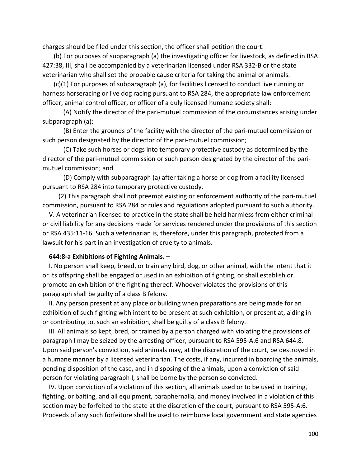charges should be filed under this section, the officer shall petition the court.

 (b) For purposes of subparagraph (a) the investigating officer for livestock, as defined in RSA 427:38, III, shall be accompanied by a veterinarian licensed under RSA 332-B or the state veterinarian who shall set the probable cause criteria for taking the animal or animals.

 (c)(1) For purposes of subparagraph (a), for facilities licensed to conduct live running or harness horseracing or live dog racing pursuant to RSA 284, the appropriate law enforcement officer, animal control officer, or officer of a duly licensed humane society shall:

 (A) Notify the director of the pari-mutuel commission of the circumstances arising under subparagraph (a);

 (B) Enter the grounds of the facility with the director of the pari-mutuel commission or such person designated by the director of the pari-mutuel commission;

 (C) Take such horses or dogs into temporary protective custody as determined by the director of the pari-mutuel commission or such person designated by the director of the parimutuel commission; and

 (D) Comply with subparagraph (a) after taking a horse or dog from a facility licensed pursuant to RSA 284 into temporary protective custody.

 (2) This paragraph shall not preempt existing or enforcement authority of the pari-mutuel commission, pursuant to RSA 284 or rules and regulations adopted pursuant to such authority.

 V. A veterinarian licensed to practice in the state shall be held harmless from either criminal or civil liability for any decisions made for services rendered under the provisions of this section or RSA 435:11-16. Such a veterinarian is, therefore, under this paragraph, protected from a lawsuit for his part in an investigation of cruelty to animals.

### **644:8-a Exhibitions of Fighting Animals. –**

 I. No person shall keep, breed, or train any bird, dog, or other animal, with the intent that it or its offspring shall be engaged or used in an exhibition of fighting, or shall establish or promote an exhibition of the fighting thereof. Whoever violates the provisions of this paragraph shall be guilty of a class B felony.

 II. Any person present at any place or building when preparations are being made for an exhibition of such fighting with intent to be present at such exhibition, or present at, aiding in or contributing to, such an exhibition, shall be guilty of a class B felony.

 III. All animals so kept, bred, or trained by a person charged with violating the provisions of paragraph I may be seized by the arresting officer, pursuant to RSA 595-A:6 and RSA 644:8. Upon said person's conviction, said animals may, at the discretion of the court, be destroyed in a humane manner by a licensed veterinarian. The costs, if any, incurred in boarding the animals, pending disposition of the case, and in disposing of the animals, upon a conviction of said person for violating paragraph I, shall be borne by the person so convicted.

 IV. Upon conviction of a violation of this section, all animals used or to be used in training, fighting, or baiting, and all equipment, paraphernalia, and money involved in a violation of this section may be forfeited to the state at the discretion of the court, pursuant to RSA 595-A:6. Proceeds of any such forfeiture shall be used to reimburse local government and state agencies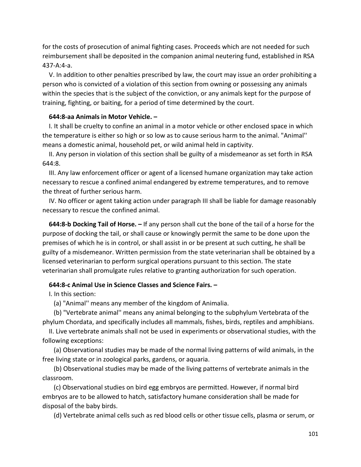for the costs of prosecution of animal fighting cases. Proceeds which are not needed for such reimbursement shall be deposited in the companion animal neutering fund, established in RSA 437-A:4-a.

 V. In addition to other penalties prescribed by law, the court may issue an order prohibiting a person who is convicted of a violation of this section from owning or possessing any animals within the species that is the subject of the conviction, or any animals kept for the purpose of training, fighting, or baiting, for a period of time determined by the court.

### **644:8-aa Animals in Motor Vehicle. –**

 I. It shall be cruelty to confine an animal in a motor vehicle or other enclosed space in which the temperature is either so high or so low as to cause serious harm to the animal. "Animal'' means a domestic animal, household pet, or wild animal held in captivity.

 II. Any person in violation of this section shall be guilty of a misdemeanor as set forth in RSA 644:8.

 III. Any law enforcement officer or agent of a licensed humane organization may take action necessary to rescue a confined animal endangered by extreme temperatures, and to remove the threat of further serious harm.

 IV. No officer or agent taking action under paragraph III shall be liable for damage reasonably necessary to rescue the confined animal.

 **644:8-b Docking Tail of Horse. –** If any person shall cut the bone of the tail of a horse for the purpose of docking the tail, or shall cause or knowingly permit the same to be done upon the premises of which he is in control, or shall assist in or be present at such cutting, he shall be guilty of a misdemeanor. Written permission from the state veterinarian shall be obtained by a licensed veterinarian to perform surgical operations pursuant to this section. The state veterinarian shall promulgate rules relative to granting authorization for such operation.

#### **644:8-c Animal Use in Science Classes and Science Fairs. –**

I. In this section:

(a) "Animal'' means any member of the kingdom of Animalia.

 (b) "Vertebrate animal'' means any animal belonging to the subphylum Vertebrata of the phylum Chordata, and specifically includes all mammals, fishes, birds, reptiles and amphibians.

 II. Live vertebrate animals shall not be used in experiments or observational studies, with the following exceptions:

 (a) Observational studies may be made of the normal living patterns of wild animals, in the free living state or in zoological parks, gardens, or aquaria.

 (b) Observational studies may be made of the living patterns of vertebrate animals in the classroom.

 (c) Observational studies on bird egg embryos are permitted. However, if normal bird embryos are to be allowed to hatch, satisfactory humane consideration shall be made for disposal of the baby birds.

(d) Vertebrate animal cells such as red blood cells or other tissue cells, plasma or serum, or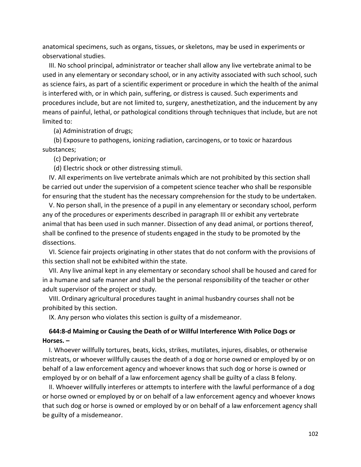anatomical specimens, such as organs, tissues, or skeletons, may be used in experiments or observational studies.

 III. No school principal, administrator or teacher shall allow any live vertebrate animal to be used in any elementary or secondary school, or in any activity associated with such school, such as science fairs, as part of a scientific experiment or procedure in which the health of the animal is interfered with, or in which pain, suffering, or distress is caused. Such experiments and procedures include, but are not limited to, surgery, anesthetization, and the inducement by any means of painful, lethal, or pathological conditions through techniques that include, but are not limited to:

(a) Administration of drugs;

 (b) Exposure to pathogens, ionizing radiation, carcinogens, or to toxic or hazardous substances;

(c) Deprivation; or

(d) Electric shock or other distressing stimuli.

 IV. All experiments on live vertebrate animals which are not prohibited by this section shall be carried out under the supervision of a competent science teacher who shall be responsible for ensuring that the student has the necessary comprehension for the study to be undertaken.

 V. No person shall, in the presence of a pupil in any elementary or secondary school, perform any of the procedures or experiments described in paragraph III or exhibit any vertebrate animal that has been used in such manner. Dissection of any dead animal, or portions thereof, shall be confined to the presence of students engaged in the study to be promoted by the dissections.

 VI. Science fair projects originating in other states that do not conform with the provisions of this section shall not be exhibited within the state.

 VII. Any live animal kept in any elementary or secondary school shall be housed and cared for in a humane and safe manner and shall be the personal responsibility of the teacher or other adult supervisor of the project or study.

 VIII. Ordinary agricultural procedures taught in animal husbandry courses shall not be prohibited by this section.

IX. Any person who violates this section is guilty of a misdemeanor.

## **644:8-d Maiming or Causing the Death of or Willful Interference With Police Dogs or Horses. –**

 I. Whoever willfully tortures, beats, kicks, strikes, mutilates, injures, disables, or otherwise mistreats, or whoever willfully causes the death of a dog or horse owned or employed by or on behalf of a law enforcement agency and whoever knows that such dog or horse is owned or employed by or on behalf of a law enforcement agency shall be guilty of a class B felony.

 II. Whoever willfully interferes or attempts to interfere with the lawful performance of a dog or horse owned or employed by or on behalf of a law enforcement agency and whoever knows that such dog or horse is owned or employed by or on behalf of a law enforcement agency shall be guilty of a misdemeanor.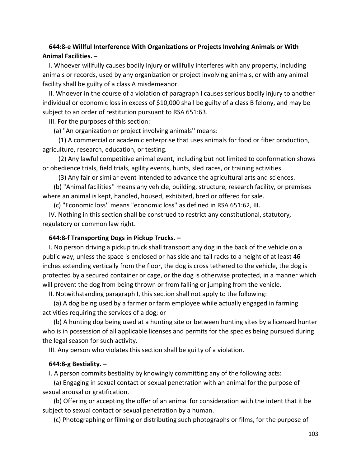## **644:8-e Willful Interference With Organizations or Projects Involving Animals or With Animal Facilities. –**

 I. Whoever willfully causes bodily injury or willfully interferes with any property, including animals or records, used by any organization or project involving animals, or with any animal facility shall be guilty of a class A misdemeanor.

 II. Whoever in the course of a violation of paragraph I causes serious bodily injury to another individual or economic loss in excess of \$10,000 shall be guilty of a class B felony, and may be subject to an order of restitution pursuant to RSA 651:63.

III. For the purposes of this section:

(a) "An organization or project involving animals'' means:

 (1) A commercial or academic enterprise that uses animals for food or fiber production, agriculture, research, education, or testing.

 (2) Any lawful competitive animal event, including but not limited to conformation shows or obedience trials, field trials, agility events, hunts, sled races, or training activities.

(3) Any fair or similar event intended to advance the agricultural arts and sciences.

 (b) "Animal facilities'' means any vehicle, building, structure, research facility, or premises where an animal is kept, handled, housed, exhibited, bred or offered for sale.

(c) "Economic loss'' means "economic loss'' as defined in RSA 651:62, III.

 IV. Nothing in this section shall be construed to restrict any constitutional, statutory, regulatory or common law right.

### **644:8-f Transporting Dogs in Pickup Trucks. –**

 I. No person driving a pickup truck shall transport any dog in the back of the vehicle on a public way, unless the space is enclosed or has side and tail racks to a height of at least 46 inches extending vertically from the floor, the dog is cross tethered to the vehicle, the dog is protected by a secured container or cage, or the dog is otherwise protected, in a manner which will prevent the dog from being thrown or from falling or jumping from the vehicle.

II. Notwithstanding paragraph I, this section shall not apply to the following:

 (a) A dog being used by a farmer or farm employee while actually engaged in farming activities requiring the services of a dog; or

 (b) A hunting dog being used at a hunting site or between hunting sites by a licensed hunter who is in possession of all applicable licenses and permits for the species being pursued during the legal season for such activity.

III. Any person who violates this section shall be guilty of a violation.

#### **644:8-g Bestiality. –**

I. A person commits bestiality by knowingly committing any of the following acts:

 (a) Engaging in sexual contact or sexual penetration with an animal for the purpose of sexual arousal or gratification.

 (b) Offering or accepting the offer of an animal for consideration with the intent that it be subject to sexual contact or sexual penetration by a human.

(c) Photographing or filming or distributing such photographs or films, for the purpose of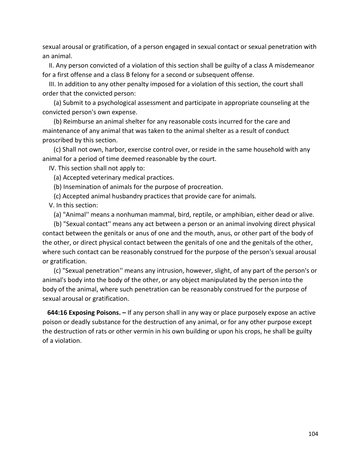sexual arousal or gratification, of a person engaged in sexual contact or sexual penetration with an animal.

 II. Any person convicted of a violation of this section shall be guilty of a class A misdemeanor for a first offense and a class B felony for a second or subsequent offense.

 III. In addition to any other penalty imposed for a violation of this section, the court shall order that the convicted person:

 (a) Submit to a psychological assessment and participate in appropriate counseling at the convicted person's own expense.

 (b) Reimburse an animal shelter for any reasonable costs incurred for the care and maintenance of any animal that was taken to the animal shelter as a result of conduct proscribed by this section.

 (c) Shall not own, harbor, exercise control over, or reside in the same household with any animal for a period of time deemed reasonable by the court.

IV. This section shall not apply to:

(a) Accepted veterinary medical practices.

(b) Insemination of animals for the purpose of procreation.

(c) Accepted animal husbandry practices that provide care for animals.

V. In this section:

(a) "Animal'' means a nonhuman mammal, bird, reptile, or amphibian, either dead or alive.

 (b) "Sexual contact'' means any act between a person or an animal involving direct physical contact between the genitals or anus of one and the mouth, anus, or other part of the body of the other, or direct physical contact between the genitals of one and the genitals of the other, where such contact can be reasonably construed for the purpose of the person's sexual arousal or gratification.

 (c) "Sexual penetration'' means any intrusion, however, slight, of any part of the person's or animal's body into the body of the other, or any object manipulated by the person into the body of the animal, where such penetration can be reasonably construed for the purpose of sexual arousal or gratification.

 **644:16 Exposing Poisons. –** If any person shall in any way or place purposely expose an active poison or deadly substance for the destruction of any animal, or for any other purpose except the destruction of rats or other vermin in his own building or upon his crops, he shall be guilty of a violation.